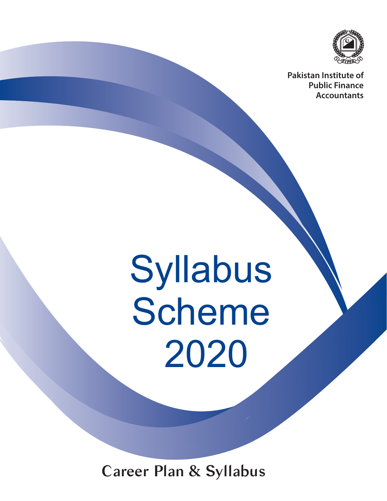

**Pakistan Institute of Public Finance Accountants**

# Syllabus Scheme 2020

Career Plan & Syllabus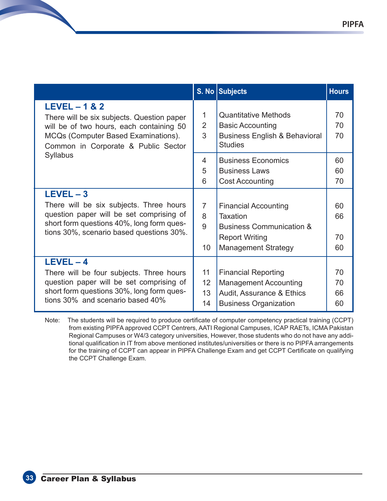|                                                                                                                                                                                             |                                | S. No Subjects                                                                                                                        | <b>Hours</b>         |
|---------------------------------------------------------------------------------------------------------------------------------------------------------------------------------------------|--------------------------------|---------------------------------------------------------------------------------------------------------------------------------------|----------------------|
| $LEVEL - 1 & 2$<br>There will be six subjects. Question paper<br>will be of two hours, each containing 50<br>MCQs (Computer Based Examinations).<br>Common in Corporate & Public Sector     | 1<br>$\overline{2}$<br>3       | <b>Quantitative Methods</b><br><b>Basic Accounting</b><br><b>Business English &amp; Behavioral</b><br><b>Studies</b>                  | 70<br>70<br>70       |
| Syllabus                                                                                                                                                                                    | 4<br>5<br>6                    | <b>Business Economics</b><br><b>Business Laws</b><br><b>Cost Accounting</b>                                                           | 60<br>60<br>70       |
| $LEVEL - 3$<br>There will be six subjects. Three hours<br>question paper will be set comprising of<br>short form questions 40%, long form ques-<br>tions 30%, scenario based questions 30%. | $\overline{7}$<br>8<br>9<br>10 | <b>Financial Accounting</b><br>Taxation<br><b>Business Communication &amp;</b><br><b>Report Writing</b><br><b>Management Strategy</b> | 60<br>66<br>70<br>60 |
| $LEVEL - 4$<br>There will be four subjects. Three hours<br>question paper will be set comprising of<br>short form questions 30%, long form ques-<br>tions 30% and scenario based 40%        | 11<br>12<br>13<br>14           | <b>Financial Reporting</b><br><b>Management Accounting</b><br>Audit, Assurance & Ethics<br><b>Business Organization</b>               | 70<br>70<br>66<br>60 |

Note: The students will be required to produce certificate of computer competency practical training (CCPT) from existing PIPFA approved CCPT Centrers, AATI Regional Campuses, ICAP RAETs, ICMA Pakistan Regional Campuses or W4/3 category universities, However, those students who do not have any additional qualification in IT from above mentioned institutes/universities or there is no PIPFA arrangements for the training of CCPT can appear in PIPFA Challenge Exam and get CCPT Certificate on qualifying the CCPT Challenge Exam.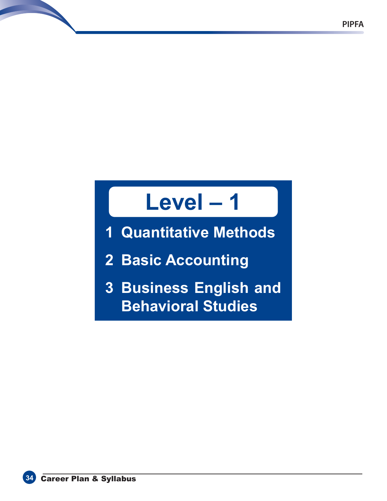# **Level – 1**

**1 Quantitative Methods**

**2 Basic Accounting**

**3 Business English and Behavioral Studies**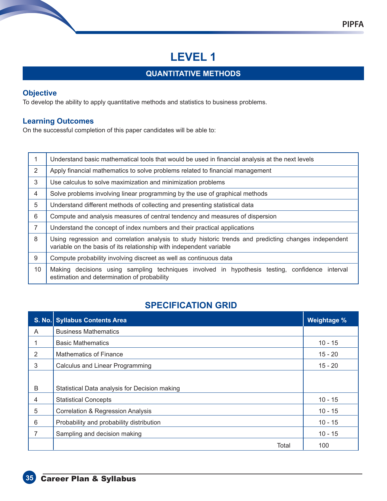# **LEVEL 1**

## **QUANTITATIVE METHODS**

#### **Objective**

To develop the ability to apply quantitative methods and statistics to business problems.

#### **Learning Outcomes**

On the successful completion of this paper candidates will be able to:

|                | Understand basic mathematical tools that would be used in financial analysis at the next levels                                                                              |  |  |  |  |  |
|----------------|------------------------------------------------------------------------------------------------------------------------------------------------------------------------------|--|--|--|--|--|
| $\overline{2}$ | Apply financial mathematics to solve problems related to financial management                                                                                                |  |  |  |  |  |
| 3              | Use calculus to solve maximization and minimization problems                                                                                                                 |  |  |  |  |  |
| 4              | Solve problems involving linear programming by the use of graphical methods                                                                                                  |  |  |  |  |  |
| 5              | Understand different methods of collecting and presenting statistical data                                                                                                   |  |  |  |  |  |
| 6              | Compute and analysis measures of central tendency and measures of dispersion                                                                                                 |  |  |  |  |  |
| $\overline{7}$ | Understand the concept of index numbers and their practical applications                                                                                                     |  |  |  |  |  |
| 8              | Using regression and correlation analysis to study historic trends and predicting changes independent<br>variable on the basis of its relationship with independent variable |  |  |  |  |  |
| 9              | Compute probability involving discreet as well as continuous data                                                                                                            |  |  |  |  |  |
| 10             | Making decisions using sampling techniques involved in hypothesis testing, confidence interval<br>estimation and determination of probability                                |  |  |  |  |  |

# **SPECIFICATION GRID**

|   | S. No. Syllabus Contents Area                 | <b>Weightage %</b> |
|---|-----------------------------------------------|--------------------|
| A | <b>Business Mathematics</b>                   |                    |
|   | <b>Basic Mathematics</b>                      | $10 - 15$          |
| 2 | Mathematics of Finance                        | $15 - 20$          |
| 3 | <b>Calculus and Linear Programming</b>        | $15 - 20$          |
| B | Statistical Data analysis for Decision making |                    |
| 4 | <b>Statistical Concepts</b>                   | $10 - 15$          |
| 5 | <b>Correlation &amp; Regression Analysis</b>  | $10 - 15$          |
| 6 | Probability and probability distribution      | $10 - 15$          |
| 7 | Sampling and decision making                  | $10 - 15$          |
|   | Total                                         | 100                |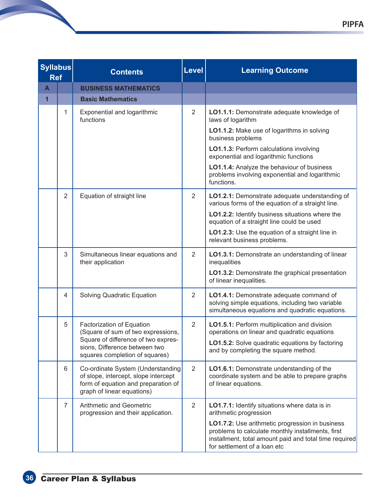| <b>Syllabus</b><br><b>Ref</b> |                | <b>Contents</b>                                                                                                                                | <b>Level</b>   | <b>Learning Outcome</b>                                                                                                                                                                        |
|-------------------------------|----------------|------------------------------------------------------------------------------------------------------------------------------------------------|----------------|------------------------------------------------------------------------------------------------------------------------------------------------------------------------------------------------|
| $\mathbf{A}$                  |                | <b>BUSINESS MATHEMATICS</b>                                                                                                                    |                |                                                                                                                                                                                                |
| 1                             |                | <b>Basic Mathematics</b>                                                                                                                       |                |                                                                                                                                                                                                |
|                               | 1              | Exponential and logarithmic<br>functions                                                                                                       | 2              | LO1.1.1: Demonstrate adequate knowledge of<br>laws of logarithm                                                                                                                                |
|                               |                |                                                                                                                                                |                | LO1.1.2: Make use of logarithms in solving<br>business problems                                                                                                                                |
|                               |                |                                                                                                                                                |                | LO1.1.3: Perform calculations involving<br>exponential and logarithmic functions                                                                                                               |
|                               |                |                                                                                                                                                |                | LO1.1.4: Analyze the behaviour of business<br>problems involving exponential and logarithmic<br>functions.                                                                                     |
|                               | $\overline{2}$ | Equation of straight line                                                                                                                      | $\overline{2}$ | LO1.2.1: Demonstrate adequate understanding of<br>various forms of the equation of a straight line.                                                                                            |
|                               |                |                                                                                                                                                |                | LO1.2.2: Identify business situations where the<br>equation of a straight line could be used                                                                                                   |
|                               |                |                                                                                                                                                |                | LO1.2.3: Use the equation of a straight line in<br>relevant business problems.                                                                                                                 |
|                               | 3              | Simultaneous linear equations and<br>their application                                                                                         | $\overline{2}$ | LO1.3.1: Demonstrate an understanding of linear<br>inequalities                                                                                                                                |
|                               |                |                                                                                                                                                |                | LO1.3.2: Demonstrate the graphical presentation<br>of linear inequalities.                                                                                                                     |
|                               | 4              | <b>Solving Quadratic Equation</b>                                                                                                              | 2              | LO1.4.1: Demonstrate adequate command of<br>solving simple equations, including two variable<br>simultaneous equations and quadratic equations.                                                |
|                               | 5              | Factorization of Equation<br>(Square of sum of two expressions,                                                                                | 2              | LO1.5.1: Perform multiplication and division<br>operations on linear and quadratic equations                                                                                                   |
|                               |                | Square of difference of two expres-<br>sions, Difference between two<br>squares completion of squares)                                         |                | LO1.5.2: Solve quadratic equations by factoring<br>and by completing the square method.                                                                                                        |
|                               | 6              | Co-ordinate System (Understanding<br>of slope, intercept, slope intercept<br>form of equation and preparation of<br>graph of linear equations) | 2              | LO1.6.1: Demonstrate understanding of the<br>coordinate system and be able to prepare graphs<br>of linear equations.                                                                           |
|                               | $\overline{7}$ | <b>Arithmetic and Geometric</b><br>progression and their application.                                                                          | 2              | LO1.7.1: Identify situations where data is in<br>arithmetic progression                                                                                                                        |
|                               |                |                                                                                                                                                |                | LO1.7.2: Use arithmetic progression in business<br>problems to calculate monthly installments, first<br>installment, total amount paid and total time required<br>for settlement of a loan etc |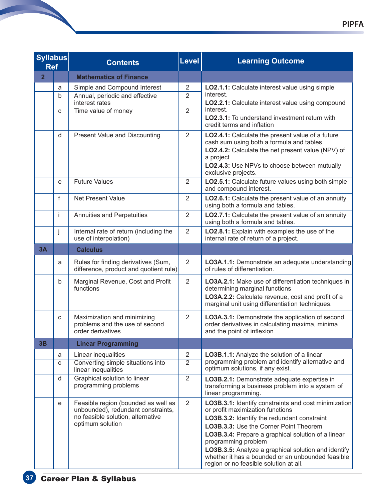| <b>Syllabus</b><br><b>Ref</b> |   | <b>Contents</b>                                                                                                                    | Level          | <b>Learning Outcome</b>                                                                                                                                                                                                                                                                                                                                                                                              |
|-------------------------------|---|------------------------------------------------------------------------------------------------------------------------------------|----------------|----------------------------------------------------------------------------------------------------------------------------------------------------------------------------------------------------------------------------------------------------------------------------------------------------------------------------------------------------------------------------------------------------------------------|
| $\overline{2}$                |   | <b>Mathematics of Finance</b>                                                                                                      |                |                                                                                                                                                                                                                                                                                                                                                                                                                      |
|                               | a | Simple and Compound Interest                                                                                                       | $\overline{2}$ | LO2.1.1: Calculate interest value using simple                                                                                                                                                                                                                                                                                                                                                                       |
|                               | b | Annual, periodic and effective<br>interest rates                                                                                   | $\overline{2}$ | interest.<br>LO2.2.1: Calculate interest value using compound                                                                                                                                                                                                                                                                                                                                                        |
|                               | C | Time value of money                                                                                                                | $\overline{2}$ | interest.<br>LO2.3.1: To understand investment return with<br>credit terms and inflation                                                                                                                                                                                                                                                                                                                             |
|                               | d | <b>Present Value and Discounting</b>                                                                                               | $\overline{2}$ | LO2.4.1: Calculate the present value of a future<br>cash sum using both a formula and tables<br>LO2.4.2: Calculate the net present value (NPV) of<br>a project<br>LO2.4.3: Use NPVs to choose between mutually<br>exclusive projects.                                                                                                                                                                                |
|                               | e | <b>Future Values</b>                                                                                                               | $\overline{2}$ | LO2.5.1: Calculate future values using both simple<br>and compound interest.                                                                                                                                                                                                                                                                                                                                         |
|                               | f | <b>Net Present Value</b>                                                                                                           | $\overline{2}$ | LO2.6.1: Calculate the present value of an annuity<br>using both a formula and tables.                                                                                                                                                                                                                                                                                                                               |
|                               | Ĺ | Annuities and Perpetuities                                                                                                         | $\overline{2}$ | LO2.7.1: Calculate the present value of an annuity<br>using both a formula and tables.                                                                                                                                                                                                                                                                                                                               |
|                               | j | Internal rate of return (including the<br>use of interpolation)                                                                    | $\overline{2}$ | LO2.8.1: Explain with examples the use of the<br>internal rate of return of a project.                                                                                                                                                                                                                                                                                                                               |
| 3A                            |   | <b>Calculus</b>                                                                                                                    |                |                                                                                                                                                                                                                                                                                                                                                                                                                      |
|                               | a | Rules for finding derivatives (Sum,<br>difference, product and quotient rule)                                                      | $\overline{2}$ | LO3A.1.1: Demonstrate an adequate understanding<br>of rules of differentiation.                                                                                                                                                                                                                                                                                                                                      |
|                               | b | Marginal Revenue, Cost and Profit<br>functions                                                                                     | $\overline{2}$ | LO3A.2.1: Make use of differentiation techniques in<br>determining marginal functions<br>LO3A.2.2: Calculate revenue, cost and profit of a<br>marginal unit using differentiation techniques.                                                                                                                                                                                                                        |
|                               | C | Maximization and minimizing<br>problems and the use of second<br>order derivatives                                                 | $\overline{2}$ | LO3A.3.1: Demonstrate the application of second<br>order derivatives in calculating maxima, minima<br>and the point of inflexion.                                                                                                                                                                                                                                                                                    |
| 3B                            |   | <b>Linear Programming</b>                                                                                                          |                |                                                                                                                                                                                                                                                                                                                                                                                                                      |
|                               | a | Linear inequalities                                                                                                                | $\overline{2}$ | LO3B.1.1: Analyze the solution of a linear                                                                                                                                                                                                                                                                                                                                                                           |
|                               | C | Converting simple situations into<br>linear inequalities                                                                           | $\overline{2}$ | programming problem and identify alternative and<br>optimum solutions, if any exist.                                                                                                                                                                                                                                                                                                                                 |
|                               | d | Graphical solution to linear<br>programming problems                                                                               | $\overline{2}$ | LO3B.2.1: Demonstrate adequate expertise in<br>transforming a business problem into a system of<br>linear programming.                                                                                                                                                                                                                                                                                               |
|                               | e | Feasible region (bounded as well as<br>unbounded), redundant constraints,<br>no feasible solution, alternative<br>optimum solution | $\overline{2}$ | LO3B.3.1: Identify constraints and cost minimization<br>or profit maximization functions<br>LO3B.3.2: Identify the redundant constraint<br>LO3B.3.3: Use the Corner Point Theorem<br>LO3B.3.4: Prepare a graphical solution of a linear<br>programming problem<br>LO3B.3.5: Analyze a graphical solution and identify<br>whether it has a bounded or an unbounded feasible<br>region or no feasible solution at all. |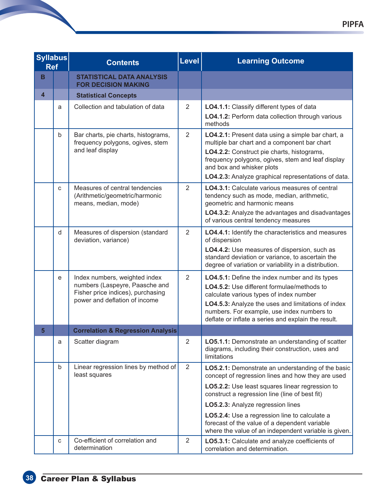| <b>Syllabus</b><br><b>Ref</b> |              | <b>Contents</b>                                                                                                                       | <b>Level</b>   | <b>Learning Outcome</b>                                                                                                                                                                                                                                                                                                                                                                                     |
|-------------------------------|--------------|---------------------------------------------------------------------------------------------------------------------------------------|----------------|-------------------------------------------------------------------------------------------------------------------------------------------------------------------------------------------------------------------------------------------------------------------------------------------------------------------------------------------------------------------------------------------------------------|
| B                             |              | <b>STATISTICAL DATA ANALYSIS</b><br><b>FOR DECISION MAKING</b>                                                                        |                |                                                                                                                                                                                                                                                                                                                                                                                                             |
| $\overline{\mathbf{4}}$       |              | <b>Statistical Concepts</b>                                                                                                           |                |                                                                                                                                                                                                                                                                                                                                                                                                             |
|                               | a            | Collection and tabulation of data                                                                                                     | 2              | LO4.1.1: Classify different types of data<br>LO4.1.2: Perform data collection through various<br>methods                                                                                                                                                                                                                                                                                                    |
|                               | $\mathsf{b}$ | Bar charts, pie charts, histograms,<br>frequency polygons, ogives, stem<br>and leaf display                                           | $\overline{2}$ | LO4.2.1: Present data using a simple bar chart, a<br>multiple bar chart and a component bar chart<br>LO4.2.2: Construct pie charts, histograms,<br>frequency polygons, ogives, stem and leaf display<br>and box and whisker plots<br>LO4.2.3: Analyze graphical representations of data.                                                                                                                    |
|                               | $\mathbf C$  | Measures of central tendencies<br>(Arithmetic/geometric/harmonic<br>means, median, mode)                                              | $\overline{2}$ | <b>LO4.3.1:</b> Calculate various measures of central<br>tendency such as mode, median, arithmetic,<br>geometric and harmonic means<br>LO4.3.2: Analyze the advantages and disadvantages<br>of various central tendency measures                                                                                                                                                                            |
|                               | d            | Measures of dispersion (standard<br>deviation, variance)                                                                              | $\overline{2}$ | LO4.4.1: Identify the characteristics and measures<br>of dispersion<br>LO4.4.2: Use measures of dispersion, such as<br>standard deviation or variance, to ascertain the<br>degree of variation or variability in a distribution.                                                                                                                                                                            |
|                               | e            | Index numbers, weighted index<br>numbers (Laspeyre, Paasche and<br>Fisher price indices), purchasing<br>power and deflation of income | $\overline{2}$ | LO4.5.1: Define the index number and its types<br><b>LO4.5.2:</b> Use different formulae/methods to<br>calculate various types of index number<br>LO4.5.3: Analyze the uses and limitations of index<br>numbers. For example, use index numbers to<br>deflate or inflate a series and explain the result.                                                                                                   |
| 5                             |              | <b>Correlation &amp; Regression Analysis</b>                                                                                          |                |                                                                                                                                                                                                                                                                                                                                                                                                             |
|                               | a            | Scatter diagram                                                                                                                       | $\overline{2}$ | LO5.1.1: Demonstrate an understanding of scatter<br>diagrams, including their construction, uses and<br>limitations                                                                                                                                                                                                                                                                                         |
|                               | $\mathsf b$  | Linear regression lines by method of<br>least squares                                                                                 | 2              | LO5.2.1: Demonstrate an understanding of the basic<br>concept of regression lines and how they are used<br>LO5.2.2: Use least squares linear regression to<br>construct a regression line (line of best fit)<br>LO5.2.3: Analyze regression lines<br>LO5.2.4: Use a regression line to calculate a<br>forecast of the value of a dependent variable<br>where the value of an independent variable is given. |
|                               | C            | Co-efficient of correlation and<br>determination                                                                                      | $\overline{2}$ | LO5.3.1: Calculate and analyze coefficients of<br>correlation and determination.                                                                                                                                                                                                                                                                                                                            |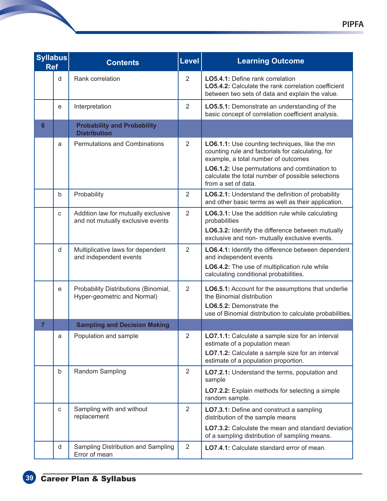| <b>Syllabus</b><br><b>Ref</b> |             | <b>Contents</b>                                                          | <b>Level</b>   | <b>Learning Outcome</b>                                                                                                                                                                   |
|-------------------------------|-------------|--------------------------------------------------------------------------|----------------|-------------------------------------------------------------------------------------------------------------------------------------------------------------------------------------------|
|                               | d           | Rank correlation                                                         | $\overline{2}$ | <b>LO5.4.1:</b> Define rank correlation<br><b>LO5.4.2:</b> Calculate the rank correlation coefficient<br>between two sets of data and explain the value.                                  |
|                               | e           | Interpretation                                                           | $\overline{2}$ | LO5.5.1: Demonstrate an understanding of the<br>basic concept of correlation coefficient analysis.                                                                                        |
| 6                             |             | <b>Probability and Probability</b><br><b>Distribution</b>                |                |                                                                                                                                                                                           |
|                               | a           | <b>Permutations and Combinations</b>                                     | $\overline{2}$ | LO6.1.1: Use counting techniques, like the mn<br>counting rule and factorials for calculating, for<br>example, a total number of outcomes<br>LO6.1.2: Use permutations and combination to |
|                               |             |                                                                          |                | calculate the total number of possible selections<br>from a set of data.                                                                                                                  |
|                               | b           | Probability                                                              | $\overline{2}$ | LO6.2.1: Understand the definition of probability<br>and other basic terms as well as their application.                                                                                  |
|                               | C           | Addition law for mutually exclusive<br>and not mutually exclusive events | $\overline{2}$ | LO6.3.1: Use the addition rule while calculating<br>probabilities<br>LO6.3.2: Identify the difference between mutually<br>exclusive and non- mutually exclusive events.                   |
|                               | d           | Multiplicative laws for dependent<br>and independent events              | $\overline{2}$ | LO6.4.1: Identify the difference between dependent<br>and independent events<br>LO6.4.2: The use of multiplication rule while<br>calculating conditional probabilities.                   |
|                               | e           | Probability Distributions (Binomial,<br>Hyper-geometric and Normal)      | $\overline{2}$ | LO6.5.1: Account for the assumptions that underlie<br>the Binomial distribution<br>LO6.5.2: Demonstrate the<br>use of Binomial distribution to calculate probabilities.                   |
| $\overline{7}$                |             | <b>Sampling and Decision Making</b>                                      |                |                                                                                                                                                                                           |
|                               | a           | Population and sample                                                    | $\overline{2}$ | LO7.1.1: Calculate a sample size for an interval<br>estimate of a population mean<br>LO7.1.2: Calculate a sample size for an interval<br>estimate of a population proportion.             |
|                               | $\mathsf b$ | Random Sampling                                                          | $\overline{2}$ | LO7.2.1: Understand the terms, population and<br>sample<br>LO7.2.2: Explain methods for selecting a simple                                                                                |
|                               |             |                                                                          |                | random sample.                                                                                                                                                                            |
|                               | $\mathbf C$ | Sampling with and without<br>replacement                                 | $\overline{2}$ | LO7.3.1: Define and construct a sampling<br>distribution of the sample means                                                                                                              |
|                               |             |                                                                          |                | <b>LO7.3.2:</b> Calculate the mean and standard deviation<br>of a sampling distribution of sampling means.                                                                                |
|                               | d           | Sampling Distribution and Sampling<br>Error of mean                      | $\overline{2}$ | LO7.4.1: Calculate standard error of mean.                                                                                                                                                |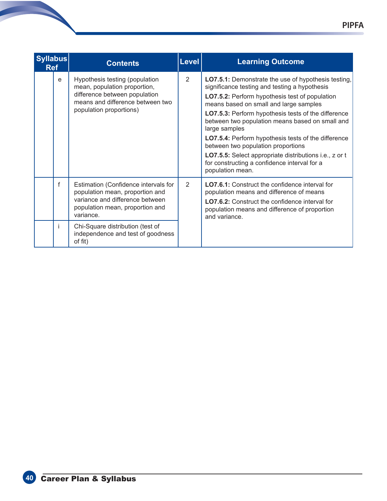| <b>Syllabus</b><br><b>Ref</b> |   | <b>Contents</b>                                                                                                                                                | <b>Level</b> | <b>Learning Outcome</b>                                                                                                                                                                                                                                                                                                                                                                                                                                                                                                                                       |
|-------------------------------|---|----------------------------------------------------------------------------------------------------------------------------------------------------------------|--------------|---------------------------------------------------------------------------------------------------------------------------------------------------------------------------------------------------------------------------------------------------------------------------------------------------------------------------------------------------------------------------------------------------------------------------------------------------------------------------------------------------------------------------------------------------------------|
|                               | e | Hypothesis testing (population<br>mean, population proportion,<br>difference between population<br>means and difference between two<br>population proportions) | 2            | LO7.5.1: Demonstrate the use of hypothesis testing,<br>significance testing and testing a hypothesis<br>LO7.5.2: Perform hypothesis test of population<br>means based on small and large samples<br>LO7.5.3: Perform hypothesis tests of the difference<br>between two population means based on small and<br>large samples<br><b>LO7.5.4:</b> Perform hypothesis tests of the difference<br>between two population proportions<br>LO7.5.5: Select appropriate distributions i.e., z or t<br>for constructing a confidence interval for a<br>population mean. |
|                               | f | Estimation (Confidence intervals for<br>population mean, proportion and<br>variance and difference between<br>population mean, proportion and<br>variance.     | 2            | <b>LO7.6.1:</b> Construct the confidence interval for<br>population means and difference of means<br>LO7.6.2: Construct the confidence interval for<br>population means and difference of proportion<br>and variance.                                                                                                                                                                                                                                                                                                                                         |
|                               |   | Chi-Square distribution (test of<br>independence and test of goodness<br>of fit)                                                                               |              |                                                                                                                                                                                                                                                                                                                                                                                                                                                                                                                                                               |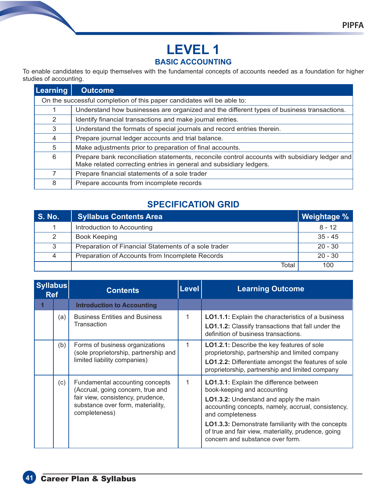#### **BASIC ACCOUNTING**

To enable candidates to equip themselves with the fundamental concepts of accounts needed as a foundation for higher studies of accounting.

| <b>Learning</b> | <b>Outcome</b>                                                                                                                                                      |  |  |  |
|-----------------|---------------------------------------------------------------------------------------------------------------------------------------------------------------------|--|--|--|
|                 | On the successful completion of this paper candidates will be able to:                                                                                              |  |  |  |
|                 | Understand how businesses are organized and the different types of business transactions.                                                                           |  |  |  |
| 2               | Identify financial transactions and make journal entries.                                                                                                           |  |  |  |
| 3               | Understand the formats of special journals and record entries therein.                                                                                              |  |  |  |
| $\overline{4}$  | Prepare journal ledger accounts and trial balance.                                                                                                                  |  |  |  |
| 5               | Make adjustments prior to preparation of final accounts.                                                                                                            |  |  |  |
| 6               | Prepare bank reconciliation statements, reconcile control accounts with subsidiary ledger and<br>Make related correcting entries in general and subsidiary ledgers. |  |  |  |
| 7               | Prepare financial statements of a sole trader                                                                                                                       |  |  |  |
| 8               | Prepare accounts from incomplete records                                                                                                                            |  |  |  |

# **SPECIFICATION GRID**

| <b>S. No.</b> | <b>Syllabus Contents Area</b>                        | Weightage % |
|---------------|------------------------------------------------------|-------------|
| 1             | Introduction to Accounting                           | $8 - 12$    |
| 2             | <b>Book Keeping</b>                                  | $35 - 45$   |
| 3             | Preparation of Financial Statements of a sole trader | $20 - 30$   |
| 4             | Preparation of Accounts from Incomplete Records      | $20 - 30$   |
|               | Total                                                | 100         |

| <b>Syllabus</b><br><b>Ref</b> |     | <b>Contents</b>                                                                                                                                                 | <b>Level</b> | <b>Learning Outcome</b>                                                                                                                                                                                                                                                                                                                                   |
|-------------------------------|-----|-----------------------------------------------------------------------------------------------------------------------------------------------------------------|--------------|-----------------------------------------------------------------------------------------------------------------------------------------------------------------------------------------------------------------------------------------------------------------------------------------------------------------------------------------------------------|
|                               |     | <b>Introduction to Accounting</b>                                                                                                                               |              |                                                                                                                                                                                                                                                                                                                                                           |
|                               | (a) | <b>Business Entities and Business</b><br>Transaction                                                                                                            | 1            | <b>LO1.1.1:</b> Explain the characteristics of a business<br><b>LO1.1.2:</b> Classify transactions that fall under the<br>definition of business transactions.                                                                                                                                                                                            |
|                               | (b) | Forms of business organizations<br>(sole proprietorship, partnership and<br>limited liability companies)                                                        | 1            | <b>LO1.2.1:</b> Describe the key features of sole<br>proprietorship, partnership and limited company<br>LO1.2.2: Differentiate amongst the features of sole<br>proprietorship, partnership and limited company                                                                                                                                            |
|                               | (c) | Fundamental accounting concepts<br>(Accrual, going concern, true and<br>fair view, consistency, prudence,<br>substance over form, materiality,<br>completeness) | 1            | LO1.3.1: Explain the difference between<br>book-keeping and accounting<br><b>LO1.3.2:</b> Understand and apply the main<br>accounting concepts, namely, accrual, consistency,<br>and completeness<br><b>LO1.3.3:</b> Demonstrate familiarity with the concepts<br>of true and fair view, materiality, prudence, going<br>concern and substance over form. |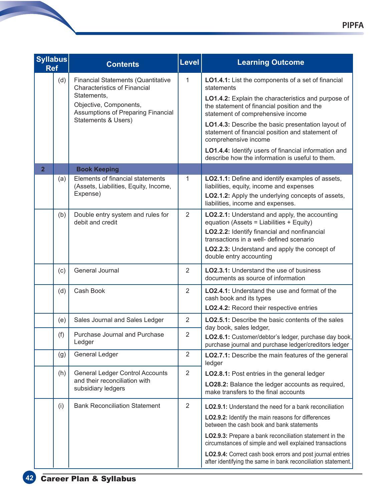| <b>Syllabus</b><br><b>Ref</b> |     | <b>Contents</b>                                                                                                           | <b>Level</b>   | <b>Learning Outcome</b>                                                                                                                                                                                                                                          |
|-------------------------------|-----|---------------------------------------------------------------------------------------------------------------------------|----------------|------------------------------------------------------------------------------------------------------------------------------------------------------------------------------------------------------------------------------------------------------------------|
|                               | (d) | <b>Financial Statements (Quantitative</b><br><b>Characteristics of Financial</b><br>Statements,<br>Objective, Components, | $\mathbf{1}$   | LO1.4.1: List the components of a set of financial<br>statements<br>LO1.4.2: Explain the characteristics and purpose of<br>the statement of financial position and the                                                                                           |
|                               |     | Assumptions of Preparing Financial<br><b>Statements &amp; Users)</b>                                                      |                | statement of comprehensive income<br>LO1.4.3: Describe the basic presentation layout of<br>statement of financial position and statement of<br>comprehensive income                                                                                              |
|                               |     |                                                                                                                           |                | LO1.4.4: Identify users of financial information and<br>describe how the information is useful to them.                                                                                                                                                          |
| $\overline{2}$                |     | <b>Book Keeping</b>                                                                                                       |                |                                                                                                                                                                                                                                                                  |
|                               | (a) | Elements of financial statements<br>(Assets, Liabilities, Equity, Income,<br>Expense)                                     | 1              | LO2.1.1: Define and identify examples of assets,<br>liabilities, equity, income and expenses<br>LO2.1.2: Apply the underlying concepts of assets,<br>liabilities, income and expenses.                                                                           |
|                               | (b) | Double entry system and rules for<br>debit and credit                                                                     | $\overline{2}$ | LO2.2.1: Understand and apply, the accounting<br>equation (Assets = Liabilities + Equity)<br>LO2.2.2: Identify financial and nonfinancial<br>transactions in a well- defined scenario<br>LO2.2.3: Understand and apply the concept of<br>double entry accounting |
|                               | (c) | General Journal                                                                                                           | $\overline{2}$ | <b>LO2.3.1:</b> Understand the use of business<br>documents as source of information                                                                                                                                                                             |
|                               | (d) | Cash Book                                                                                                                 | $\overline{2}$ | <b>LO2.4.1:</b> Understand the use and format of the<br>cash book and its types<br>LO2.4.2: Record their respective entries                                                                                                                                      |
|                               | (e) | Sales Journal and Sales Ledger                                                                                            | 2              | <b>LO2.5.1:</b> Describe the basic contents of the sales<br>day book, sales ledger,                                                                                                                                                                              |
|                               | (f) | <b>Purchase Journal and Purchase</b><br>Ledger                                                                            | $\overline{2}$ | LO2.6.1: Customer/debtor's ledger, purchase day book,<br>purchase journal and purchase ledger/creditors ledger                                                                                                                                                   |
|                               | (g) | <b>General Ledger</b>                                                                                                     | $\overline{2}$ | LO2.7.1: Describe the main features of the general<br>ledger                                                                                                                                                                                                     |
|                               | (h) | <b>General Ledger Control Accounts</b>                                                                                    | $\overline{2}$ | LO2.8.1: Post entries in the general ledger                                                                                                                                                                                                                      |
|                               |     | and their reconciliation with<br>subsidiary ledgers                                                                       |                | LO28.2: Balance the ledger accounts as required,<br>make transfers to the final accounts                                                                                                                                                                         |
|                               | (i) | <b>Bank Reconciliation Statement</b>                                                                                      | $\overline{2}$ | <b>LO2.9.1:</b> Understand the need for a bank reconciliation                                                                                                                                                                                                    |
|                               |     |                                                                                                                           |                | LO2.9.2: Identify the main reasons for differences<br>between the cash book and bank statements                                                                                                                                                                  |
|                               |     |                                                                                                                           |                | LO2.9.3: Prepare a bank reconciliation statement in the<br>circumstances of simple and well explained transactions                                                                                                                                               |
|                               |     |                                                                                                                           |                | LO2.9.4: Correct cash book errors and post journal entries<br>after identifying the same in bank reconciliation statement.                                                                                                                                       |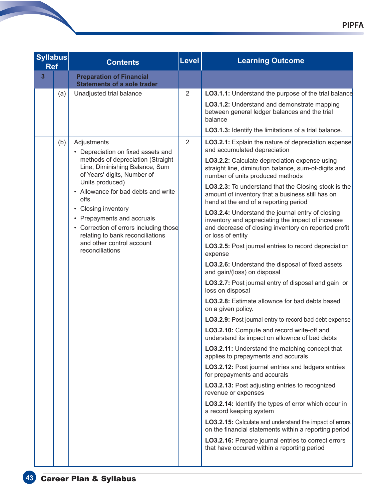| <b>Syllabus</b><br><b>Ref</b> |                |     | <b>Contents</b>                                                                                                                                                                                                                                   | Level          | <b>Learning Outcome</b>                                                                                                                                                            |
|-------------------------------|----------------|-----|---------------------------------------------------------------------------------------------------------------------------------------------------------------------------------------------------------------------------------------------------|----------------|------------------------------------------------------------------------------------------------------------------------------------------------------------------------------------|
|                               | $\overline{3}$ |     | <b>Preparation of Financial</b><br><b>Statements of a sole trader</b>                                                                                                                                                                             |                |                                                                                                                                                                                    |
|                               |                | (a) | Unadjusted trial balance                                                                                                                                                                                                                          | $\overline{2}$ | <b>LO3.1.1:</b> Understand the purpose of the trial balance                                                                                                                        |
|                               |                |     |                                                                                                                                                                                                                                                   |                | LO3.1.2: Understand and demonstrate mapping<br>between general ledger balances and the trial<br>balance                                                                            |
|                               |                |     |                                                                                                                                                                                                                                                   |                | LO3.1.3: Identify the limitations of a trial balance.                                                                                                                              |
|                               |                | (b) | Adjustments<br>• Depreciation on fixed assets and                                                                                                                                                                                                 | 2              | LO3.2.1: Explain the nature of depreciation expense<br>and accumulated depreciation                                                                                                |
|                               |                |     | methods of depreciation (Straight<br>Line, Diminishing Balance, Sum<br>of Years' digits, Number of                                                                                                                                                |                | LO3.2.2: Calculate depreciation expense using<br>straight line, diminution balance, sum-of-digits and<br>number of units produced methods                                          |
|                               |                |     | Units produced)<br>• Allowance for bad debts and write<br>offs<br>• Closing inventory<br>• Prepayments and accruals<br>• Correction of errors including those<br>relating to bank reconciliations<br>and other control account<br>reconciliations |                | LO3.2.3: To understand that the Closing stock is the<br>amount of inventory that a business still has on<br>hand at the end of a reporting period                                  |
|                               |                |     |                                                                                                                                                                                                                                                   |                | LO3.2.4: Understand the journal entry of closing<br>inventory and appreciating the impact of increase<br>and decrease of closing inventory on reported profit<br>or loss of entity |
|                               |                |     |                                                                                                                                                                                                                                                   |                | LO3.2.5: Post journal entries to record depreciation<br>expense                                                                                                                    |
|                               |                |     |                                                                                                                                                                                                                                                   |                | LO3.2.6: Understand the disposal of fixed assets<br>and gain/(loss) on disposal                                                                                                    |
|                               |                |     |                                                                                                                                                                                                                                                   |                | LO3.2.7: Post journal entry of disposal and gain or<br>loss on disposal                                                                                                            |
|                               |                |     |                                                                                                                                                                                                                                                   |                | LO3.2.8: Estimate allownce for bad debts based<br>on a given policy.                                                                                                               |
|                               |                |     |                                                                                                                                                                                                                                                   |                | LO3.2.9: Post journal entry to record bad debt expense                                                                                                                             |
|                               |                |     |                                                                                                                                                                                                                                                   |                | LO3.2.10: Compute and record write-off and<br>understand its impact on allownce of bed debts                                                                                       |
|                               |                |     |                                                                                                                                                                                                                                                   |                | <b>LO3.2.11:</b> Understand the matching concept that<br>applies to prepayments and accurals                                                                                       |
|                               |                |     |                                                                                                                                                                                                                                                   |                | LO3.2.12: Post journal entries and ladgers entries<br>for prepayments and accurals                                                                                                 |
|                               |                |     |                                                                                                                                                                                                                                                   |                | <b>LO3.2.13:</b> Post adjusting entries to recognized<br>revenue or expenses                                                                                                       |
|                               |                |     |                                                                                                                                                                                                                                                   |                | LO3.2.14: Identify the types of error which occur in<br>a record keeping system                                                                                                    |
|                               |                |     |                                                                                                                                                                                                                                                   |                | LO3.2.15: Calculate and understand the impact of errors<br>on the financial statements within a reporting period                                                                   |
|                               |                |     |                                                                                                                                                                                                                                                   |                | LO3.2.16: Prepare journal entries to correct errors<br>that have occured within a reporting period                                                                                 |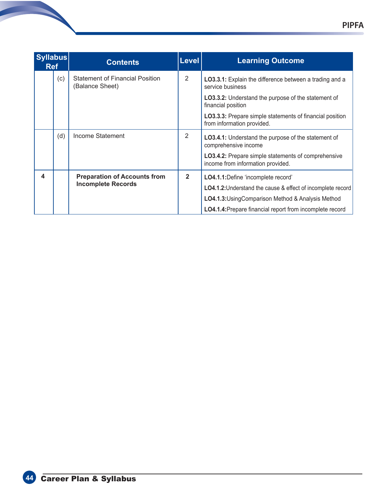| <b>Syllabus</b><br><b>Ref</b> |                           | <b>Contents</b>                                           | <b>Level</b>   | <b>Learning Outcome</b>                                                                         |
|-------------------------------|---------------------------|-----------------------------------------------------------|----------------|-------------------------------------------------------------------------------------------------|
|                               | (c)                       | <b>Statement of Financial Position</b><br>(Balance Sheet) | $\overline{2}$ | LO3.3.1: Explain the difference between a trading and a<br>service business                     |
|                               |                           |                                                           |                | <b>LO3.3.2:</b> Understand the purpose of the statement of<br>financial position                |
|                               |                           |                                                           |                | <b>LO3.3.3:</b> Prepare simple statements of financial position<br>from information provided.   |
|                               | (d)                       | Income Statement                                          | 2              | <b>LO3.4.1:</b> Understand the purpose of the statement of<br>comprehensive income              |
|                               |                           |                                                           |                | <b>LO3.4.2:</b> Prepare simple statements of comprehensive<br>income from information provided. |
| 4                             |                           | <b>Preparation of Accounts from</b>                       | $\mathbf{2}$   | LO4.1.1: Define 'incomplete record'                                                             |
|                               | <b>Incomplete Records</b> |                                                           |                | <b>LO4.1.2:</b> Understand the cause & effect of incomplete record                              |
|                               |                           |                                                           |                | LO4.1.3: Using Comparison Method & Analysis Method                                              |
|                               |                           |                                                           |                | LO4.1.4: Prepare financial report from incomplete record                                        |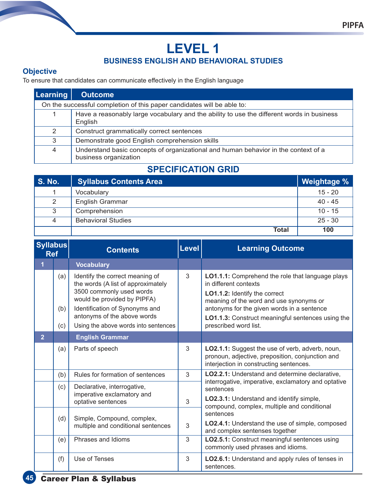# **LEVEL 1 BUSINESS ENGLISH AND BEHAVIORAL STUDIES**

#### **Objective**

To ensure that candidates can communicate effectively in the English language

| <b>Learning</b> | <b>Outcome</b>                                                                                              |  |  |  |  |  |
|-----------------|-------------------------------------------------------------------------------------------------------------|--|--|--|--|--|
|                 | On the successful completion of this paper candidates will be able to:                                      |  |  |  |  |  |
| 1               | Have a reasonably large vocabulary and the ability to use the different words in business<br>English        |  |  |  |  |  |
| 2               | Construct grammatically correct sentences                                                                   |  |  |  |  |  |
| 3               | Demonstrate good English comprehension skills                                                               |  |  |  |  |  |
| 4               | Understand basic concepts of organizational and human behavior in the context of a<br>business organization |  |  |  |  |  |

# **SPECIFICATION GRID**

| <b>S. No.</b> | <b>Syllabus Contents Area</b> | Weightage % |
|---------------|-------------------------------|-------------|
|               | Vocabulary                    | $15 - 20$   |
| 2             | <b>English Grammar</b>        | $40 - 45$   |
| 3             | Comprehension                 | $10 - 15$   |
| 4             | <b>Behavioral Studies</b>     | $25 - 30$   |
|               | Total                         | 100         |

| <b>Syllabus</b><br><b>Ref</b> |                   | <b>Contents</b>                                                                                                                                                                                                                           | <b>Level</b> | <b>Learning Outcome</b>                                                                                                                                                                                                                                                                  |
|-------------------------------|-------------------|-------------------------------------------------------------------------------------------------------------------------------------------------------------------------------------------------------------------------------------------|--------------|------------------------------------------------------------------------------------------------------------------------------------------------------------------------------------------------------------------------------------------------------------------------------------------|
|                               |                   | <b>Vocabulary</b>                                                                                                                                                                                                                         |              |                                                                                                                                                                                                                                                                                          |
|                               | (a)<br>(b)<br>(c) | Identify the correct meaning of<br>the words (A list of approximately<br>3500 commonly used words<br>would be provided by PIPFA)<br>Identification of Synonyms and<br>antonyms of the above words<br>Using the above words into sentences | 3            | LO1.1.1: Comprehend the role that language plays<br>in different contexts<br>LO1.1.2: Identify the correct<br>meaning of the word and use synonyms or<br>antonyms for the given words in a sentence<br><b>LO1.1.3:</b> Construct meaningful sentences using the<br>prescribed word list. |
| $\overline{2}$                |                   | <b>English Grammar</b>                                                                                                                                                                                                                    |              |                                                                                                                                                                                                                                                                                          |
|                               | (a)               | Parts of speech                                                                                                                                                                                                                           | 3            | LO2.1.1: Suggest the use of verb, adverb, noun,<br>pronoun, adjective, preposition, conjunction and<br>interjection in constructing sentences.                                                                                                                                           |
|                               | (b)               | Rules for formation of sentences                                                                                                                                                                                                          | 3            | LO2.2.1: Understand and determine declarative,                                                                                                                                                                                                                                           |
|                               | (c)               | Declarative, interrogative,<br>imperative exclamatory and<br>optative sentences                                                                                                                                                           | 3            | interrogative, imperative, exclamatory and optative<br>sentences<br>LO2.3.1: Understand and identify simple,<br>compound, complex, multiple and conditional                                                                                                                              |
|                               | (d)               | Simple, Compound, complex,<br>multiple and conditional sentences                                                                                                                                                                          | 3            | sentences<br>LO2.4.1: Understand the use of simple, composed<br>and complex sentenses together                                                                                                                                                                                           |
|                               | (e)               | Phrases and Idioms                                                                                                                                                                                                                        | 3            | LO2.5.1: Construct meaningful sentences using<br>commonly used phrases and idioms.                                                                                                                                                                                                       |
|                               | (f)               | Use of Tenses                                                                                                                                                                                                                             | 3            | LO2.6.1: Understand and apply rules of tenses in<br>sentences.                                                                                                                                                                                                                           |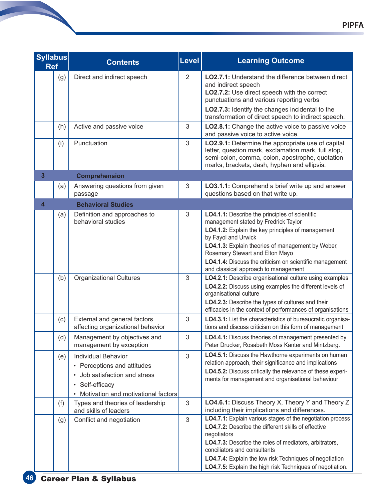| <b>Syllabus</b><br><b>Ref</b> |     | <b>Contents</b>                                                                                                                                                                         | <b>Level</b>   | <b>Learning Outcome</b>                                                                                                                                                                                                                                                                                                                            |
|-------------------------------|-----|-----------------------------------------------------------------------------------------------------------------------------------------------------------------------------------------|----------------|----------------------------------------------------------------------------------------------------------------------------------------------------------------------------------------------------------------------------------------------------------------------------------------------------------------------------------------------------|
|                               | (g) | Direct and indirect speech                                                                                                                                                              | $\overline{2}$ | <b>LO2.7.1:</b> Understand the difference between direct<br>and indirect speech<br>LO2.7.2: Use direct speech with the correct<br>punctuations and various reporting verbs<br>LO2.7.3: Identify the changes incidental to the<br>transformation of direct speech to indirect speech.                                                               |
|                               | (h) | Active and passive voice                                                                                                                                                                | 3              | LO2.8.1: Change the active voice to passive voice<br>and passive voice to active voice.                                                                                                                                                                                                                                                            |
|                               | (i) | Punctuation                                                                                                                                                                             | 3              | LO2.9.1: Determine the appropriate use of capital<br>letter, question mark, exclamation mark, full stop,<br>semi-colon, comma, colon, apostrophe, quotation<br>marks, brackets, dash, hyphen and ellipsis.                                                                                                                                         |
| 3                             |     | <b>Comprehension</b>                                                                                                                                                                    |                |                                                                                                                                                                                                                                                                                                                                                    |
|                               | (a) | Answering questions from given<br>passage                                                                                                                                               | 3              | LO3.1.1: Comprehend a brief write up and answer<br>questions based on that write up.                                                                                                                                                                                                                                                               |
| 4                             |     | <b>Behavioral Studies</b>                                                                                                                                                               |                |                                                                                                                                                                                                                                                                                                                                                    |
|                               | (a) | Definition and approaches to<br>behavioral studies                                                                                                                                      | 3              | LO4.1.1: Describe the principles of scientific<br>management stated by Fredrick Taylor<br>LO4.1.2: Explain the key principles of management<br>by Fayol and Urwick<br>LO4.1.3: Explain theories of management by Weber,<br>Rosemary Stewart and Elton Mayo<br>LO4.1.4: Discuss the criticism on scientific management                              |
|                               | (b) | <b>Organizational Cultures</b>                                                                                                                                                          | 3              | and classical approach to management<br>LO4.2.1: Describe organisational culture using examples<br>LO4.2.2: Discuss using examples the different levels of<br>organisational culture<br>LO4.2.3: Describe the types of cultures and their<br>efficacies in the context of performances of organisations                                            |
|                               | (c) | External and general factors<br>affecting organizational behavior                                                                                                                       | 3              | LO4.3.1: List the characteristics of bureaucratic organisa-<br>tions and discuss criticism on this form of management                                                                                                                                                                                                                              |
|                               | (d) | Management by objectives and<br>management by exception                                                                                                                                 | $\mathfrak{S}$ | LO4.4.1: Discuss theories of management presented by<br>Peter Drucker, Rosabeth Moss Kanter and Mintzberg.                                                                                                                                                                                                                                         |
|                               | (e) | <b>Individual Behavior</b><br>• Perceptions and attitudes<br>Job satisfaction and stress<br>$\bullet$<br>Self-efficacy<br>$\bullet$<br>Motivation and motivational factors<br>$\bullet$ | 3              | LO4.5.1: Discuss the Hawthorne experiments on human<br>relation approach, their significance and implications<br>LO4.5.2: Discuss critically the relevance of these experi-<br>ments for management and organisational behaviour                                                                                                                   |
|                               | (f) | Types and theories of leadership<br>and skills of leaders                                                                                                                               | 3              | LO4.6.1: Discuss Theory X, Theory Y and Theory Z<br>including their implications and differences.                                                                                                                                                                                                                                                  |
|                               | (g) | Conflict and negotiation                                                                                                                                                                | 3              | LO4.7.1: Explain various stages of the negotiation process<br>LO4.7.2: Describe the different skills of effective<br>negotiators<br>LO4.7.3: Describe the roles of mediators, arbitrators,<br>conciliators and consultants<br>LO4.7.4: Explain the low risk Techniques of negotiation<br>LO4.7.5: Explain the high risk Techniques of negotiation. |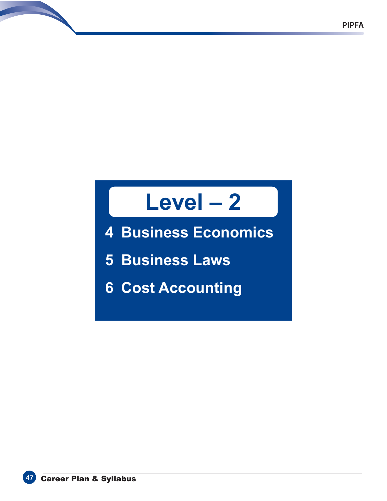# **Level – 2**

**4 Business Economics**

**5 Business Laws**

**6 Cost Accounting**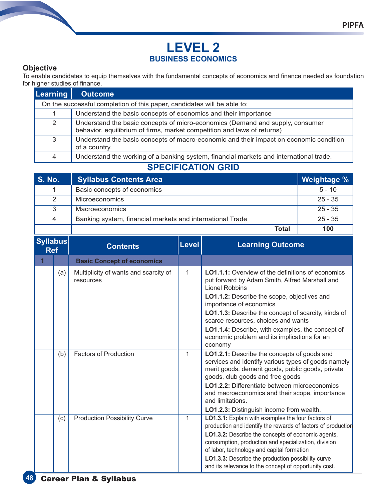# **LEVEL 2 BUSINESS ECONOMICS**

#### **Objective**

To enable candidates to equip themselves with the fundamental concepts of economics and finance needed as foundation for higher studies of finance.

| <b>Learning</b> | <b>Outcome</b>                                                                                                                                           |  |  |  |  |  |
|-----------------|----------------------------------------------------------------------------------------------------------------------------------------------------------|--|--|--|--|--|
|                 | On the successful completion of this paper, candidates will be able to:                                                                                  |  |  |  |  |  |
|                 | Understand the basic concepts of economics and their importance                                                                                          |  |  |  |  |  |
| $\overline{2}$  | Understand the basic concepts of micro-economics (Demand and supply, consumer<br>behavior, equilibrium of firms, market competition and laws of returns) |  |  |  |  |  |
| 3               | Understand the basic concepts of macro-economic and their impact on economic condition<br>of a country.                                                  |  |  |  |  |  |
| 4               | Understand the working of a banking system, financial markets and international trade.                                                                   |  |  |  |  |  |

# **SPECIFICATION GRID**

| <b>S. No.</b>  | <b>Syllabus Contents Area</b>                             | Weightage % |
|----------------|-----------------------------------------------------------|-------------|
|                | Basic concepts of economics                               | $5 - 10$    |
| 2              | <b>Microeconomics</b>                                     | $25 - 35$   |
| 3              | <b>Macroeconomics</b>                                     | $25 - 35$   |
| $\overline{4}$ | Banking system, financial markets and international Trade | $25 - 35$   |
|                | Total                                                     | 100         |

| <b>Syllabus</b><br><b>Ref</b> |     | <b>Contents</b>                                    | Level | <b>Learning Outcome</b>                                                                                                                                                                                                                                                                                                                                                                                                           |
|-------------------------------|-----|----------------------------------------------------|-------|-----------------------------------------------------------------------------------------------------------------------------------------------------------------------------------------------------------------------------------------------------------------------------------------------------------------------------------------------------------------------------------------------------------------------------------|
|                               |     | <b>Basic Concept of economics</b>                  |       |                                                                                                                                                                                                                                                                                                                                                                                                                                   |
|                               | (a) | Multiplicity of wants and scarcity of<br>resources | 1     | <b>LO1.1.1:</b> Overview of the definitions of economics<br>put forward by Adam Smith, Alfred Marshall and<br><b>Lionel Robbins</b><br>LO1.1.2: Describe the scope, objectives and<br>importance of economics<br>LO1.1.3: Describe the concept of scarcity, kinds of<br>scarce resources, choices and wants<br><b>LO1.1.4:</b> Describe, with examples, the concept of<br>economic problem and its implications for an<br>economy |
|                               | (b) | <b>Factors of Production</b>                       | 1     | LO1.2.1: Describe the concepts of goods and<br>services and identify various types of goods namely<br>merit goods, demerit goods, public goods, private<br>goods, club goods and free goods<br><b>LO1.2.2:</b> Differentiate between microeconomics<br>and macroeconomics and their scope, importance<br>and limitations.<br>LO1.2.3: Distinguish income from wealth.                                                             |
|                               | (c) | <b>Production Possibility Curve</b>                | 1     | LO1.3.1: Explain with examples the four factors of<br>production and identify the rewards of factors of production<br>LO1.3.2: Describe the concepts of economic agents,<br>consumption, production and specialization, division<br>of labor, technology and capital formation<br>LO1.3.3: Describe the production possibility curve<br>and its relevance to the concept of opportunity cost.                                     |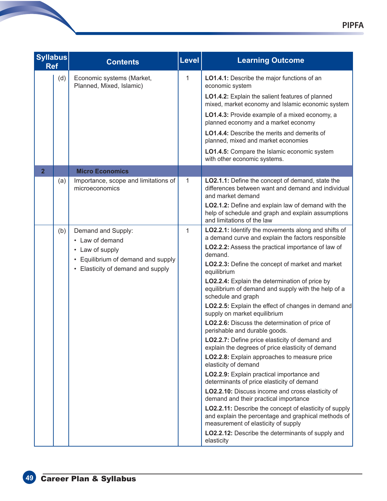| <b>Syllabus</b><br><b>Ref</b> |     | <b>Contents</b>                                                                                                                   | <b>Level</b> | <b>Learning Outcome</b>                                                                                                                                                                                                                                                                                                                                                                                                                                                                                                                                                                                                                                                                                                                                                                                                                                                                                                                                                                                                                                                                                                                                   |
|-------------------------------|-----|-----------------------------------------------------------------------------------------------------------------------------------|--------------|-----------------------------------------------------------------------------------------------------------------------------------------------------------------------------------------------------------------------------------------------------------------------------------------------------------------------------------------------------------------------------------------------------------------------------------------------------------------------------------------------------------------------------------------------------------------------------------------------------------------------------------------------------------------------------------------------------------------------------------------------------------------------------------------------------------------------------------------------------------------------------------------------------------------------------------------------------------------------------------------------------------------------------------------------------------------------------------------------------------------------------------------------------------|
|                               | (d) | Economic systems (Market,<br>Planned, Mixed, Islamic)                                                                             | $\mathbf{1}$ | LO1.4.1: Describe the major functions of an<br>economic system<br>LO1.4.2: Explain the salient features of planned<br>mixed, market economy and Islamic economic system<br>LO1.4.3: Provide example of a mixed economy, a<br>planned economy and a market economy<br><b>LO1.4.4:</b> Describe the merits and demerits of<br>planned, mixed and market economies<br>LO1.4.5: Compare the Islamic economic system<br>with other economic systems.                                                                                                                                                                                                                                                                                                                                                                                                                                                                                                                                                                                                                                                                                                           |
| $\overline{2}$                |     | <b>Micro Economics</b>                                                                                                            |              |                                                                                                                                                                                                                                                                                                                                                                                                                                                                                                                                                                                                                                                                                                                                                                                                                                                                                                                                                                                                                                                                                                                                                           |
|                               | (a) | Importance, scope and limitations of<br>microeconomics                                                                            | 1            | LO2.1.1: Define the concept of demand, state the<br>differences between want and demand and individual<br>and market demand<br>LO2.1.2: Define and explain law of demand with the<br>help of schedule and graph and explain assumptions<br>and limitations of the law                                                                                                                                                                                                                                                                                                                                                                                                                                                                                                                                                                                                                                                                                                                                                                                                                                                                                     |
|                               | (b) | Demand and Supply:<br>• Law of demand<br>• Law of supply<br>Equilibrium of demand and supply<br>• Elasticity of demand and supply | $\mathbf{1}$ | LO2.2.1: Identify the movements along and shifts of<br>a demand curve and explain the factors responsible<br>LO2.2.2: Assess the practical importance of law of<br>demand.<br>LO2.2.3: Define the concept of market and market<br>equilibrium<br>LO2.2.4: Explain the determination of price by<br>equilibrium of demand and supply with the help of a<br>schedule and graph<br>LO2.2.5: Explain the effect of changes in demand and<br>supply on market equilibrium<br>LO2.2.6: Discuss the determination of price of<br>perishable and durable goods.<br>LO2.2.7: Define price elasticity of demand and<br>explain the degrees of price elasticity of demand<br>LO2.2.8: Explain approaches to measure price<br>elasticity of demand<br>LO2.2.9: Explain practical importance and<br>determinants of price elasticity of demand<br>LO2.2.10: Discuss income and cross elasticity of<br>demand and their practical importance<br>LO2.2.11: Describe the concept of elasticity of supply<br>and explain the percentage and graphical methods of<br>measurement of elasticity of supply<br>LO2.2.12: Describe the determinants of supply and<br>elasticity |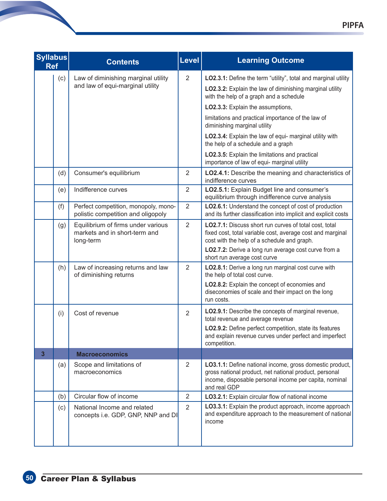| <b>Syllabus</b><br><b>Ref</b> |     | <b>Contents</b>                                                                  | <b>Level</b>   | <b>Learning Outcome</b>                                                                                                                                                                                                                                                                                                                                                                                                                                                                            |
|-------------------------------|-----|----------------------------------------------------------------------------------|----------------|----------------------------------------------------------------------------------------------------------------------------------------------------------------------------------------------------------------------------------------------------------------------------------------------------------------------------------------------------------------------------------------------------------------------------------------------------------------------------------------------------|
|                               | (c) | Law of diminishing marginal utility<br>and law of equi-marginal utility          | $\overline{2}$ | LO2.3.1: Define the term "utility", total and marginal utility<br>LO2.3.2: Explain the law of diminishing marginal utility<br>with the help of a graph and a schedule<br>LO2.3.3: Explain the assumptions,<br>limitations and practical importance of the law of<br>diminishing marginal utility<br>LO2.3.4: Explain the law of equi- marginal utility with<br>the help of a schedule and a graph<br>LO2.3.5: Explain the limitations and practical<br>importance of law of equi- marginal utility |
|                               | (d) | Consumer's equilibrium                                                           | $\overline{2}$ | LO2.4.1: Describe the meaning and characteristics of<br>indifference curves                                                                                                                                                                                                                                                                                                                                                                                                                        |
|                               | (e) | Indifference curves                                                              | $\overline{2}$ | LO2.5.1: Explain Budget line and consumer's<br>equilibrium through indifference curve analysis                                                                                                                                                                                                                                                                                                                                                                                                     |
|                               | (f) | Perfect competition, monopoly, mono-<br>polistic competition and oligopoly       | $\overline{2}$ | LO2.6.1: Understand the concept of cost of production<br>and its further classification into implicit and explicit costs                                                                                                                                                                                                                                                                                                                                                                           |
|                               | (g) | Equilibrium of firms under various<br>markets and in short-term and<br>long-term | $\overline{2}$ | LO2.7.1: Discuss short run curves of total cost, total<br>fixed cost, total variable cost, average cost and marginal<br>cost with the help of a schedule and graph.<br>LO2.7.2: Derive a long run average cost curve from a                                                                                                                                                                                                                                                                        |
|                               | (h) | Law of increasing returns and law<br>of diminishing returns                      | $\overline{2}$ | short run average cost curve<br>LO2.8.1: Derive a long run marginal cost curve with<br>the help of total cost curve.<br>LO2.8.2: Explain the concept of economies and<br>diseconomies of scale and their impact on the long<br>run costs.                                                                                                                                                                                                                                                          |
|                               | (i) | Cost of revenue                                                                  | $\overline{2}$ | LO2.9.1: Describe the concepts of marginal revenue,<br>total revenue and average revenue<br>LO2.9.2: Define perfect competition, state its features<br>and explain revenue curves under perfect and imperfect<br>competition.                                                                                                                                                                                                                                                                      |
| $\overline{\mathbf{3}}$       |     | <b>Macroeconomics</b>                                                            |                |                                                                                                                                                                                                                                                                                                                                                                                                                                                                                                    |
|                               | (a) | Scope and limitations of<br>macroeconomics                                       | 2              | LO3.1.1: Define national income, gross domestic product,<br>gross national product, net national product, personal<br>income, disposable personal income per capita, nominal<br>and real GDP                                                                                                                                                                                                                                                                                                       |
|                               | (b) | Circular flow of income                                                          | $\overline{2}$ | LO3.2.1: Explain circular flow of national income                                                                                                                                                                                                                                                                                                                                                                                                                                                  |
|                               | (c) | National Income and related<br>concepts i.e. GDP, GNP, NNP and DI                | $\overline{2}$ | LO3.3.1: Explain the product approach, income approach<br>and expenditure approach to the measurement of national<br>income                                                                                                                                                                                                                                                                                                                                                                        |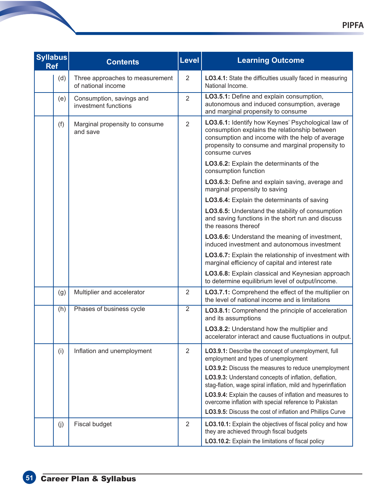| <b>Syllabus</b><br><b>Ref</b> | <b>Contents</b>                                       | Level          | <b>Learning Outcome</b>                                                                                                                                                                                                                                                                                                                                         |
|-------------------------------|-------------------------------------------------------|----------------|-----------------------------------------------------------------------------------------------------------------------------------------------------------------------------------------------------------------------------------------------------------------------------------------------------------------------------------------------------------------|
| (d)                           | Three approaches to measurement<br>of national income | $\overline{2}$ | LO3.4.1: State the difficulties usually faced in measuring<br>National Income.                                                                                                                                                                                                                                                                                  |
| (e)                           | Consumption, savings and<br>investment functions      | $\overline{2}$ | LO3.5.1: Define and explain consumption,<br>autonomous and induced consumption, average<br>and marginal propensity to consume                                                                                                                                                                                                                                   |
| (f)                           | Marginal propensity to consume<br>and save            | $\overline{2}$ | LO3.6.1: Identify how Keynes' Psychological law of<br>consumption explains the relationship between<br>consumption and income with the help of average<br>propensity to consume and marginal propensity to<br>consume curves                                                                                                                                    |
|                               |                                                       |                | LO3.6.2: Explain the determinants of the<br>consumption function                                                                                                                                                                                                                                                                                                |
|                               |                                                       |                | LO3.6.3: Define and explain saving, average and<br>marginal propensity to saving                                                                                                                                                                                                                                                                                |
|                               |                                                       |                | LO3.6.4: Explain the determinants of saving                                                                                                                                                                                                                                                                                                                     |
|                               |                                                       |                | LO3.6.5: Understand the stability of consumption<br>and saving functions in the short run and discuss<br>the reasons thereof                                                                                                                                                                                                                                    |
|                               |                                                       |                | LO3.6.6: Understand the meaning of investment,<br>induced investment and autonomous investment                                                                                                                                                                                                                                                                  |
|                               |                                                       |                | LO3.6.7: Explain the relationship of investment with<br>marginal efficiency of capital and interest rate                                                                                                                                                                                                                                                        |
|                               |                                                       |                | LO3.6.8: Explain classical and Keynesian approach<br>to determine equilibrium level of output/income.                                                                                                                                                                                                                                                           |
| (g)                           | Multiplier and accelerator                            | $\overline{2}$ | LO3.7.1: Comprehend the effect of the multiplier on<br>the level of national income and is limitations                                                                                                                                                                                                                                                          |
| (h)                           | Phases of business cycle                              | $\overline{2}$ | <b>LO3.8.1:</b> Comprehend the principle of acceleration<br>and its assumptions                                                                                                                                                                                                                                                                                 |
|                               |                                                       |                | LO3.8.2: Understand how the multiplier and<br>accelerator interact and cause fluctuations in output.                                                                                                                                                                                                                                                            |
| (i)                           | Inflation and unemployment                            | $\overline{2}$ | LO3.9.1: Describe the concept of unemployment, full<br>employment and types of unemployment                                                                                                                                                                                                                                                                     |
|                               |                                                       |                | LO3.9.2: Discuss the measures to reduce unemployment<br>LO3.9.3: Understand concepts of inflation, deflation,<br>stag-flation, wage spiral inflation, mild and hyperinflation<br>LO3.9.4: Explain the causes of inflation and measures to<br>overcome inflation with special reference to Pakistan<br>LO3.9.5: Discuss the cost of inflation and Phillips Curve |
| (j)                           | Fiscal budget                                         | $\overline{2}$ | LO3.10.1: Explain the objectives of fiscal policy and how<br>they are achieved through fiscal budgets<br>LO3.10.2: Explain the limitations of fiscal policy                                                                                                                                                                                                     |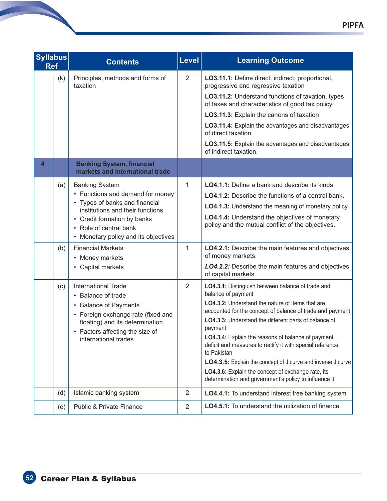| <b>Syllabus</b><br><b>Ref</b> |     | <b>Contents</b>                                                                                                                                                                                                                  | <b>Level</b>   | <b>Learning Outcome</b>                                                                                                                                                                                                                                                                                                                                                                                                                                                                                                                                                              |
|-------------------------------|-----|----------------------------------------------------------------------------------------------------------------------------------------------------------------------------------------------------------------------------------|----------------|--------------------------------------------------------------------------------------------------------------------------------------------------------------------------------------------------------------------------------------------------------------------------------------------------------------------------------------------------------------------------------------------------------------------------------------------------------------------------------------------------------------------------------------------------------------------------------------|
|                               | (k) | Principles, methods and forms of<br>taxation                                                                                                                                                                                     | $\overline{2}$ | LO3.11.1: Define direct, indirect, proportional,<br>progressive and regressive taxation<br>LO3.11.2: Understand functions of taxation, types<br>of taxes and characteristics of good tax policy<br>LO3.11.3: Explain the canons of taxation<br>LO3.11.4: Explain the advantages and disadvantages<br>of direct taxation<br>LO3.11.5: Explain the advantages and disadvantages<br>of indirect taxation.                                                                                                                                                                               |
| $\overline{\mathbf{4}}$       |     | <b>Banking System, financial</b><br>markets and international trade                                                                                                                                                              |                |                                                                                                                                                                                                                                                                                                                                                                                                                                                                                                                                                                                      |
|                               | (a) | <b>Banking System</b><br>• Functions and demand for money<br>• Types of banks and financial<br>institutions and their functions<br>• Credit formation by banks<br>• Role of central bank<br>• Monetary policy and its objectives | 1              | <b>LO4.1.1:</b> Define a bank and describe its kinds<br><b>LO4.1.2:</b> Describe the functions of a central bank.<br>LO4.1.3: Understand the meaning of monetary policy<br>LO4.1.4: Understand the objectives of monetary<br>policy and the mutual conflict of the objectives.                                                                                                                                                                                                                                                                                                       |
|                               | (b) | <b>Financial Markets</b><br>• Money markets<br>• Capital markets                                                                                                                                                                 | 1              | LO4.2.1: Describe the main features and objectives<br>of money markets.<br><b>LO4.2.2:</b> Describe the main features and objectives<br>of capital markets                                                                                                                                                                                                                                                                                                                                                                                                                           |
|                               | (c) | <b>International Trade</b><br>• Balance of trade<br>• Balance of Payments<br>• Foreign exchange rate (fixed and<br>floating) and its determination<br>• Factors affecting the size of<br>international trades                    | $\overline{2}$ | LO4.3.1: Distinguish between balance of trade and<br>balance of payment<br>LO4.3.2: Understand the nature of items that are<br>accounted for the concept of balance of trade and payment<br>LO4.3.3: Understand the different parts of balance of<br>payment<br>LO4.3.4: Explain the reasons of balance of payment<br>deficit and measures to rectify it with special reference<br>to Pakistan<br><b>LO4.3.5:</b> Explain the concept of J curve and inverse J curve<br>LO4.3.6: Explain the concept of exchange rate, its<br>determination and government's policy to influence it. |
|                               | (d) | Islamic banking system                                                                                                                                                                                                           | $\overline{2}$ | LO4.4.1: To understand interest free banking system                                                                                                                                                                                                                                                                                                                                                                                                                                                                                                                                  |
|                               | (e) | <b>Public &amp; Private Finance</b>                                                                                                                                                                                              | 2              | <b>LO4.5.1:</b> To understand the utilization of finance                                                                                                                                                                                                                                                                                                                                                                                                                                                                                                                             |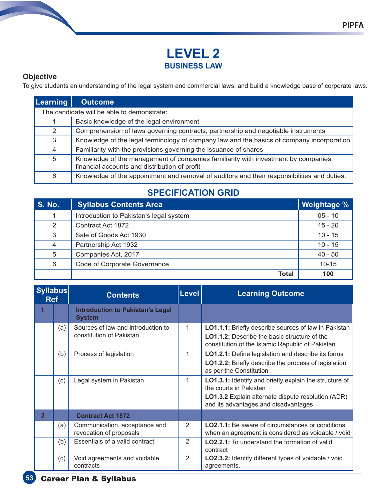# **LEVEL 2 BUSINESS LAW**

#### **Objective**

To give students an understanding of the legal system and commercial laws; and build a knowledge base of corporate laws.

| <b>Learning</b>                            | <b>Outcome</b>                                                                                                                      |  |
|--------------------------------------------|-------------------------------------------------------------------------------------------------------------------------------------|--|
| The candidate will be able to demonstrate: |                                                                                                                                     |  |
|                                            | Basic knowledge of the legal environment                                                                                            |  |
| 2                                          | Comprehension of laws governing contracts, partnership and negotiable instruments                                                   |  |
| 3                                          | Knowledge of the legal terminology of company law and the basics of company incorporation                                           |  |
| $\overline{4}$                             | Familiarity with the provisions governing the issuance of shares                                                                    |  |
| 5                                          | Knowledge of the management of companies familiarity with investment by companies,<br>financial accounts and distribution of profit |  |
| 6                                          | Knowledge of the appointment and removal of auditors and their responsibilities and duties.                                         |  |

# **SPECIFICATION GRID**

| <b>S. No.</b>  | <b>Syllabus Contents Area</b>           | <b>Weightage %</b> |
|----------------|-----------------------------------------|--------------------|
| 1              | Introduction to Pakistan's legal system | $05 - 10$          |
| 2              | Contract Act 1872                       | $15 - 20$          |
| 3              | Sale of Goods Act 1930                  | $10 - 15$          |
| $\overline{4}$ | Partnership Act 1932                    | $10 - 15$          |
| 5              | Companies Act, 2017                     | $40 - 50$          |
| 6              | Code of Corporate Governance            | $10 - 15$          |
|                | Total                                   | 100                |

| <b>Syllabus</b><br><b>Ref</b> |     | <b>Contents</b>                                                | Level          | <b>Learning Outcome</b>                                                                                                                                                                |
|-------------------------------|-----|----------------------------------------------------------------|----------------|----------------------------------------------------------------------------------------------------------------------------------------------------------------------------------------|
|                               |     | <b>Introduction to Pakistan's Legal</b><br><b>System</b>       |                |                                                                                                                                                                                        |
|                               | (a) | Sources of law and introduction to<br>constitution of Pakistan | 1              | <b>LO1.1.1:</b> Briefly describe sources of law in Pakistan<br><b>LO1.1.2:</b> Describe the basic structure of the<br>constitution of the Islamic Republic of Pakistan.                |
|                               | (b) | Process of legislation                                         | 1              | LO1.2.1: Define legislation and describe its forms<br>LO1.2.2: Briefly describe the process of legislation<br>as per the Constitution                                                  |
|                               | (c) | Legal system in Pakistan                                       | 1              | <b>LO1.3.1:</b> Identify and briefly explain the structure of<br>the courts in Pakistan<br>LO1.3.2 Explain alternate dispute resolution (ADR)<br>and its advantages and disadvantages. |
| $\overline{2}$                |     | <b>Contract Act 1872</b>                                       |                |                                                                                                                                                                                        |
|                               | (a) | Communication, acceptance and<br>revocation of proposals       | $\mathfrak{D}$ | <b>LO2.1.1:</b> Be aware of circumstances or conditions<br>when an agreement is considered as voidable / void                                                                          |
|                               | (b) | Essentials of a valid contract                                 | 2              | <b>LO2.2.1:</b> To understand the formation of valid<br>contract                                                                                                                       |
|                               | (c) | Void agreements and voidable<br>contracts                      | $\overline{2}$ | LO2.3.2: Identify different types of voidable / void<br>agreements.                                                                                                                    |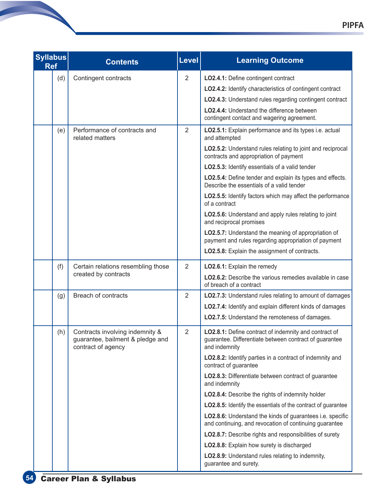| <b>Syllabus</b><br><b>Ref</b> | <b>Contents</b>                                                                           | Level          | <b>Learning Outcome</b>                                                                                                          |
|-------------------------------|-------------------------------------------------------------------------------------------|----------------|----------------------------------------------------------------------------------------------------------------------------------|
|                               | (d)<br>Contingent contracts                                                               | $\overline{2}$ | LO2.4.1: Define contingent contract                                                                                              |
|                               |                                                                                           |                | LO2.4.2: Identify characteristics of contingent contract                                                                         |
|                               |                                                                                           |                | LO2.4.3: Understand rules regarding contingent contract                                                                          |
|                               |                                                                                           |                | LO2.4.4: Understand the difference between<br>contingent contact and wagering agreement.                                         |
| (e)                           | Performance of contracts and<br>related matters                                           | $\overline{2}$ | LO2.5.1: Explain performance and its types i.e. actual<br>and attempted                                                          |
|                               |                                                                                           |                | LO2.5.2: Understand rules relating to joint and reciprocal<br>contracts and appropriation of payment                             |
|                               |                                                                                           |                | LO2.5.3: Identify essentials of a valid tender                                                                                   |
|                               |                                                                                           |                | LO2.5.4: Define tender and explain its types and effects.<br>Describe the essentials of a valid tender                           |
|                               |                                                                                           |                | <b>LO2.5.5:</b> Identify factors which may affect the performance<br>of a contract                                               |
|                               |                                                                                           |                | LO2.5.6: Understand and apply rules relating to joint<br>and reciprocal promises                                                 |
|                               |                                                                                           |                | LO2.5.7: Understand the meaning of appropriation of<br>payment and rules regarding appropriation of payment                      |
|                               |                                                                                           |                | LO2.5.8: Explain the assignment of contracts.                                                                                    |
| (f)                           | Certain relations resembling those                                                        | $\overline{2}$ | LO2.6.1: Explain the remedy                                                                                                      |
|                               | created by contracts                                                                      |                | <b>LO2.6.2:</b> Describe the various remedies available in case<br>of breach of a contract                                       |
| (g)                           | Breach of contracts                                                                       | $\overline{2}$ | LO2.7.3: Understand rules relating to amount of damages                                                                          |
|                               |                                                                                           |                | LO2.7.4: Identify and explain different kinds of damages                                                                         |
|                               |                                                                                           |                | LO2.7.5: Understand the remoteness of damages.                                                                                   |
| (h)                           | Contracts involving indemnity &<br>guarantee, bailment & pledge and<br>contract of agency | $\overline{2}$ | LO2.8.1: Define contract of indemnity and contract of<br>guarantee. Differentiate between contract of guarantee<br>and indemnity |
|                               |                                                                                           |                | LO2.8.2: Identify parties in a contract of indemnity and<br>contract of guarantee                                                |
|                               |                                                                                           |                | LO2.8.3: Differentiate between contract of guarantee<br>and indemnity                                                            |
|                               |                                                                                           |                | LO2.8.4: Describe the rights of indemnity holder                                                                                 |
|                               |                                                                                           |                | <b>LO2.8.5:</b> Identify the essentials of the contract of guarantee                                                             |
|                               |                                                                                           |                | LO2.8.6: Understand the kinds of guarantees i.e. specific<br>and continuing, and revocation of continuing guarantee              |
|                               |                                                                                           |                | LO2.8.7: Describe rights and responsibilities of surety                                                                          |
|                               |                                                                                           |                | LO2.8.8: Explain how surety is discharged                                                                                        |
|                               |                                                                                           |                | LO2.8.9: Understand rules relating to indemnity,<br>guarantee and surety.                                                        |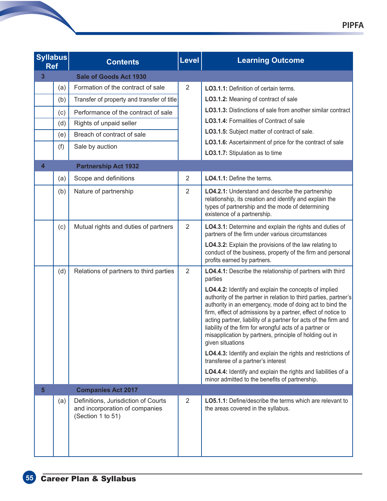| <b>Syllabus</b><br><b>Ref</b> |     | <b>Contents</b>                                                                            | <b>Level</b>   | <b>Learning Outcome</b>                                                                                                                                                                                                                                                                                                                                                                                                                                            |
|-------------------------------|-----|--------------------------------------------------------------------------------------------|----------------|--------------------------------------------------------------------------------------------------------------------------------------------------------------------------------------------------------------------------------------------------------------------------------------------------------------------------------------------------------------------------------------------------------------------------------------------------------------------|
| 3                             |     | Sale of Goods Act 1930                                                                     |                |                                                                                                                                                                                                                                                                                                                                                                                                                                                                    |
|                               | (a) | Formation of the contract of sale                                                          | $\overline{2}$ | LO3.1.1: Definition of certain terms.                                                                                                                                                                                                                                                                                                                                                                                                                              |
|                               | (b) | Transfer of property and transfer of title                                                 |                | LO3.1.2: Meaning of contract of sale                                                                                                                                                                                                                                                                                                                                                                                                                               |
|                               | (c) | Performance of the contract of sale                                                        |                | LO3.1.3: Distinctions of sale from another similar contract                                                                                                                                                                                                                                                                                                                                                                                                        |
|                               | (d) | Rights of unpaid seller                                                                    |                | LO3.1.4: Formalities of Contract of sale                                                                                                                                                                                                                                                                                                                                                                                                                           |
|                               | (e) | Breach of contract of sale                                                                 |                | LO3.1.5: Subject matter of contract of sale.                                                                                                                                                                                                                                                                                                                                                                                                                       |
|                               | (f) | Sale by auction                                                                            |                | LO3.1.6: Ascertainment of price for the contract of sale                                                                                                                                                                                                                                                                                                                                                                                                           |
|                               |     |                                                                                            |                | LO3.1.7: Stipulation as to time                                                                                                                                                                                                                                                                                                                                                                                                                                    |
| 4                             |     | <b>Partnership Act 1932</b>                                                                |                |                                                                                                                                                                                                                                                                                                                                                                                                                                                                    |
|                               | (a) | Scope and definitions                                                                      | $\overline{2}$ | LO4.1.1: Define the terms.                                                                                                                                                                                                                                                                                                                                                                                                                                         |
|                               | (b) | Nature of partnership                                                                      | 2              | LO4.2.1: Understand and describe the partnership<br>relationship, its creation and identify and explain the<br>types of partnership and the mode of determining<br>existence of a partnership.                                                                                                                                                                                                                                                                     |
|                               | (c) | Mutual rights and duties of partners                                                       | 2              | LO4.3.1: Determine and explain the rights and duties of<br>partners of the firm under various circumstances                                                                                                                                                                                                                                                                                                                                                        |
|                               |     |                                                                                            |                | LO4.3.2: Explain the provisions of the law relating to<br>conduct of the business, property of the firm and personal<br>profits earned by partners.                                                                                                                                                                                                                                                                                                                |
|                               | (d) | Relations of partners to third parties                                                     | $\overline{2}$ | LO4.4.1: Describe the relationship of partners with third<br>parties                                                                                                                                                                                                                                                                                                                                                                                               |
|                               |     |                                                                                            |                | LO4.4.2: Identify and explain the concepts of implied<br>authority of the partner in relation to third parties, partner's<br>authority in an emergency, mode of doing act to bind the<br>firm, effect of admissions by a partner, effect of notice to<br>acting partner, liability of a partner for acts of the firm and<br>liability of the firm for wrongful acts of a partner or<br>misapplication by partners, principle of holding out in<br>given situations |
|                               |     |                                                                                            |                | LO4.4.3: Identify and explain the rights and restrictions of<br>transferee of a partner's interest                                                                                                                                                                                                                                                                                                                                                                 |
|                               |     |                                                                                            |                | LO4.4.4: Identify and explain the rights and liabilities of a<br>minor admitted to the benefits of partnership.                                                                                                                                                                                                                                                                                                                                                    |
| 5.                            |     | <b>Companies Act 2017</b>                                                                  |                |                                                                                                                                                                                                                                                                                                                                                                                                                                                                    |
|                               | (a) | Definitions, Jurisdiction of Courts<br>and incorporation of companies<br>(Section 1 to 51) | 2              | <b>LO5.1.1:</b> Define/describe the terms which are relevant to<br>the areas covered in the syllabus.                                                                                                                                                                                                                                                                                                                                                              |
|                               |     |                                                                                            |                |                                                                                                                                                                                                                                                                                                                                                                                                                                                                    |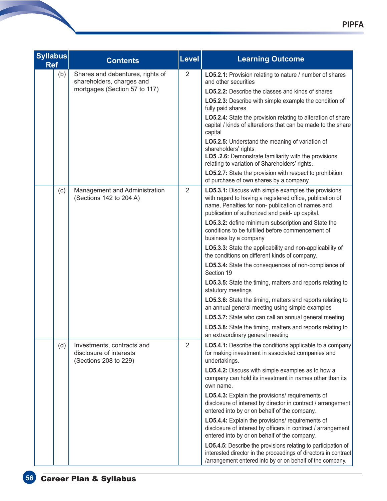| <b>Syllabus</b><br><b>Ref</b> | <b>Contents</b>                                                                | Level          | <b>Learning Outcome</b>                                                                                                                                                                                                   |
|-------------------------------|--------------------------------------------------------------------------------|----------------|---------------------------------------------------------------------------------------------------------------------------------------------------------------------------------------------------------------------------|
| (b)                           | Shares and debentures, rights of<br>shareholders, charges and                  | $\overline{2}$ | LO5.2.1: Provision relating to nature / number of shares<br>and other securities                                                                                                                                          |
|                               | mortgages (Section 57 to 117)                                                  |                | <b>LO5.2.2:</b> Describe the classes and kinds of shares                                                                                                                                                                  |
|                               |                                                                                |                | LO5.2.3: Describe with simple example the condition of<br>fully paid shares                                                                                                                                               |
|                               |                                                                                |                | LO5.2.4: State the provision relating to alteration of share<br>capital / kinds of alterations that can be made to the share<br>capital                                                                                   |
|                               |                                                                                |                | LO5.2.5: Understand the meaning of variation of<br>shareholders' rights<br>LO5 .2.6: Demonstrate familiarity with the provisions<br>relating to variation of Shareholders' rights.                                        |
|                               |                                                                                |                | LO5.2.7: State the provision with respect to prohibition<br>of purchase of own shares by a company.                                                                                                                       |
| (c)                           | Management and Administration<br>(Sections 142 to 204 A)                       | $\overline{2}$ | LO5.3.1: Discuss with simple examples the provisions<br>with regard to having a registered office, publication of<br>name, Penalties for non- publication of names and<br>publication of authorized and paid- up capital. |
|                               |                                                                                |                | LO5.3.2: define minimum subscription and State the<br>conditions to be fulfilled before commencement of<br>business by a company                                                                                          |
|                               |                                                                                |                | LO5.3.3: State the applicability and non-applicability of<br>the conditions on different kinds of company.                                                                                                                |
|                               |                                                                                |                | LO5.3.4: State the consequences of non-compliance of<br>Section 19                                                                                                                                                        |
|                               |                                                                                |                | LO5.3.5: State the timing, matters and reports relating to<br>statutory meetings                                                                                                                                          |
|                               |                                                                                |                | LO5.3.6: State the timing, matters and reports relating to<br>an annual general meeting using simple examples                                                                                                             |
|                               |                                                                                |                | LO5.3.7: State who can call an annual general meeting                                                                                                                                                                     |
|                               |                                                                                |                | LO5.3.8: State the timing, matters and reports relating to<br>an extraordinary general meeting                                                                                                                            |
| (d)                           | Investments, contracts and<br>disclosure of interests<br>(Sections 208 to 229) | $\overline{2}$ | LO5.4.1: Describe the conditions applicable to a company<br>for making investment in associated companies and<br>undertakings.                                                                                            |
|                               |                                                                                |                | LO5.4.2: Discuss with simple examples as to how a<br>company can hold its investment in names other than its<br>own name.                                                                                                 |
|                               |                                                                                |                | LO5.4.3: Explain the provisions/ requirements of<br>disclosure of interest by director in contract / arrangement<br>entered into by or on behalf of the company.                                                          |
|                               |                                                                                |                | LO5.4.4: Explain the provisions/ requirements of<br>disclosure of interest by officers in contract / arrangement<br>entered into by or on behalf of the company.                                                          |
|                               |                                                                                |                | LO5.4.5: Describe the provisions relating to participation of<br>interested director in the proceedings of directors in contract<br>/arrangement entered into by or on behalf of the company.                             |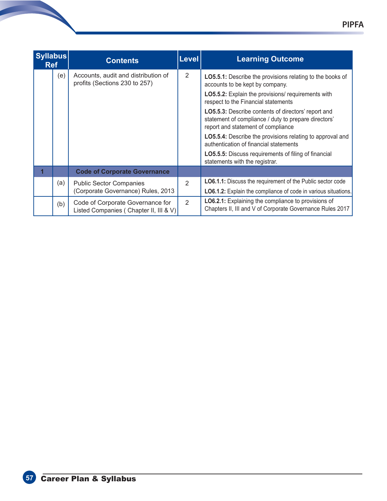| <b>Syllabus</b><br><b>Ref</b> |     | <b>Contents</b>                                                            | <b>Level</b>   | <b>Learning Outcome</b>                                                                                                                                  |
|-------------------------------|-----|----------------------------------------------------------------------------|----------------|----------------------------------------------------------------------------------------------------------------------------------------------------------|
|                               | (e) | Accounts, audit and distribution of<br>profits (Sections 230 to 257)       | 2              | LO5.5.1: Describe the provisions relating to the books of<br>accounts to be kept by company.                                                             |
|                               |     |                                                                            |                | <b>LO5.5.2:</b> Explain the provisions/ requirements with<br>respect to the Financial statements                                                         |
|                               |     |                                                                            |                | <b>LO5.5.3:</b> Describe contents of directors' report and<br>statement of compliance / duty to prepare directors'<br>report and statement of compliance |
|                               |     |                                                                            |                | LO5.5.4: Describe the provisions relating to approval and<br>authentication of financial statements                                                      |
|                               |     |                                                                            |                | <b>LO5.5.5:</b> Discuss requirements of filing of financial<br>statements with the registrar.                                                            |
|                               |     | <b>Code of Corporate Governance</b>                                        |                |                                                                                                                                                          |
|                               | (a) | <b>Public Sector Companies</b>                                             | $\overline{2}$ | LO6.1.1: Discuss the requirement of the Public sector code                                                                                               |
|                               |     | (Corporate Governance) Rules, 2013                                         |                | <b>LO6.1.2:</b> Explain the compliance of code in various situations.                                                                                    |
|                               | (b) | Code of Corporate Governance for<br>Listed Companies (Chapter II, III & V) | 2              | LO6.2.1: Explaining the compliance to provisions of<br>Chapters II, III and V of Corporate Governance Rules 2017                                         |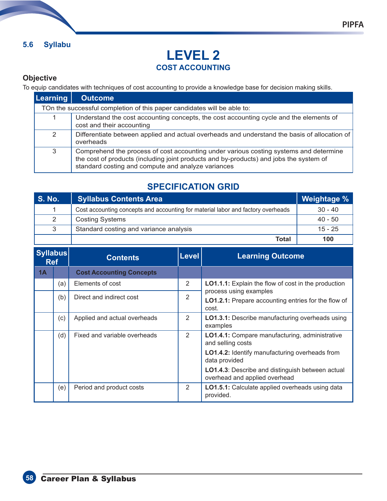#### **5.6 Syllabu**

# **LEVEL 2 COST ACCOUNTING**

#### **Objective**

To equip candidates with techniques of cost accounting to provide a knowledge base for decision making skills.

| Learning | <b>Outcome</b>                                                                                                                                                                                                                        |
|----------|---------------------------------------------------------------------------------------------------------------------------------------------------------------------------------------------------------------------------------------|
|          | TOn the successful completion of this paper candidates will be able to:                                                                                                                                                               |
|          | Understand the cost accounting concepts, the cost accounting cycle and the elements of<br>cost and their accounting                                                                                                                   |
| 2        | Differentiate between applied and actual overheads and understand the basis of allocation of<br>overheads                                                                                                                             |
| 3        | Comprehend the process of cost accounting under various costing systems and determine<br>the cost of products (including joint products and by-products) and jobs the system of<br>standard costing and compute and analyze variances |

# **SPECIFICATION GRID**

| <b>S. No.</b> | <b>Syllabus Contents Area</b>                                                    | Weightage % |
|---------------|----------------------------------------------------------------------------------|-------------|
|               | Cost accounting concepts and accounting for material labor and factory overheads | $30 - 40$   |
| 2             | <b>Costing Systems</b>                                                           | $40 - 50$   |
| 3             | Standard costing and variance analysis                                           | $15 - 25$   |
|               | Total                                                                            | 100         |

| <b>Syllabus</b><br><b>Ref</b> |     | <b>Contents</b>                 | <b>Level</b> | <b>Learning Outcome</b>                                                                       |
|-------------------------------|-----|---------------------------------|--------------|-----------------------------------------------------------------------------------------------|
| 1A                            |     | <b>Cost Accounting Concepts</b> |              |                                                                                               |
|                               | (a) | Elements of cost                | 2            | <b>LO1.1.1:</b> Explain the flow of cost in the production                                    |
|                               | (b) | Direct and indirect cost        | 2            | process using examples<br><b>LO1.2.1:</b> Prepare accounting entries for the flow of<br>cost. |
|                               | (c) | Applied and actual overheads    | 2            | <b>LO1.3.1:</b> Describe manufacturing overheads using<br>examples                            |
|                               | (d) | Fixed and variable overheads    | 2            | <b>LO1.4.1:</b> Compare manufacturing, administrative<br>and selling costs                    |
|                               |     |                                 |              | LO1.4.2: Identify manufacturing overheads from<br>data provided                               |
|                               |     |                                 |              | <b>LO1.4.3:</b> Describe and distinguish between actual<br>overhead and applied overhead      |
|                               | (e) | Period and product costs        | 2            | LO1.5.1: Calculate applied overheads using data<br>provided.                                  |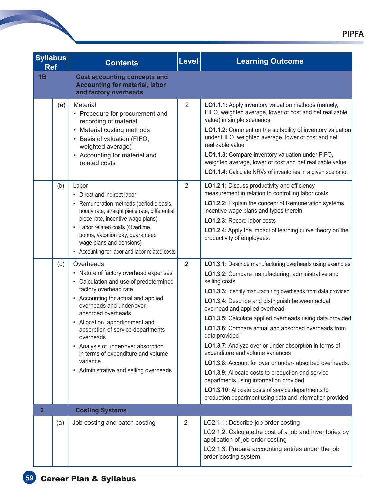| <b>Syllabus</b><br><b>Ref</b> | <b>Contents</b>                                                                                                                                                                                                                                                                                                                                                                                                                        | Level          | <b>Learning Outcome</b>                                                                                                                                                                                                                                                                                                                                                                                                                                                                                                                                                                                                                                                                                                                                                                                    |
|-------------------------------|----------------------------------------------------------------------------------------------------------------------------------------------------------------------------------------------------------------------------------------------------------------------------------------------------------------------------------------------------------------------------------------------------------------------------------------|----------------|------------------------------------------------------------------------------------------------------------------------------------------------------------------------------------------------------------------------------------------------------------------------------------------------------------------------------------------------------------------------------------------------------------------------------------------------------------------------------------------------------------------------------------------------------------------------------------------------------------------------------------------------------------------------------------------------------------------------------------------------------------------------------------------------------------|
| 1B                            | <b>Cost accounting concepts and</b><br><b>Accounting for material, labor</b><br>and factory overheads                                                                                                                                                                                                                                                                                                                                  |                |                                                                                                                                                                                                                                                                                                                                                                                                                                                                                                                                                                                                                                                                                                                                                                                                            |
| (a)                           | <b>Material</b><br>• Procedure for procurement and<br>recording of material<br>• Material costing methods<br>• Basis of valuation (FIFO,<br>weighted average)<br>• Accounting for material and<br>related costs                                                                                                                                                                                                                        | $\overline{2}$ | LO1.1.1: Apply inventory valuation methods (namely,<br>FIFO, weighted average, lower of cost and net realizable<br>value) in simple scenarios<br>LO1.1.2: Comment on the suitability of inventory valuation<br>under FIFO, weighted average, lower of cost and net<br>realizable value<br>LO1.1.3: Compare inventory valuation under FIFO,<br>weighted average, lower of cost and net realizable value<br>LO1.1.4: Calculate NRVs of inventories in a given scenario.                                                                                                                                                                                                                                                                                                                                      |
| (b)                           | Labor<br>• Direct and indirect labor<br>• Remuneration methods (periodic basis,<br>hourly rate, straight piece rate, differential<br>piece rate, incentive wage plans)<br>• Labor related costs (Overtime,<br>bonus, vacation pay, guaranteed<br>wage plans and pensions)<br>• Accounting for labor and labor related costs                                                                                                            | $\overline{2}$ | LO1.2.1: Discuss productivity and efficiency<br>measurement in relation to controlling labor costs<br>LO1.2.2: Explain the concept of Remuneration systems,<br>incentive wage plans and types therein.<br>LO1.2.3: Record labor costs<br>LO1.2.4: Apply the impact of learning curve theory on the<br>productivity of employees.                                                                                                                                                                                                                                                                                                                                                                                                                                                                           |
| (c)                           | Overheads<br>• Nature of factory overhead expenses<br>• Calculation and use of predetermined<br>factory overhead rate<br>• Accounting for actual and applied<br>overheads and under/over<br>absorbed overheads<br>• Allocation, apportionment and<br>absorption of service departments<br>overheads<br>• Analysis of under/over absorption<br>in terms of expenditure and volume<br>variance<br>• Administrative and selling overheads | $\overline{2}$ | LO1.3.1: Describe manufacturing overheads using examples<br>LO1.3.2: Compare manufacturing, administrative and<br>selling costs<br>LO1.3.3: Identify manufacturing overheads from data provided<br>LO1.3.4: Describe and distinguish between actual<br>overhead and applied overhead<br><b>LO1.3.5:</b> Calculate applied overheads using data provided<br>LO1.3.6: Compare actual and absorbed overheads from<br>data provided<br>LO1.3.7: Analyze over or under absorption in terms of<br>expenditure and volume variances<br>LO1.3.8: Account for over or under- absorbed overheads.<br>LO1.3.9: Allocate costs to production and service<br>departments using information provided<br>LO1.3.10: Allocate costs of service departments to<br>production department using data and information provided. |
| $\overline{2}$                | <b>Costing Systems</b>                                                                                                                                                                                                                                                                                                                                                                                                                 |                |                                                                                                                                                                                                                                                                                                                                                                                                                                                                                                                                                                                                                                                                                                                                                                                                            |
| (a)                           | Job costing and batch costing                                                                                                                                                                                                                                                                                                                                                                                                          | $\overline{2}$ | LO2.1.1: Describe job order costing<br>LO2.1.2: Calculatethe cost of a job and inventories by<br>application of job order costing<br>LO2.1.3: Prepare accounting entries under the job<br>order costing system.                                                                                                                                                                                                                                                                                                                                                                                                                                                                                                                                                                                            |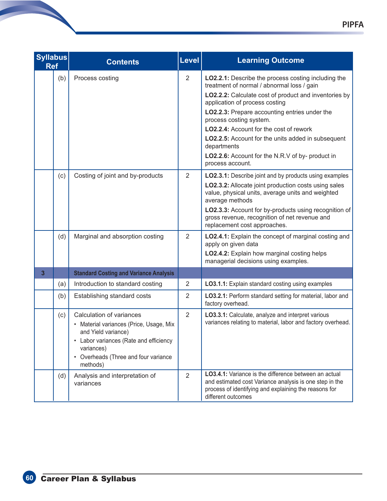| <b>Syllabus</b><br><b>Ref</b> | <b>Contents</b>                                                                                                                                                                                        | <b>Level</b>   | <b>Learning Outcome</b>                                                                                                                                                                                                                                                                                                                                                                                                                                          |
|-------------------------------|--------------------------------------------------------------------------------------------------------------------------------------------------------------------------------------------------------|----------------|------------------------------------------------------------------------------------------------------------------------------------------------------------------------------------------------------------------------------------------------------------------------------------------------------------------------------------------------------------------------------------------------------------------------------------------------------------------|
| (b)                           | Process costing                                                                                                                                                                                        | $\overline{2}$ | LO2.2.1: Describe the process costing including the<br>treatment of normal / abnormal loss / gain<br>LO2.2.2: Calculate cost of product and inventories by<br>application of process costing<br>LO2.2.3: Prepare accounting entries under the<br>process costing system.<br>LO2.2.4: Account for the cost of rework<br>LO2.2.5: Account for the units added in subsequent<br>departments<br>LO2.2.6: Account for the N.R.V of by- product in<br>process account. |
| (c)                           | Costing of joint and by-products                                                                                                                                                                       | $\overline{2}$ | LO2.3.1: Describe joint and by products using examples<br>LO2.3.2: Allocate joint production costs using sales<br>value, physical units, average units and weighted<br>average methods<br>LO2.3.3: Account for by-products using recognition of<br>gross revenue, recognition of net revenue and<br>replacement cost approaches.                                                                                                                                 |
| (d)                           | Marginal and absorption costing                                                                                                                                                                        | $\overline{2}$ | LO2.4.1: Explain the concept of marginal costing and<br>apply on given data<br>LO2.4.2: Explain how marginal costing helps<br>managerial decisions using examples.                                                                                                                                                                                                                                                                                               |
| 3                             | <b>Standard Costing and Variance Analysis</b>                                                                                                                                                          |                |                                                                                                                                                                                                                                                                                                                                                                                                                                                                  |
| (a)                           | Introduction to standard costing                                                                                                                                                                       | $\overline{2}$ | LO3.1.1: Explain standard costing using examples                                                                                                                                                                                                                                                                                                                                                                                                                 |
| (b)                           | Establishing standard costs                                                                                                                                                                            | $\overline{2}$ | LO3.2.1: Perform standard setting for material, labor and<br>factory overhead.                                                                                                                                                                                                                                                                                                                                                                                   |
| (c)                           | Calculation of variances<br>• Material variances (Price, Usage, Mix<br>and Yield variance)<br>• Labor variances (Rate and efficiency<br>variances)<br>• Overheads (Three and four variance<br>methods) | $\overline{2}$ | LO3.3.1: Calculate, analyze and interpret various<br>variances relating to material, labor and factory overhead.                                                                                                                                                                                                                                                                                                                                                 |
| (d)                           | Analysis and interpretation of<br>variances                                                                                                                                                            | $\overline{2}$ | <b>LO3.4.1:</b> Variance is the difference between an actual<br>and estimated cost Variance analysis is one step in the<br>process of identifying and explaining the reasons for<br>different outcomes                                                                                                                                                                                                                                                           |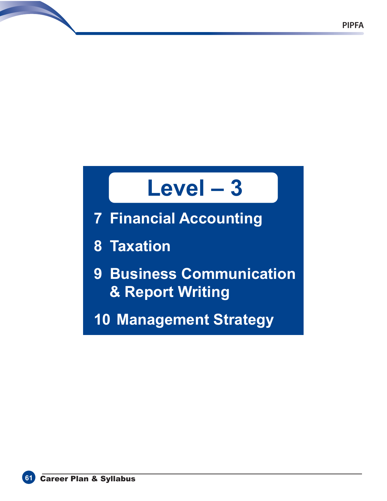# **Level – 3**

- **7 Financial Accounting**
- **8 Taxation**
- **9 Business Communication & Report Writing**
- **10 Management Strategy**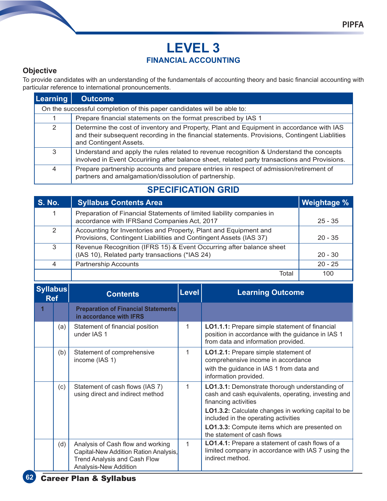# **LEVEL 3 FINANCIAL ACCOUNTING**

#### **Objective**

To provide candidates with an understanding of the fundamentals of accounting theory and basic financial accounting with particular reference to international pronouncements.

| Learning | <b>Outcome</b>                                                                                                                                                                                                      |
|----------|---------------------------------------------------------------------------------------------------------------------------------------------------------------------------------------------------------------------|
|          | On the successful completion of this paper candidates will be able to:                                                                                                                                              |
|          | Prepare financial statements on the format prescribed by IAS 1                                                                                                                                                      |
| 2        | Determine the cost of inventory and Property, Plant and Equipment in accordance with IAS<br>and their subsequent recording in the financial statements. Provisions, Contingent Liablities<br>and Contingent Assets. |
| 3        | Understand and apply the rules related to revenue recognition & Understand the concepts<br>involved in Event Occuririing after balance sheet, related party transactions and Provisions.                            |
| 4        | Prepare partnership accounts and prepare entries in respect of admission/retirement of<br>partners and amalgamation/dissolution of partnership.                                                                     |

# **SPECIFICATION GRID**

| <b>S. No.</b> | <b>Syllabus Contents Area</b>                                                                                                         | <b>Weightage %</b> |
|---------------|---------------------------------------------------------------------------------------------------------------------------------------|--------------------|
| 1             | Preparation of Financial Statements of limited liability companies in<br>accordance with IFRSand Companies Act, 2017                  | $25 - 35$          |
| 2             | Accounting for Inventories and Property, Plant and Equipment and<br>Provisions, Contingent Liabilities and Contingent Assets (IAS 37) | $20 - 35$          |
| 3             | Revenue Recognition (IFRS 15) & Event Occurring after balance sheet<br>(IAS 10), Related party transactions (*IAS 24)                 | $20 - 30$          |
| 4             | <b>Partnership Accounts</b>                                                                                                           | $20 - 25$          |
|               | Total                                                                                                                                 | 100                |

| <b>Syllabus</b><br><b>Ref</b> |     | <b>Contents</b>                                                                                                                            | <b>Level</b> | <b>Learning Outcome</b>                                                                                                                                                                                                                                                                                             |
|-------------------------------|-----|--------------------------------------------------------------------------------------------------------------------------------------------|--------------|---------------------------------------------------------------------------------------------------------------------------------------------------------------------------------------------------------------------------------------------------------------------------------------------------------------------|
|                               |     | <b>Preparation of Financial Statements</b><br>in accordance with IFRS                                                                      |              |                                                                                                                                                                                                                                                                                                                     |
|                               | (a) | Statement of financial position<br>under IAS 1                                                                                             | 1            | LO1.1.1: Prepare simple statement of financial<br>position in accordance with the guidance in IAS 1<br>from data and information provided.                                                                                                                                                                          |
|                               | (b) | Statement of comprehensive<br>income (IAS 1)                                                                                               | 1            | LO1.2.1: Prepare simple statement of<br>comprehensive income in accordance<br>with the guidance in IAS 1 from data and<br>information provided.                                                                                                                                                                     |
|                               | (c) | Statement of cash flows (IAS 7)<br>using direct and indirect method                                                                        | 1            | LO1.3.1: Demonstrate thorough understanding of<br>cash and cash equivalents, operating, investing and<br>financing activities<br><b>LO1.3.2:</b> Calculate changes in working capital to be<br>included in the operating activities<br>LO1.3.3: Compute items which are presented on<br>the statement of cash flows |
|                               | (d) | Analysis of Cash flow and working<br>Capital-New Addition Ration Analysis,<br><b>Trend Analysis and Cash Flow</b><br>Analysis-New Addition | 1            | LO1.4.1: Prepare a statement of cash flows of a<br>limited company in accordance with IAS 7 using the<br>indirect method.                                                                                                                                                                                           |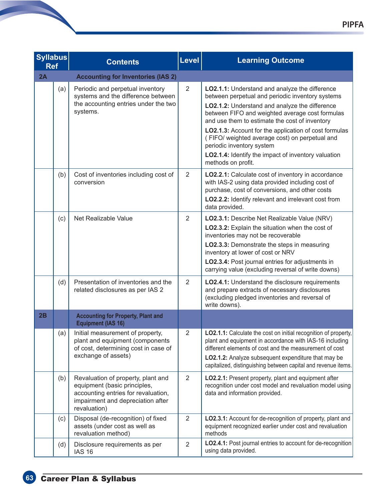| <b>Syllabus</b><br><b>Ref</b> |     | <b>Contents</b>                                                                                                                                                | Level          | <b>Learning Outcome</b>                                                                                                                                                                                                                                                                                                                                                                                                                                                       |
|-------------------------------|-----|----------------------------------------------------------------------------------------------------------------------------------------------------------------|----------------|-------------------------------------------------------------------------------------------------------------------------------------------------------------------------------------------------------------------------------------------------------------------------------------------------------------------------------------------------------------------------------------------------------------------------------------------------------------------------------|
| 2A                            |     | <b>Accounting for Inventories (IAS 2)</b>                                                                                                                      |                |                                                                                                                                                                                                                                                                                                                                                                                                                                                                               |
|                               | (a) | Periodic and perpetual inventory<br>systems and the difference between<br>the accounting entries under the two<br>systems.                                     | 2              | LO2.1.1: Understand and analyze the difference<br>between perpetual and periodic inventory systems<br>LO2.1.2: Understand and analyze the difference<br>between FIFO and weighted average cost formulas<br>and use them to estimate the cost of inventory<br>LO2.1.3: Account for the application of cost formulas<br>(FIFO/weighted average cost) on perpetual and<br>periodic inventory system<br>LO2.1.4: Identify the impact of inventory valuation<br>methods on profit. |
|                               | (b) | Cost of inventories including cost of<br>conversion                                                                                                            | 2              | LO2.2.1: Calculate cost of inventory in accordance<br>with IAS-2 using data provided including cost of<br>purchase, cost of conversions, and other costs<br>LO2.2.2: Identify relevant and irrelevant cost from<br>data provided.                                                                                                                                                                                                                                             |
|                               | (c) | Net Realizable Value                                                                                                                                           | $\overline{2}$ | LO2.3.1: Describe Net Realizable Value (NRV)<br>LO2.3.2: Explain the situation when the cost of<br>inventories may not be recoverable<br>LO2.3.3: Demonstrate the steps in measuring<br>inventory at lower of cost or NRV<br>LO2.3.4: Post journal entries for adjustments in<br>carrying value (excluding reversal of write downs)                                                                                                                                           |
|                               | (d) | Presentation of inventories and the<br>related disclosures as per IAS 2                                                                                        | 2              | LO2.4.1: Understand the disclosure requirements<br>and prepare extracts of necessary disclosures<br>(excluding pledged inventories and reversal of<br>write downs).                                                                                                                                                                                                                                                                                                           |
| 2B                            |     | <b>Accounting for Property, Plant and</b><br><b>Equipment (IAS 16)</b>                                                                                         |                |                                                                                                                                                                                                                                                                                                                                                                                                                                                                               |
|                               | (a) | Initial measurement of property,<br>plant and equipment (components<br>of cost, determining cost in case of<br>exchange of assets)                             | $\overline{2}$ | <b>LO2.1.1:</b> Calculate the cost on initial recognition of property,<br>plant and equipment in accordance with IAS-16 including<br>different elements of cost and the measurement of cost<br>LO2.1.2: Analyze subsequent expenditure that may be<br>capitalized, distinguishing between capital and revenue items.                                                                                                                                                          |
|                               | (b) | Revaluation of property, plant and<br>equipment (basic principles,<br>accounting entries for revaluation,<br>impairment and depreciation after<br>revaluation) | $\overline{2}$ | LO2.2.1: Present property, plant and equipment after<br>recognition under cost model and revaluation model using<br>data and information provided.                                                                                                                                                                                                                                                                                                                            |
|                               | (c) | Disposal (de-recognition) of fixed<br>assets (under cost as well as<br>revaluation method)                                                                     | $\overline{2}$ | LO2.3.1: Account for de-recognition of property, plant and<br>equipment recognized earlier under cost and revaluation<br>methods                                                                                                                                                                                                                                                                                                                                              |
|                               | (d) | Disclosure requirements as per<br><b>IAS 16</b>                                                                                                                | $\overline{2}$ | LO2.4.1: Post journal entries to account for de-recognition<br>using data provided.                                                                                                                                                                                                                                                                                                                                                                                           |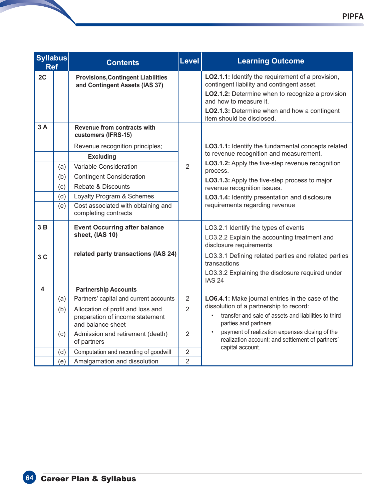| <b>Syllabus</b><br><b>Ref</b> |                                 | <b>Contents</b>                                                                                                                                                                                | Level          | <b>Learning Outcome</b>                                                                                                                                                                                                                                           |
|-------------------------------|---------------------------------|------------------------------------------------------------------------------------------------------------------------------------------------------------------------------------------------|----------------|-------------------------------------------------------------------------------------------------------------------------------------------------------------------------------------------------------------------------------------------------------------------|
| 2C                            |                                 | <b>Provisions, Contingent Liabilities</b><br>and Contingent Assets (IAS 37)                                                                                                                    |                | <b>LO2.1.1:</b> Identify the requirement of a provision,<br>contingent liability and contingent asset.<br>LO2.1.2: Determine when to recognize a provision<br>and how to measure it.<br>LO2.1.3: Determine when and how a contingent<br>item should be disclosed. |
| 3A                            |                                 | Revenue from contracts with<br>customers (IFRS-15)<br>Revenue recognition principles;                                                                                                          |                | LO3.1.1: Identify the fundamental concepts related<br>to revenue recognition and measurement.                                                                                                                                                                     |
|                               | (a)<br>(b)<br>(c)<br>(d)<br>(e) | <b>Excluding</b><br>Variable Consideration<br><b>Contingent Consideration</b><br>Rebate & Discounts<br>Loyalty Program & Schemes<br>Cost associated with obtaining and<br>completing contracts | $\overline{2}$ | LO3.1.2: Apply the five-step revenue recognition<br>process.<br>LO3.1.3: Apply the five-step process to major<br>revenue recognition issues.<br>LO3.1.4: Identify presentation and disclosure<br>requirements regarding revenue                                   |
| 3B                            |                                 | <b>Event Occurring after balance</b><br>sheet, (IAS 10)                                                                                                                                        |                | LO3.2.1 Identify the types of events<br>LO3.2.2 Explain the accounting treatment and<br>disclosure requirements                                                                                                                                                   |
| 3C                            |                                 | related party transactions (IAS 24)                                                                                                                                                            |                | LO3.3.1 Defining related parties and related parties<br>transactions<br>LO3.3.2 Explaining the disclosure required under<br><b>IAS 24</b>                                                                                                                         |
| 4                             |                                 | <b>Partnership Accounts</b>                                                                                                                                                                    |                |                                                                                                                                                                                                                                                                   |
|                               | (a)                             | Partners' capital and current accounts                                                                                                                                                         | $\overline{2}$ | LO6.4.1: Make journal entries in the case of the<br>dissolution of a partnership to record:                                                                                                                                                                       |
|                               | (b)                             | Allocation of profit and loss and<br>preparation of income statement<br>and balance sheet                                                                                                      | $\overline{2}$ | transfer and sale of assets and liabilities to third<br>$\bullet$<br>parties and partners                                                                                                                                                                         |
|                               | (c)                             | Admission and retirement (death)<br>of partners                                                                                                                                                | $\overline{2}$ | payment of realization expenses closing of the<br>$\bullet$<br>realization account; and settlement of partners'<br>capital account.                                                                                                                               |
|                               | (d)                             | Computation and recording of goodwill                                                                                                                                                          | 2              |                                                                                                                                                                                                                                                                   |
|                               | (e)                             | Amalgamation and dissolution                                                                                                                                                                   | $\overline{2}$ |                                                                                                                                                                                                                                                                   |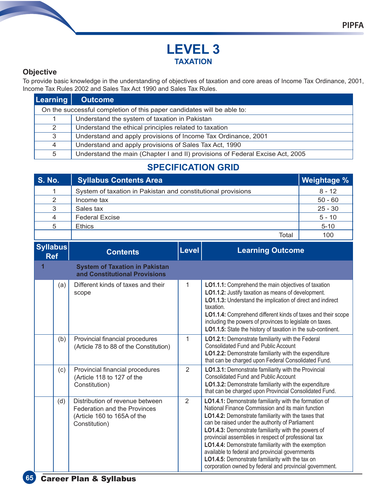# **LEVEL 3 TAXATION**

#### **Objective**

To provide basic knowledge in the understanding of objectives of taxation and core areas of Income Tax Ordinance, 2001, Income Tax Rules 2002 and Sales Tax Act 1990 and Sales Tax Rules.

| <b>Learning</b> | <b>Outcome</b>                                                                |  |  |  |  |
|-----------------|-------------------------------------------------------------------------------|--|--|--|--|
|                 | On the successful completion of this paper candidates will be able to:        |  |  |  |  |
| 1               | Understand the system of taxation in Pakistan                                 |  |  |  |  |
| 2               | Understand the ethical principles related to taxation                         |  |  |  |  |
| 3               | Understand and apply provisions of Income Tax Ordinance, 2001                 |  |  |  |  |
| $\overline{4}$  | Understand and apply provisions of Sales Tax Act, 1990                        |  |  |  |  |
| 5               | Understand the main (Chapter I and II) provisions of Federal Excise Act, 2005 |  |  |  |  |

# **SPECIFICATION GRID**

| <b>S. No.</b> | <b>Syllabus Contents Area</b>                                | Weightage % |
|---------------|--------------------------------------------------------------|-------------|
|               | System of taxation in Pakistan and constitutional provisions | $8 - 12$    |
| 2             | Income tax                                                   | $50 - 60$   |
| 3             | Sales tax                                                    | $25 - 30$   |
| 4             | <b>Federal Excise</b>                                        | $5 - 10$    |
| 5             | <b>Ethics</b>                                                | $5 - 10$    |
|               | Total                                                        | 100         |

| <b>Syllabus</b><br><b>Ref</b> |     | <b>Contents</b>                                                                                                 | Level | <b>Learning Outcome</b>                                                                                                                                                                                                                                                                                                                                                                                                                                                                                                                                        |
|-------------------------------|-----|-----------------------------------------------------------------------------------------------------------------|-------|----------------------------------------------------------------------------------------------------------------------------------------------------------------------------------------------------------------------------------------------------------------------------------------------------------------------------------------------------------------------------------------------------------------------------------------------------------------------------------------------------------------------------------------------------------------|
| 1                             |     | <b>System of Taxation in Pakistan</b><br>and Constitutional Provisions                                          |       |                                                                                                                                                                                                                                                                                                                                                                                                                                                                                                                                                                |
|                               | (a) | Different kinds of taxes and their<br>scope                                                                     | 1     | LO1.1.1: Comprehend the main objectives of taxation<br>LO1.1.2: Justify taxation as means of development.<br>LO1.1.3: Understand the implication of direct and indirect<br>taxation.<br>LO1.1.4: Comprehend different kinds of taxes and their scope<br>including the powers of provinces to legislate on taxes.<br>LO1.1.5: State the history of taxation in the sub-continent.                                                                                                                                                                               |
|                               | (b) | Provincial financial procedures<br>(Article 78 to 88 of the Constitution)                                       | 1     | LO1.2.1: Demonstrate familiarity with the Federal<br><b>Consolidated Fund and Public Account</b><br>LO1.2.2: Demonstrate familiarity with the expenditure<br>that can be charged upon Federal Consolidated Fund.                                                                                                                                                                                                                                                                                                                                               |
|                               | (c) | Provincial financial procedures<br>(Article 118 to 127 of the<br>Constitution)                                  | 2     | LO1.3.1: Demonstrate familiarity with the Provincial<br><b>Consolidated Fund and Public Account</b><br>LO1.3.2: Demonstrate familiarity with the expenditure<br>that can be charged upon Provincial Consolidated Fund.                                                                                                                                                                                                                                                                                                                                         |
|                               | (d) | Distribution of revenue between<br>Federation and the Provinces<br>(Article 160 to 165A of the<br>Constitution) | 2     | LO1.4.1: Demonstrate familiarity with the formation of<br>National Finance Commission and its main function<br>LO1.4.2: Demonstrate familiarity with the taxes that<br>can be raised under the authority of Parliament<br>LO1.4.3: Demonstrate familiarity with the powers of<br>provincial assemblies in respect of professional tax<br>LO1.4.4: Demonstrate familiarity with the exemption<br>available to federal and provincial governments<br>LO1.4.5: Demonstrate familiarity with the tax on<br>corporation owned by federal and provincial government. |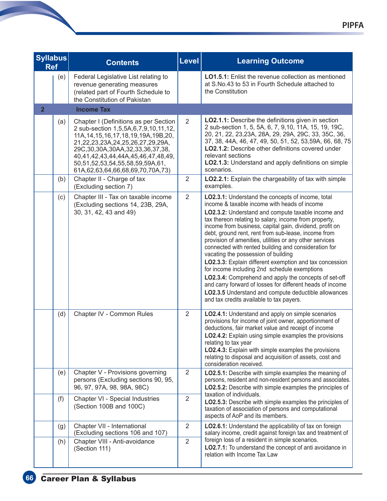| <b>Syllabus</b><br><b>Ref</b> |     | <b>Contents</b>                                                                                                                                                                                                                                                                                                                  | Level          | <b>Learning Outcome</b>                                                                                                                                                                                                                                                                                                                                                                                                                                                                                                                                                                                                                                                                                                                                                                                                                  |
|-------------------------------|-----|----------------------------------------------------------------------------------------------------------------------------------------------------------------------------------------------------------------------------------------------------------------------------------------------------------------------------------|----------------|------------------------------------------------------------------------------------------------------------------------------------------------------------------------------------------------------------------------------------------------------------------------------------------------------------------------------------------------------------------------------------------------------------------------------------------------------------------------------------------------------------------------------------------------------------------------------------------------------------------------------------------------------------------------------------------------------------------------------------------------------------------------------------------------------------------------------------------|
|                               | (e) | Federal Legislative List relating to<br>revenue generating measures<br>(related part of Fourth Schedule to<br>the Constitution of Pakistan                                                                                                                                                                                       |                | <b>LO1.5.1:</b> Enlist the revenue collection as mentioned<br>at S.No.43 to 53 in Fourth Schedule attached to<br>the Constitution                                                                                                                                                                                                                                                                                                                                                                                                                                                                                                                                                                                                                                                                                                        |
| $\overline{2}$                |     | <b>Income Tax</b>                                                                                                                                                                                                                                                                                                                |                |                                                                                                                                                                                                                                                                                                                                                                                                                                                                                                                                                                                                                                                                                                                                                                                                                                          |
|                               | (a) | Chapter I (Definitions as per Section<br>2 sub-section 1,5,5A,6,7,9,10,11,12,<br>11A, 14, 15, 16, 17, 18, 19, 19A, 19B, 20,<br>21,22,23,23A,24,25,26,27,29,29A,<br>29C, 30, 30A, 30AA, 32, 33, 36, 37, 38,<br>40,41,42,43,44,44A,45,46,47,48,49,<br>50,51,52,53,54,55,58,59,59A,61,<br>61A, 62, 63, 64, 66, 68, 69, 70, 70A, 73) | $\overline{2}$ | LO2.1.1: Describe the definitions given in section<br>2 sub-section 1, 5, 5A, 6, 7, 9, 10, 11A, 15, 19, 19C,<br>20, 21, 22, 23, 23A, 28A, 29, 29A, 29C, 33, 35C, 36,<br>37, 38, 44A, 46, 47, 49, 50, 51, 52, 53,59A, 66, 68, 75<br>LO2.1.2: Describe other definitions covered under<br>relevant sections<br>LO2.1.3: Understand and apply definitions on simple<br>scenarios.                                                                                                                                                                                                                                                                                                                                                                                                                                                           |
|                               | (b) | Chapter II - Charge of tax<br>(Excluding section 7)                                                                                                                                                                                                                                                                              | $\overline{2}$ | LO2.2.1: Explain the chargeability of tax with simple<br>examples.                                                                                                                                                                                                                                                                                                                                                                                                                                                                                                                                                                                                                                                                                                                                                                       |
|                               | (c) | Chapter III - Tax on taxable income<br>(Excluding sections 14, 23B, 29A,<br>30, 31, 42, 43 and 49)                                                                                                                                                                                                                               | $\overline{2}$ | LO2.3.1: Understand the concepts of income, total<br>income & taxable income with heads of income<br>LO2.3.2: Understand and compute taxable income and<br>tax thereon relating to salary, income from property,<br>income from business, capital gain, dividend, profit on<br>debt, ground rent, rent from sub-lease, income from<br>provision of amenities, utilities or any other services<br>connected with rented building and consideration for<br>vacating the possession of building<br>LO2.3.3: Explain different exemption and tax concession<br>for income including 2nd schedule exemptions<br>LO2.3.4: Comprehend and apply the concepts of set-off<br>and carry forward of losses for different heads of income<br><b>LO2.3.5</b> Understand and compute deductible allowances<br>and tax credits available to tax payers. |
|                               | (d) | Chapter IV - Common Rules                                                                                                                                                                                                                                                                                                        | $\overline{2}$ | LO2.4.1: Understand and apply on simple scenarios<br>provisions for income of joint owner, apportionment of<br>deductions, fair market value and receipt of income<br>LO2.4.2: Explain using simple examples the provisions<br>relating to tax year<br>LO2.4.3: Explain with simple examples the provisions<br>relating to disposal and acquisition of assets, cost and<br>consideration received.                                                                                                                                                                                                                                                                                                                                                                                                                                       |
|                               | (e) | Chapter V - Provisions governing<br>persons (Excluding sections 90, 95,<br>96, 97, 97A, 98, 98A, 98C)                                                                                                                                                                                                                            | $\overline{2}$ | LO2.5.1: Describe with simple examples the meaning of<br>persons, resident and non-resident persons and associates.<br>LO2.5.2: Describe with simple examples the principles of<br>taxation of individuals.                                                                                                                                                                                                                                                                                                                                                                                                                                                                                                                                                                                                                              |
|                               | (f) | Chapter VI - Special Industries<br>(Section 100B and 100C)                                                                                                                                                                                                                                                                       | $\overline{2}$ | LO2.5.3: Describe with simple examples the principles of<br>taxation of association of persons and computational<br>aspects of AoP and its members.                                                                                                                                                                                                                                                                                                                                                                                                                                                                                                                                                                                                                                                                                      |
|                               | (g) | Chapter VII - International<br>(Excluding sections 106 and 107)                                                                                                                                                                                                                                                                  | $\overline{2}$ | LO2.6.1: Understand the applicability of tax on foreign<br>salary income, credit against foreign tax and treatment of                                                                                                                                                                                                                                                                                                                                                                                                                                                                                                                                                                                                                                                                                                                    |
|                               | (h) | Chapter VIII - Anti-avoidance<br>(Section 111)                                                                                                                                                                                                                                                                                   | $\overline{2}$ | foreign loss of a resident in simple scenarios.<br>LO2.7.1: To understand the concept of anti avoidance in<br>relation with Income Tax Law                                                                                                                                                                                                                                                                                                                                                                                                                                                                                                                                                                                                                                                                                               |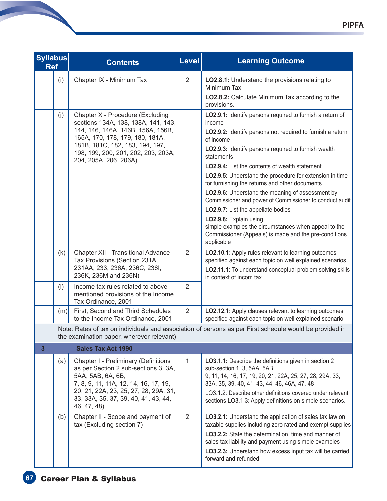| <b>Syllabus</b><br><b>Ref</b> |     | <b>Contents</b>                                                                                                                                                                                                                                    | <b>Level</b>   | <b>Learning Outcome</b>                                                                                                                                                                                                                                                                                                                                                                                                                                                                                                                                                                                                                                                                                           |
|-------------------------------|-----|----------------------------------------------------------------------------------------------------------------------------------------------------------------------------------------------------------------------------------------------------|----------------|-------------------------------------------------------------------------------------------------------------------------------------------------------------------------------------------------------------------------------------------------------------------------------------------------------------------------------------------------------------------------------------------------------------------------------------------------------------------------------------------------------------------------------------------------------------------------------------------------------------------------------------------------------------------------------------------------------------------|
|                               | (i) | Chapter IX - Minimum Tax                                                                                                                                                                                                                           | 2              | LO2.8.1: Understand the provisions relating to<br>Minimum Tax<br>LO2.8.2: Calculate Minimum Tax according to the<br>provisions.                                                                                                                                                                                                                                                                                                                                                                                                                                                                                                                                                                                   |
|                               | (j) | Chapter X - Procedure (Excluding<br>sections 134A, 138, 138A, 141, 143,<br>144, 146, 146A, 146B, 156A, 156B,<br>165A, 170, 178, 179, 180, 181A,<br>181B, 181C, 182, 183, 194, 197,<br>198, 199, 200, 201, 202, 203, 203A,<br>204, 205A, 206, 206A) |                | LO2.9.1: Identify persons required to furnish a return of<br>income<br>LO2.9.2: Identify persons not required to furnish a return<br>of income<br>LO2.9.3: Identify persons required to furnish wealth<br>statements<br><b>LO2.9.4:</b> List the contents of wealth statement<br>LO2.9.5: Understand the procedure for extension in time<br>for furnishing the returns and other documents.<br>LO2.9.6: Understand the meaning of assessment by<br>Commissioner and power of Commissioner to conduct audit.<br><b>LO2.9.7:</b> List the appellate bodies<br>LO2.9.8: Explain using<br>simple examples the circumstances when appeal to the<br>Commissioner (Appeals) is made and the pre-conditions<br>applicable |
|                               | (k) | <b>Chapter XII - Transitional Advance</b><br>Tax Provisions (Section 231A,<br>231AA, 233, 236A, 236C, 236I,<br>236K, 236M and 236N)                                                                                                                | 2              | LO2.10.1: Apply rules relevant to learning outcomes<br>specified against each topic on well explained scenarios.<br>LO2.11.1: To understand conceptual problem solving skills<br>in context of incom tax                                                                                                                                                                                                                                                                                                                                                                                                                                                                                                          |
|                               | (1) | Income tax rules related to above<br>mentioned provisions of the Income<br>Tax Ordinance, 2001                                                                                                                                                     | 2              |                                                                                                                                                                                                                                                                                                                                                                                                                                                                                                                                                                                                                                                                                                                   |
|                               | (m) | First, Second and Third Schedules<br>to the Income Tax Ordinance, 2001                                                                                                                                                                             | $\overline{2}$ | LO2.12.1: Apply clauses relevant to learning outcomes<br>specified against each topic on well explained scenario.                                                                                                                                                                                                                                                                                                                                                                                                                                                                                                                                                                                                 |
|                               |     | the examination paper, wherever relevant)                                                                                                                                                                                                          |                | Note: Rates of tax on individuals and association of persons as per First schedule would be provided in                                                                                                                                                                                                                                                                                                                                                                                                                                                                                                                                                                                                           |
| $\overline{\mathbf{3}}$       |     | <b>Sales Tax Act 1990</b>                                                                                                                                                                                                                          |                |                                                                                                                                                                                                                                                                                                                                                                                                                                                                                                                                                                                                                                                                                                                   |
|                               | (a) | Chapter I - Preliminary (Definitions<br>as per Section 2 sub-sections 3, 3A,<br>5AA, 5AB, 6A, 6B,<br>7, 8, 9, 11, 11A, 12, 14, 16, 17, 19,<br>20, 21, 22A, 23, 25, 27, 28, 29A, 31,<br>33, 33A, 35, 37, 39, 40, 41, 43, 44,<br>46, 47, 48)         | 1              | LO3.1.1: Describe the definitions given in section 2<br>sub-section 1, 3, 5AA, 5AB,<br>9, 11, 14, 16, 17, 19, 20, 21, 22A, 25, 27, 28, 29A, 33,<br>33A, 35, 39, 40, 41, 43, 44, 46, 46A, 47, 48<br>LO3.1.2: Describe other definitions covered under relevant<br>sections LO3.1.3: Apply definitions on simple scenarios.                                                                                                                                                                                                                                                                                                                                                                                         |
|                               | (b) | Chapter II - Scope and payment of<br>tax (Excluding section 7)                                                                                                                                                                                     | $\overline{2}$ | LO3.2.1: Understand the application of sales tax law on<br>taxable supplies including zero rated and exempt supplies<br>LO3.2.2: State the determination, time and manner of<br>sales tax liability and payment using simple examples<br>LO3.2.3: Understand how excess input tax will be carried<br>forward and refunded.                                                                                                                                                                                                                                                                                                                                                                                        |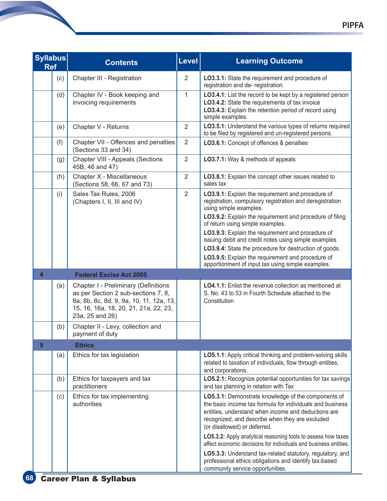| <b>Syllabus</b><br><b>Ref</b> | <b>Contents</b>                                                                                                                                                                           | Level          | <b>Learning Outcome</b>                                                                                                                                                                                                                                                                                                                                                                                                                                                                                                  |
|-------------------------------|-------------------------------------------------------------------------------------------------------------------------------------------------------------------------------------------|----------------|--------------------------------------------------------------------------------------------------------------------------------------------------------------------------------------------------------------------------------------------------------------------------------------------------------------------------------------------------------------------------------------------------------------------------------------------------------------------------------------------------------------------------|
| (c)                           | Chapter III - Registration                                                                                                                                                                | $\overline{2}$ | LO3.3.1: State the requirement and procedure of<br>registration and de- registration.                                                                                                                                                                                                                                                                                                                                                                                                                                    |
| (d)                           | Chapter IV - Book keeping and<br>invoicing requirements                                                                                                                                   | $\mathbf{1}$   | LO3.4.1: List the record to be kept by a registered person<br>LO3.4.2: State the requirements of tax invoice<br>LO3.4.3: Explain the retention period of record using<br>simple examples.                                                                                                                                                                                                                                                                                                                                |
| (e)                           | Chapter V - Returns                                                                                                                                                                       | $\overline{2}$ | LO3.5.1: Understand the various types of returns required<br>to be filed by registered and un-registered persons.                                                                                                                                                                                                                                                                                                                                                                                                        |
| (f)                           | Chapter VII - Offences and penalties<br>(Sections 33 and 34)                                                                                                                              | $\overline{2}$ | LO3.6.1: Concept of offences & penalties                                                                                                                                                                                                                                                                                                                                                                                                                                                                                 |
| (g)                           | Chapter VIII - Appeals (Sections<br>45B, 46 and 47)                                                                                                                                       | $\overline{2}$ | LO3.7.1: Way & methods of appeals                                                                                                                                                                                                                                                                                                                                                                                                                                                                                        |
| (h)                           | Chapter X - Miscellaneous<br>(Sections 58, 66, 67 and 73)                                                                                                                                 | $\overline{2}$ | LO3.8.1: Explain the concept other issues related to<br>sales tax                                                                                                                                                                                                                                                                                                                                                                                                                                                        |
| (i)                           | Sales Tax Rules, 2006<br>(Chapters I, II, III and IV)                                                                                                                                     | $\overline{2}$ | LO3.9.1: Explain the requirement and procedure of<br>registration, compulsory registration and deregistration<br>using simple examples.<br>LO3.9.2: Explain the requirement and procedure of filing<br>of return using simple examples.<br>LO3.9.3: Explain the requirement and procedure of<br>issuing debit and credit notes using simple examples<br>LO3.9.4: State the procedure for destruction of goods.<br>LO3.9.5: Explain the requirement and procedure of<br>apportionment of input tax using simple examples. |
| 4                             | <b>Federal Excise Act 2005</b>                                                                                                                                                            |                |                                                                                                                                                                                                                                                                                                                                                                                                                                                                                                                          |
| (a)                           | <b>Chapter I - Preliminary (Definitions</b><br>as per Section 2 sub-sections 7, 8,<br>8a, 8b, 8c, 8d, 9, 9a, 10, 11, 12a, 13,<br>15, 16, 16a, 18, 20, 21, 21a, 22, 23,<br>23a, 25 and 26) |                | <b>LO4.1.1:</b> Enlist the revenue collection as mentioned at<br>S. No. 43 to 53 in Fourth Schedule attached to the<br>Constitution                                                                                                                                                                                                                                                                                                                                                                                      |
| (b)                           | Chapter II - Levy, collection and<br>payment of duty                                                                                                                                      |                |                                                                                                                                                                                                                                                                                                                                                                                                                                                                                                                          |
| 5                             | <b>Ethics</b>                                                                                                                                                                             |                |                                                                                                                                                                                                                                                                                                                                                                                                                                                                                                                          |
| (a)                           | Ethics for tax legislation                                                                                                                                                                |                | LO5.1.1: Apply critical thinking and problem-solving skills<br>related to taxation of individuals, flow through entities,<br>and corporations.                                                                                                                                                                                                                                                                                                                                                                           |
| (b)                           | Ethics for taxpayers and tax<br>practitioners                                                                                                                                             |                | LO5.2.1: Recognize potential opportunities for tax savings<br>and tax planning in relation with Tax                                                                                                                                                                                                                                                                                                                                                                                                                      |
| (c)                           | Ethics for tax implementing<br>authorities                                                                                                                                                |                | LO5.3.1: Demonstrate knowledge of the components of<br>the basic income tax formula for individuals and business<br>entities, understand when income and deductions are<br>recognized, and describe when they are excluded<br>(or disallowed) or deferred.<br>LO5.3.2: Apply analytical reasoning tools to assess how taxes                                                                                                                                                                                              |
|                               |                                                                                                                                                                                           |                | affect economic decisions for individuals and business entities.<br>LO5.3.3: Understand tax-related statutory, regulatory, and<br>professional ethics obligations and identify tax-based<br>community service opportunities.                                                                                                                                                                                                                                                                                             |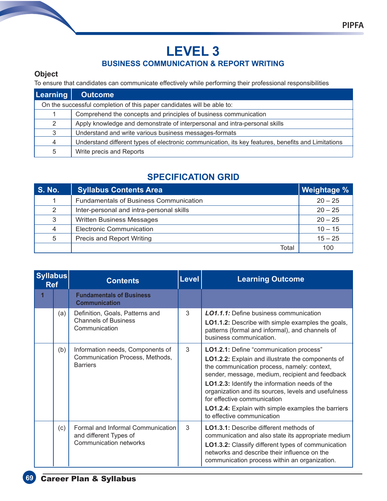# **LEVEL 3 BUSINESS COMMUNICATION & REPORT WRITING**

#### **Object**

To ensure that candidates can communicate effectively while performing their professional responsibilities

| <b>Learning</b>                                                        | <b>Outcome</b>                                                                                     |  |  |  |
|------------------------------------------------------------------------|----------------------------------------------------------------------------------------------------|--|--|--|
| On the successful completion of this paper candidates will be able to: |                                                                                                    |  |  |  |
|                                                                        | Comprehend the concepts and principles of business communication                                   |  |  |  |
| 2                                                                      | Apply knowledge and demonstrate of interpersonal and intra-personal skills                         |  |  |  |
| 3                                                                      | Understand and write various business messages-formats                                             |  |  |  |
| $\overline{4}$                                                         | Understand different types of electronic communication, its key features, benefits and Limitations |  |  |  |
| 5                                                                      | Write precis and Reports                                                                           |  |  |  |

# **SPECIFICATION GRID**

| <b>S. No.</b> | <b>Syllabus Contents Area</b>                 | Weightage % |
|---------------|-----------------------------------------------|-------------|
| 1             | <b>Fundamentals of Business Communication</b> | $20 - 25$   |
| 2             | Inter-personal and intra-personal skills      | $20 - 25$   |
| 3             | <b>Written Business Messages</b>              | $20 - 25$   |
| 4             | <b>Electronic Communication</b>               | $10 - 15$   |
| 5             | Precis and Report Writing                     | $15 - 25$   |
|               | Total                                         | 100         |

| <b>Syllabus</b><br><b>Ref</b> |     | <b>Contents</b>                                                                              | <b>Level</b> | <b>Learning Outcome</b>                                                                                                                                                                                                                                                                                                                                                                                                           |
|-------------------------------|-----|----------------------------------------------------------------------------------------------|--------------|-----------------------------------------------------------------------------------------------------------------------------------------------------------------------------------------------------------------------------------------------------------------------------------------------------------------------------------------------------------------------------------------------------------------------------------|
|                               |     | <b>Fundamentals of Business</b><br><b>Communication</b>                                      |              |                                                                                                                                                                                                                                                                                                                                                                                                                                   |
|                               | (a) | Definition, Goals, Patterns and<br><b>Channels of Business</b><br>Communication              | 3            | <b>LO1.1.1:</b> Define business communication<br><b>LO1.1.2:</b> Describe with simple examples the goals,<br>patterns (formal and informal), and channels of<br>business communication.                                                                                                                                                                                                                                           |
|                               | (b) | Information needs, Components of<br>Communication Process, Methods,<br><b>Barriers</b>       | 3            | LO1.2.1: Define "communication process"<br>LO1.2.2: Explain and illustrate the components of<br>the communication process, namely: context,<br>sender, message, medium, recipient and feedback<br>LO1.2.3: Identify the information needs of the<br>organization and its sources, levels and usefulness<br>for effective communication<br><b>LO1.2.4:</b> Explain with simple examples the barriers<br>to effective communication |
|                               | (c) | Formal and Informal Communication<br>and different Types of<br><b>Communication networks</b> | 3            | <b>LO1.3.1:</b> Describe different methods of<br>communication and also state its appropriate medium<br>LO1.3.2: Classify different types of communication<br>networks and describe their influence on the<br>communication process within an organization.                                                                                                                                                                       |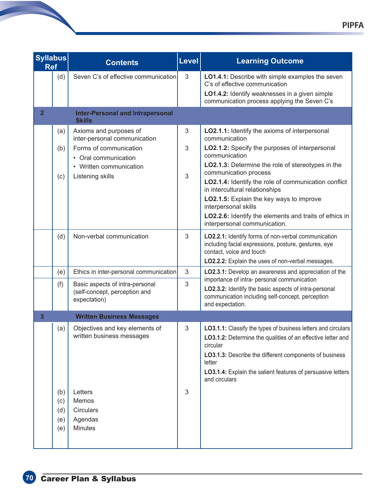| <b>Syllabus</b><br><b>Ref</b> |                                 | <b>Contents</b>                                                                                                                                                                     | Level            | <b>Learning Outcome</b>                                                                                                                                                                                                                                                                                                                                                                                                                                                                                                                      |
|-------------------------------|---------------------------------|-------------------------------------------------------------------------------------------------------------------------------------------------------------------------------------|------------------|----------------------------------------------------------------------------------------------------------------------------------------------------------------------------------------------------------------------------------------------------------------------------------------------------------------------------------------------------------------------------------------------------------------------------------------------------------------------------------------------------------------------------------------------|
|                               | (d)                             | Seven C's of effective communication                                                                                                                                                | 3                | <b>LO1.4.1:</b> Describe with simple examples the seven<br>C's of effective communication<br>LO1.4.2: Identify weaknesses in a given simple<br>communication process applying the Seven C's                                                                                                                                                                                                                                                                                                                                                  |
| $\overline{2}$                |                                 | <b>Inter-Personal and Intrapersonal</b><br><b>Skills</b>                                                                                                                            |                  |                                                                                                                                                                                                                                                                                                                                                                                                                                                                                                                                              |
|                               | (a)<br>(b)<br>(c)<br>(d)        | Axioms and purposes of<br>inter-personal communication<br>Forms of communication<br>• Oral communication<br>• Written communication<br>Listening skills<br>Non-verbal communication | 3<br>3<br>3<br>3 | LO2.1.1: Identify the axioms of interpersonal<br>communication<br><b>LO2.1.2:</b> Specify the purposes of interpersonal<br>communication<br>LO2.1.3: Determine the role of stereotypes in the<br>communication process<br>LO2.1.4: Identify the role of communication conflict<br>in intercultural relationships<br>LO2.1.5: Explain the key ways to improve<br>interpersonal skills<br><b>LO2.2.6:</b> Identify the elements and traits of ethics in<br>interpersonal communication.<br>LO2.2.1: Identify forms of non-verbal communication |
|                               |                                 |                                                                                                                                                                                     |                  | including facial expressions, posture, gestures, eye<br>contact, voice and touch<br>LO2.2.2: Explain the uses of non-verbal messages.                                                                                                                                                                                                                                                                                                                                                                                                        |
|                               | (e)                             | Ethics in inter-personal communication                                                                                                                                              | 3                | LO2.3.1: Develop an awareness and appreciation of the                                                                                                                                                                                                                                                                                                                                                                                                                                                                                        |
|                               | (f)                             | Basic aspects of intra-personal<br>(self-concept, perception and<br>expectation)                                                                                                    | 3                | importance of intra- personal communication<br>LO2.3.2: Identify the basic aspects of intra-personal<br>communication including self-concept, perception<br>and expectation.                                                                                                                                                                                                                                                                                                                                                                 |
| $\mathbf{3}$                  |                                 | <b>Written Business Messages</b>                                                                                                                                                    |                  |                                                                                                                                                                                                                                                                                                                                                                                                                                                                                                                                              |
|                               | (a)                             | Objectives and key elements of<br>written business messages                                                                                                                         | 3                | <b>LO3.1.1:</b> Classify the types of business letters and circulars<br><b>LO3.1.2:</b> Determine the qualities of an effective letter and<br>circular<br>LO3.1.3: Describe the different components of business<br>letter<br>LO3.1.4: Explain the salient features of persuasive letters<br>and circulars                                                                                                                                                                                                                                   |
|                               | (b)<br>(c)<br>(d)<br>(e)<br>(e) | Letters<br>Memos<br><b>Circulars</b><br>Agendas<br><b>Minutes</b>                                                                                                                   | 3                |                                                                                                                                                                                                                                                                                                                                                                                                                                                                                                                                              |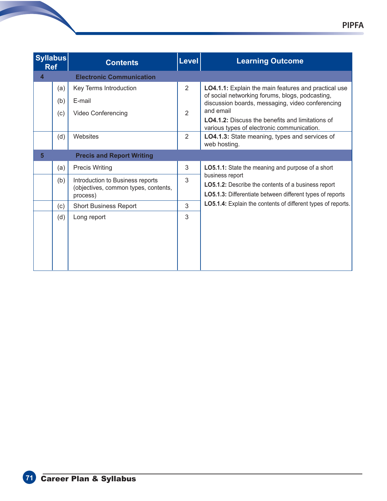| <b>Syllabus</b><br><b>Ref</b> |     | <b>Contents</b>                                                                      | Level          | <b>Learning Outcome</b>                                                                                                                           |
|-------------------------------|-----|--------------------------------------------------------------------------------------|----------------|---------------------------------------------------------------------------------------------------------------------------------------------------|
| $\overline{\mathbf{4}}$       |     | <b>Electronic Communication</b>                                                      |                |                                                                                                                                                   |
|                               | (a) | Key Terms Introduction                                                               | 2              | <b>LO4.1.1:</b> Explain the main features and practical use<br>of social networking forums, blogs, podcasting,                                    |
|                               | (b) | E-mail                                                                               |                | discussion boards, messaging, video conferencing                                                                                                  |
|                               | (c) | <b>Video Conferencing</b>                                                            | $\overline{2}$ | and email<br><b>LO4.1.2:</b> Discuss the benefits and limitations of<br>various types of electronic communication.                                |
|                               | (d) | Websites                                                                             | 2              | LO4.1.3: State meaning, types and services of<br>web hosting.                                                                                     |
| 5                             |     | <b>Precis and Report Writing</b>                                                     |                |                                                                                                                                                   |
|                               | (a) | <b>Precis Writing</b>                                                                | 3              | LO5.1.1: State the meaning and purpose of a short                                                                                                 |
|                               | (b) | Introduction to Business reports<br>(objectives, common types, contents,<br>process) | 3              | business report<br><b>LO5.1.2:</b> Describe the contents of a business report<br><b>LO5.1.3:</b> Differentiate between different types of reports |
|                               | (c) | <b>Short Business Report</b>                                                         | 3              | <b>LO5.1.4:</b> Explain the contents of different types of reports.                                                                               |
|                               | (d) | Long report                                                                          | 3              |                                                                                                                                                   |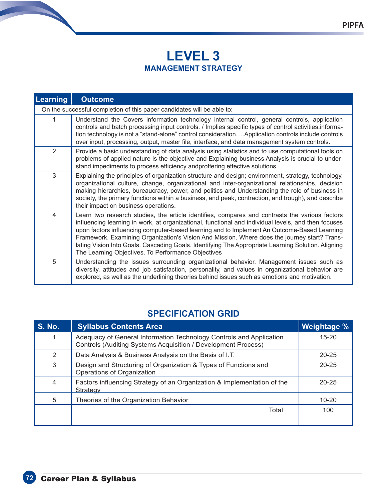# **LEVEL 3 MANAGEMENT STRATEGY**

| Learning                                                               | <b>Outcome</b>                                                                                                                                                                                                                                                                                                                                                                                                                                                                                                                                                   |  |  |
|------------------------------------------------------------------------|------------------------------------------------------------------------------------------------------------------------------------------------------------------------------------------------------------------------------------------------------------------------------------------------------------------------------------------------------------------------------------------------------------------------------------------------------------------------------------------------------------------------------------------------------------------|--|--|
| On the successful completion of this paper candidates will be able to: |                                                                                                                                                                                                                                                                                                                                                                                                                                                                                                                                                                  |  |  |
| 1                                                                      | Understand the Covers information technology internal control, general controls, application<br>controls and batch processing input controls. / Implies specific types of control activities, informa-<br>tion technology is not a "stand-alone" control consideration.  Application controls include controls<br>over input, processing, output, master file, interface, and data management system controls.                                                                                                                                                   |  |  |
| 2                                                                      | Provide a basic understanding of data analysis using statistics and to use computational tools on<br>problems of applied nature is the objective and Explaining business Analysis is crucial to under-<br>stand impediments to process efficiency andproffering effective solutions.                                                                                                                                                                                                                                                                             |  |  |
| 3                                                                      | Explaining the principles of organization structure and design; environment, strategy, technology,<br>organizational culture, change, organizational and inter-organizational relationships, decision<br>making hierarchies, bureaucracy, power, and politics and Understanding the role of business in<br>society, the primary functions within a business, and peak, contraction, and trough), and describe<br>their impact on business operations.                                                                                                            |  |  |
| 4                                                                      | Learn two research studies, the article identifies, compares and contrasts the various factors<br>influencing learning in work, at organizational, functional and individual levels, and then focuses<br>upon factors influencing computer-based learning and to Implement An Outcome-Based Learning<br>Framework. Examining Organization's Vision And Mission. Where does the journey start? Trans-<br>lating Vision Into Goals. Cascading Goals. Identifying The Appropriate Learning Solution. Aligning<br>The Learning Objectives. To Performance Objectives |  |  |
| 5                                                                      | Understanding the issues surrounding organizational behavior. Management issues such as<br>diversity, attitudes and job satisfaction, personality, and values in organizational behavior are<br>explored, as well as the underlining theories behind issues such as emotions and motivation.                                                                                                                                                                                                                                                                     |  |  |

# **SPECIFICATION GRID**

| <b>S. No.</b> | <b>Syllabus Contents Area</b>                                                                                                        | <b>Weightage %</b> |
|---------------|--------------------------------------------------------------------------------------------------------------------------------------|--------------------|
| 1             | Adequacy of General Information Technology Controls and Application<br>Controls (Auditing Systems Acquisition / Development Process) | $15 - 20$          |
| 2             | Data Analysis & Business Analysis on the Basis of I.T.                                                                               | $20 - 25$          |
| 3             | Design and Structuring of Organization & Types of Functions and<br>Operations of Organization                                        | $20 - 25$          |
| 4             | Factors influencing Strategy of an Organization & Implementation of the<br><b>Strategy</b>                                           | $20 - 25$          |
| 5             | Theories of the Organization Behavior                                                                                                | $10 - 20$          |
|               | Total                                                                                                                                | 100                |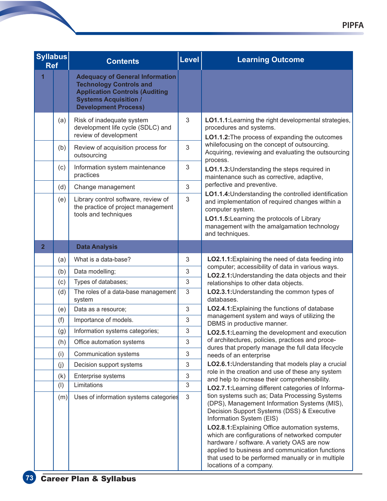| <b>Syllabus</b><br><b>Ref</b> |     | <b>Contents</b>                                                                                                                                                                  | <b>Level</b>   | <b>Learning Outcome</b>                                                                                                                                                                                                                                                                                                                                                                                                                                      |
|-------------------------------|-----|----------------------------------------------------------------------------------------------------------------------------------------------------------------------------------|----------------|--------------------------------------------------------------------------------------------------------------------------------------------------------------------------------------------------------------------------------------------------------------------------------------------------------------------------------------------------------------------------------------------------------------------------------------------------------------|
| 1                             |     | <b>Adequacy of General Information</b><br><b>Technology Controls and</b><br><b>Application Controls (Auditing</b><br><b>Systems Acquisition /</b><br><b>Development Process)</b> |                |                                                                                                                                                                                                                                                                                                                                                                                                                                                              |
|                               | (a) | Risk of inadequate system<br>development life cycle (SDLC) and<br>review of development                                                                                          | 3              | LO1.1.1: Learning the right developmental strategies,<br>procedures and systems.<br>LO1.1.2: The process of expanding the outcomes                                                                                                                                                                                                                                                                                                                           |
|                               | (b) | Review of acquisition process for<br>outsourcing                                                                                                                                 | 3              | whilefocusing on the concept of outsourcing.<br>Acquiring, reviewing and evaluating the outsourcing<br>process.                                                                                                                                                                                                                                                                                                                                              |
|                               | (c) | Information system maintenance<br>practices                                                                                                                                      | 3              | LO1.1.3: Understanding the steps required in<br>maintenance such as corrective, adaptive,                                                                                                                                                                                                                                                                                                                                                                    |
|                               | (d) | Change management                                                                                                                                                                | 3              | perfective and preventive.                                                                                                                                                                                                                                                                                                                                                                                                                                   |
|                               | (e) | Library control software, review of<br>the practice of project management<br>tools and techniques                                                                                | 3              | LO1.1.4: Understanding the controlled identification<br>and implementation of required changes within a<br>computer system.<br>LO1.1.5: Learning the protocols of Library                                                                                                                                                                                                                                                                                    |
|                               |     |                                                                                                                                                                                  |                | management with the amalgamation technology<br>and techniques.                                                                                                                                                                                                                                                                                                                                                                                               |
| $\overline{2}$                |     | <b>Data Analysis</b>                                                                                                                                                             |                |                                                                                                                                                                                                                                                                                                                                                                                                                                                              |
|                               | (a) | What is a data-base?                                                                                                                                                             | 3              | LO2.1.1: Explaining the need of data feeding into                                                                                                                                                                                                                                                                                                                                                                                                            |
|                               | (b) | Data modelling;                                                                                                                                                                  | 3              | computer; accessibility of data in various ways.<br>LO2.2.1: Understanding the data objects and their                                                                                                                                                                                                                                                                                                                                                        |
|                               | (c) | Types of databases;                                                                                                                                                              | 3              | relationships to other data objects.                                                                                                                                                                                                                                                                                                                                                                                                                         |
|                               | (d) | The roles of a data-base management<br>system                                                                                                                                    | 3              | LO2.3.1: Understanding the common types of<br>databases.                                                                                                                                                                                                                                                                                                                                                                                                     |
|                               | (e) | Data as a resource;                                                                                                                                                              | 3              | LO2.4.1: Explaining the functions of database                                                                                                                                                                                                                                                                                                                                                                                                                |
|                               | (f) | Importance of models.                                                                                                                                                            | 3              | management system and ways of utilizing the<br>DBMS in productive manner.                                                                                                                                                                                                                                                                                                                                                                                    |
|                               | (g) | Information systems categories;                                                                                                                                                  | 3              | LO2.5.1: Learning the development and execution                                                                                                                                                                                                                                                                                                                                                                                                              |
|                               | (h) | Office automation systems                                                                                                                                                        | 3              | of architectures, policies, practices and proce-<br>dures that properly manage the full data lifecycle                                                                                                                                                                                                                                                                                                                                                       |
|                               | (i) | Communication systems                                                                                                                                                            | 3              | needs of an enterprise                                                                                                                                                                                                                                                                                                                                                                                                                                       |
|                               | (j) | Decision support systems                                                                                                                                                         | 3              | LO2.6.1: Understanding that models play a crucial                                                                                                                                                                                                                                                                                                                                                                                                            |
|                               | (k) | Enterprise systems                                                                                                                                                               | 3              | role in the creation and use of these any system<br>and help to increase their comprehensibility.                                                                                                                                                                                                                                                                                                                                                            |
|                               | (1) | Limitations                                                                                                                                                                      | $\sqrt{3}$     | LO2.7.1: Learning different categories of Informa-                                                                                                                                                                                                                                                                                                                                                                                                           |
|                               | (m) | Uses of information systems categories                                                                                                                                           | $\mathfrak{S}$ | tion systems such as; Data Processing Systems<br>(DPS), Management Information Systems (MIS),<br>Decision Support Systems (DSS) & Executive<br>Information System (EIS)<br>LO2.8.1: Explaining Office automation systems,<br>which are configurations of networked computer<br>hardware / software. A variety OAS are now<br>applied to business and communication functions<br>that used to be performed manually or in multiple<br>locations of a company. |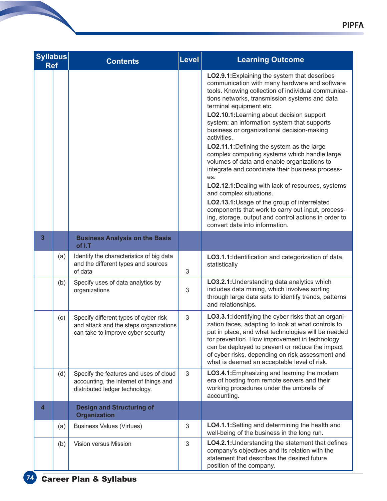| <b>Syllabus</b><br><b>Ref</b> |     | <b>Contents</b>                                                                                                       | Level | <b>Learning Outcome</b>                                                                                                                                                                                                                                                                                                                                                                                                                                                                                                                                                                                                                                                                                                                                                                                                                                                          |
|-------------------------------|-----|-----------------------------------------------------------------------------------------------------------------------|-------|----------------------------------------------------------------------------------------------------------------------------------------------------------------------------------------------------------------------------------------------------------------------------------------------------------------------------------------------------------------------------------------------------------------------------------------------------------------------------------------------------------------------------------------------------------------------------------------------------------------------------------------------------------------------------------------------------------------------------------------------------------------------------------------------------------------------------------------------------------------------------------|
|                               |     |                                                                                                                       |       | LO2.9.1: Explaining the system that describes<br>communication with many hardware and software<br>tools. Knowing collection of individual communica-<br>tions networks, transmission systems and data<br>terminal equipment etc.<br>LO2.10.1: Learning about decision support<br>system; an information system that supports<br>business or organizational decision-making<br>activities.<br>LO2.11.1: Defining the system as the large<br>complex computing systems which handle large<br>volumes of data and enable organizations to<br>integrate and coordinate their business process-<br>es.<br>LO2.12.1: Dealing with lack of resources, systems<br>and complex situations.<br>LO2.13.1: Usage of the group of interrelated<br>components that work to carry out input, process-<br>ing, storage, output and control actions in order to<br>convert data into information. |
| $\overline{\mathbf{3}}$       |     | <b>Business Analysis on the Basis</b><br>of I.T                                                                       |       |                                                                                                                                                                                                                                                                                                                                                                                                                                                                                                                                                                                                                                                                                                                                                                                                                                                                                  |
|                               | (a) | Identify the characteristics of big data<br>and the different types and sources<br>of data                            | 3     | LO3.1.1: Identification and categorization of data,<br>statistically                                                                                                                                                                                                                                                                                                                                                                                                                                                                                                                                                                                                                                                                                                                                                                                                             |
|                               | (b) | Specify uses of data analytics by<br>organizations                                                                    | 3     | LO3.2.1: Understanding data analytics which<br>includes data mining, which involves sorting<br>through large data sets to identify trends, patterns<br>and relationships.                                                                                                                                                                                                                                                                                                                                                                                                                                                                                                                                                                                                                                                                                                        |
|                               | (c) | Specify different types of cyber risk<br>and attack and the steps organizations<br>can take to improve cyber security | 3     | LO3.3.1: Identifying the cyber risks that an organi-<br>zation faces, adapting to look at what controls to<br>put in place, and what technologies will be needed<br>for prevention. How improvement in technology<br>can be deployed to prevent or reduce the impact<br>of cyber risks, depending on risk assessment and<br>what is deemed an acceptable level of risk.                                                                                                                                                                                                                                                                                                                                                                                                                                                                                                          |
|                               | (d) | Specify the features and uses of cloud<br>accounting, the internet of things and<br>distributed ledger technology.    | 3     | LO3.4.1: Emphasizing and learning the modern<br>era of hosting from remote servers and their<br>working procedures under the umbrella of<br>accounting.                                                                                                                                                                                                                                                                                                                                                                                                                                                                                                                                                                                                                                                                                                                          |
| $\overline{4}$                |     | <b>Design and Structuring of</b><br><b>Organization</b>                                                               |       |                                                                                                                                                                                                                                                                                                                                                                                                                                                                                                                                                                                                                                                                                                                                                                                                                                                                                  |
|                               | (a) | <b>Business Values (Virtues)</b>                                                                                      | 3     | LO4.1.1: Setting and determining the health and<br>well-being of the business in the long run.                                                                                                                                                                                                                                                                                                                                                                                                                                                                                                                                                                                                                                                                                                                                                                                   |
|                               | (b) | Vision versus Mission                                                                                                 | 3     | LO4.2.1: Understanding the statement that defines<br>company's objectives and its relation with the<br>statement that describes the desired future<br>position of the company.                                                                                                                                                                                                                                                                                                                                                                                                                                                                                                                                                                                                                                                                                                   |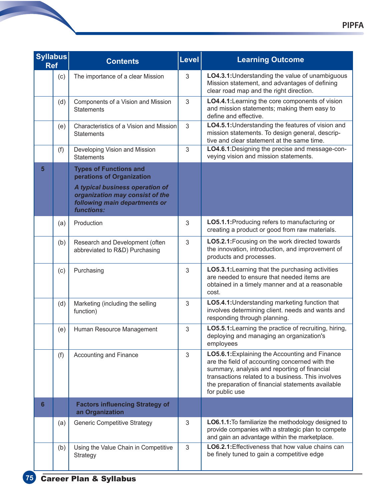| <b>Syllabus</b><br><b>Ref</b> |     | <b>Contents</b>                                                                                                                                                                 | <b>Level</b> | <b>Learning Outcome</b>                                                                                                                                                                                                                                                      |
|-------------------------------|-----|---------------------------------------------------------------------------------------------------------------------------------------------------------------------------------|--------------|------------------------------------------------------------------------------------------------------------------------------------------------------------------------------------------------------------------------------------------------------------------------------|
|                               | (c) | The importance of a clear Mission                                                                                                                                               | 3            | LO4.3.1: Understanding the value of unambiguous<br>Mission statement, and advantages of defining<br>clear road map and the right direction.                                                                                                                                  |
|                               | (d) | Components of a Vision and Mission<br><b>Statements</b>                                                                                                                         | 3            | LO4.4.1: Learning the core components of vision<br>and mission statements; making them easy to<br>define and effective.                                                                                                                                                      |
|                               | (e) | Characteristics of a Vision and Mission<br><b>Statements</b>                                                                                                                    | 3            | LO4.5.1: Understanding the features of vision and<br>mission statements. To design general, descrip-<br>tive and clear statement at the same time.                                                                                                                           |
|                               | (f) | Developing Vision and Mission<br><b>Statements</b>                                                                                                                              | 3            | LO4.6.1: Designing the precise and message-con-<br>veying vision and mission statements.                                                                                                                                                                                     |
| 5                             |     | <b>Types of Functions and</b><br>perations of Organization<br>A typical business operation of<br>organization may consist of the<br>following main departments or<br>functions: |              |                                                                                                                                                                                                                                                                              |
|                               | (a) | Production                                                                                                                                                                      | 3            | LO5.1.1: Producing refers to manufacturing or<br>creating a product or good from raw materials.                                                                                                                                                                              |
|                               | (b) | Research and Development (often<br>abbreviated to R&D) Purchasing                                                                                                               | 3            | LO5.2.1: Focusing on the work directed towards<br>the innovation, introduction, and improvement of<br>products and processes.                                                                                                                                                |
|                               | (c) | Purchasing                                                                                                                                                                      | 3            | LO5.3.1: Learning that the purchasing activities<br>are needed to ensure that needed items are<br>obtained in a timely manner and at a reasonable<br>cost.                                                                                                                   |
|                               | (d) | Marketing (including the selling<br>function)                                                                                                                                   | 3            | LO5.4.1: Understanding marketing function that<br>involves determining client. needs and wants and<br>responding through planning.                                                                                                                                           |
|                               | (e) | Human Resource Management                                                                                                                                                       | 3            | LO5.5.1: Learning the practice of recruiting, hiring,<br>deploying and managing an organization's<br>employees                                                                                                                                                               |
|                               | (f) | Accounting and Finance                                                                                                                                                          | 3            | LO5.6.1: Explaining the Accounting and Finance<br>are the field of accounting concerned with the<br>summary, analysis and reporting of financial<br>transactions related to a business. This involves<br>the preparation of financial statements available<br>for public use |
| $6\phantom{1}$                |     | <b>Factors influencing Strategy of</b><br>an Organization                                                                                                                       |              |                                                                                                                                                                                                                                                                              |
|                               | (a) | <b>Generic Competitive Strategy</b>                                                                                                                                             | 3            | LO6.1.1: To familiarize the methodology designed to<br>provide companies with a strategic plan to compete<br>and gain an advantage within the marketplace.                                                                                                                   |
|                               | (b) | Using the Value Chain in Competitive<br>Strategy                                                                                                                                | 3            | LO6.2.1: Effectiveness that how value chains can<br>be finely tuned to gain a competitive edge                                                                                                                                                                               |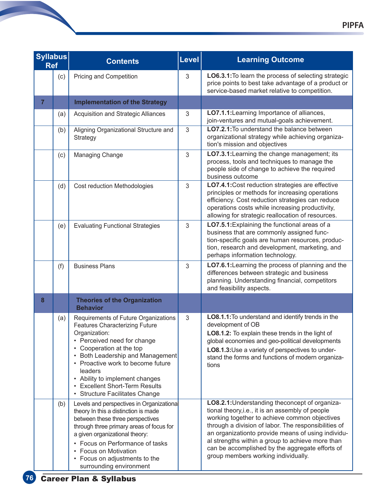| <b>Syllabus</b><br><b>Ref</b> |     | <b>Contents</b>                                                                                                                                                                                                                                                                                                                                                    | Level          | <b>Learning Outcome</b>                                                                                                                                                                                                                                                                                                                                                                                          |
|-------------------------------|-----|--------------------------------------------------------------------------------------------------------------------------------------------------------------------------------------------------------------------------------------------------------------------------------------------------------------------------------------------------------------------|----------------|------------------------------------------------------------------------------------------------------------------------------------------------------------------------------------------------------------------------------------------------------------------------------------------------------------------------------------------------------------------------------------------------------------------|
|                               | (c) | Pricing and Competition                                                                                                                                                                                                                                                                                                                                            | 3              | LO6.3.1: To learn the process of selecting strategic<br>price points to best take advantage of a product or<br>service-based market relative to competition.                                                                                                                                                                                                                                                     |
| $\overline{7}$                |     | <b>Implementation of the Strategy</b>                                                                                                                                                                                                                                                                                                                              |                |                                                                                                                                                                                                                                                                                                                                                                                                                  |
|                               | (a) | Acquisition and Strategic Alliances                                                                                                                                                                                                                                                                                                                                | $\sqrt{3}$     | LO7.1.1: Learning Importance of alliances,<br>join-ventures and mutual-goals achievement.                                                                                                                                                                                                                                                                                                                        |
|                               | (b) | Aligning Organizational Structure and<br>Strategy                                                                                                                                                                                                                                                                                                                  | $\mathfrak{S}$ | LO7.2.1: To understand the balance between<br>organizational strategy while achieving organiza-<br>tion's mission and objectives                                                                                                                                                                                                                                                                                 |
|                               | (c) | <b>Managing Change</b>                                                                                                                                                                                                                                                                                                                                             | $\mathfrak{Z}$ | LO7.3.1: Learning the change management; its<br>process, tools and techniques to manage the<br>people side of change to achieve the required<br>business outcome                                                                                                                                                                                                                                                 |
|                               | (d) | Cost reduction Methodologies                                                                                                                                                                                                                                                                                                                                       | 3              | LO7.4.1: Cost reduction strategies are effective<br>principles or methods for increasing operations<br>efficiency. Cost reduction strategies can reduce<br>operations costs while increasing productivity,<br>allowing for strategic reallocation of resources.                                                                                                                                                  |
|                               | (e) | <b>Evaluating Functional Strategies</b>                                                                                                                                                                                                                                                                                                                            | 3              | LO7.5.1: Explaining the functional areas of a<br>business that are commonly assigned func-<br>tion-specific goals are human resources, produc-<br>tion, research and development, marketing, and<br>perhaps information technology.                                                                                                                                                                              |
|                               | (f) | <b>Business Plans</b>                                                                                                                                                                                                                                                                                                                                              | 3              | LO7.6.1: Learning the process of planning and the<br>differences between strategic and business<br>planning. Understanding financial, competitors<br>and feasibility aspects.                                                                                                                                                                                                                                    |
| 8                             |     | <b>Theories of the Organization</b><br><b>Behavior</b>                                                                                                                                                                                                                                                                                                             |                |                                                                                                                                                                                                                                                                                                                                                                                                                  |
|                               | (a) | Requirements of Future Organizations<br><b>Features Characterizing Future</b><br>Organization:<br>• Perceived need for change<br>Cooperation at the top<br>Both Leadership and Management<br>Proactive work to become future<br>leaders<br>Ability to implement changes<br>$\bullet$<br><b>Excellent Short-Term Results</b><br><b>Structure Facilitates Change</b> | 3              | LO8.1.1: To understand and identify trends in the<br>development of OB<br>LO8.1.2: To explain these trends in the light of<br>global economies and geo-political developments<br>LO8.1.3: Use a variety of perspectives to under-<br>stand the forms and functions of modern organiza-<br>tions                                                                                                                  |
|                               | (b) | Levels and perspectives in Organizational<br>theory In this a distinction is made<br>between these three perspectives<br>through three primary areas of focus for<br>a given organizational theory:<br>• Focus on Performance of tasks<br><b>Focus on Motivation</b><br>• Focus on adjustments to the<br>surrounding environment                                   |                | LO8.2.1: Understanding the concept of organiza-<br>tional theory, i.e., it is an assembly of people<br>working together to achieve common objectives<br>through a division of labor. The responsibilities of<br>an organizationto provide means of using individu-<br>al strengths within a group to achieve more than<br>can be accomplished by the aggregate efforts of<br>group members working individually. |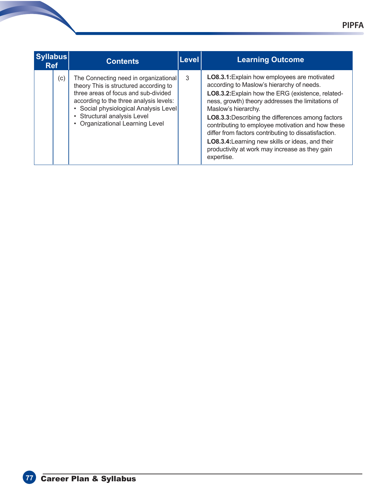| <b>Syllabus</b><br><b>Ref</b> | <b>Contents</b>                                                                                                                                                                                                                                                                  | <b>Level</b> | <b>Learning Outcome</b>                                                                                                                                                                                                                                                                                                                                                                                                                                                                                          |
|-------------------------------|----------------------------------------------------------------------------------------------------------------------------------------------------------------------------------------------------------------------------------------------------------------------------------|--------------|------------------------------------------------------------------------------------------------------------------------------------------------------------------------------------------------------------------------------------------------------------------------------------------------------------------------------------------------------------------------------------------------------------------------------------------------------------------------------------------------------------------|
| (c)                           | The Connecting need in organizational<br>theory This is structured according to<br>three areas of focus and sub-divided<br>according to the three analysis levels:<br>Social physiological Analysis Level<br>• Structural analysis Level<br><b>Organizational Learning Level</b> | 3            | LO8.3.1: Explain how employees are motivated<br>according to Maslow's hierarchy of needs.<br>LO8.3.2: Explain how the ERG (existence, related-<br>ness, growth) theory addresses the limitations of<br>Maslow's hierarchy.<br>LO8.3.3: Describing the differences among factors<br>contributing to employee motivation and how these<br>differ from factors contributing to dissatisfaction.<br>LO8.3.4: Learning new skills or ideas, and their<br>productivity at work may increase as they gain<br>expertise. |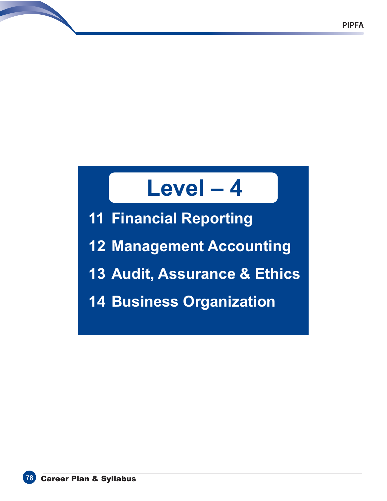# **Level – 4**

**11 Financial Reporting**

**12 Management Accounting**

- **13 Audit, Assurance & Ethics**
- **14 Business Organization**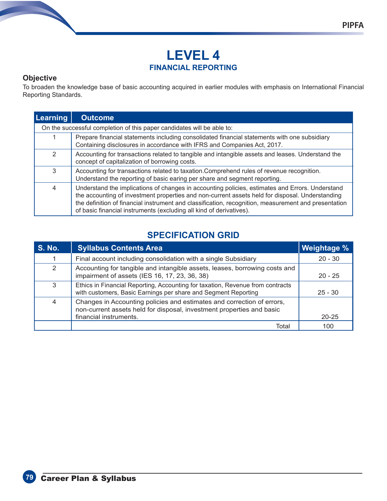#### **Objective**

To broaden the knowledge base of basic accounting acquired in earlier modules with emphasis on International Financial Reporting Standards.

| Learning                                                               | <b>Outcome</b>                                                                                                                                                                                                                                                                                                                                                                    |  |  |
|------------------------------------------------------------------------|-----------------------------------------------------------------------------------------------------------------------------------------------------------------------------------------------------------------------------------------------------------------------------------------------------------------------------------------------------------------------------------|--|--|
| On the successful completion of this paper candidates will be able to: |                                                                                                                                                                                                                                                                                                                                                                                   |  |  |
|                                                                        | Prepare financial statements including consolidated financial statements with one subsidiary<br>Containing disclosures in accordance with IFRS and Companies Act, 2017.                                                                                                                                                                                                           |  |  |
| 2                                                                      | Accounting for transactions related to tangible and intangible assets and leases. Understand the<br>concept of capitalization of borrowing costs.                                                                                                                                                                                                                                 |  |  |
| 3                                                                      | Accounting for transactions related to taxation.Comprehend rules of revenue recognition.<br>Understand the reporting of basic earing per share and segment reporting.                                                                                                                                                                                                             |  |  |
| $\overline{4}$                                                         | Understand the implications of changes in accounting policies, estimates and Errors. Understand<br>the accounting of investment properties and non-current assets held for disposal. Understanding<br>the definition of financial instrument and classification, recognition, measurement and presentation<br>of basic financial instruments (excluding all kind of derivatives). |  |  |

# **SPECIFICATION GRID**

| <b>S. No.</b>  | <b>Syllabus Contents Area</b>                                                                                                                                             | <b>Weightage %</b> |
|----------------|---------------------------------------------------------------------------------------------------------------------------------------------------------------------------|--------------------|
|                | Final account including consolidation with a single Subsidiary                                                                                                            | $20 - 30$          |
| 2              | Accounting for tangible and intangible assets, leases, borrowing costs and<br>impairment of assets (IES 16, 17, 23, 36, 38)                                               | $20 - 25$          |
| 3              | Ethics in Financial Reporting, Accounting for taxation, Revenue from contracts<br>with customers, Basic Earnings per share and Segment Reporting                          | $25 - 30$          |
| $\overline{4}$ | Changes in Accounting policies and estimates and correction of errors,<br>non-current assets held for disposal, investment properties and basic<br>financial instruments. | $20 - 25$          |
|                | Total                                                                                                                                                                     | 100                |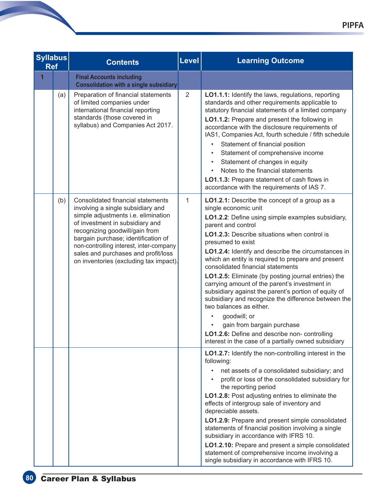| <b>Syllabus</b><br><b>Ref</b> |     | <b>Contents</b>                                                                                                                                                                                                                                                                                                                                       | <b>Level</b>   | <b>Learning Outcome</b>                                                                                                                                                                                                                                                                                                                                                                                                                                                                                                                                                                                                                                                                                                                                                         |  |
|-------------------------------|-----|-------------------------------------------------------------------------------------------------------------------------------------------------------------------------------------------------------------------------------------------------------------------------------------------------------------------------------------------------------|----------------|---------------------------------------------------------------------------------------------------------------------------------------------------------------------------------------------------------------------------------------------------------------------------------------------------------------------------------------------------------------------------------------------------------------------------------------------------------------------------------------------------------------------------------------------------------------------------------------------------------------------------------------------------------------------------------------------------------------------------------------------------------------------------------|--|
| $\overline{1}$                |     | <b>Final Accounts including</b><br><b>Consolidation with a single subsidiary</b>                                                                                                                                                                                                                                                                      |                |                                                                                                                                                                                                                                                                                                                                                                                                                                                                                                                                                                                                                                                                                                                                                                                 |  |
|                               | (a) | Preparation of financial statements<br>of limited companies under<br>international financial reporting<br>standards (those covered in<br>syllabus) and Companies Act 2017.                                                                                                                                                                            | $\overline{2}$ | LO1.1.1: Identify the laws, regulations, reporting<br>standards and other requirements applicable to<br>statutory financial statements of a limited company<br>LO1.1.2: Prepare and present the following in<br>accordance with the disclosure requirements of<br>IAS1, Companies Act, fourth schedule / fifth schedule<br>Statement of financial position<br>$\bullet$<br>Statement of comprehensive income<br>Statement of changes in equity<br>Notes to the financial statements<br>LO1.1.3: Prepare statement of cash flows in<br>accordance with the requirements of IAS 7.                                                                                                                                                                                                |  |
|                               | (b) | Consolidated financial statements<br>involving a single subsidiary and<br>simple adjustments i.e. elimination<br>of investment in subsidiary and<br>recognizing goodwill/gain from<br>bargain purchase; identification of<br>non-controlling interest, inter-company<br>sales and purchases and profit/loss<br>on inventories (excluding tax impact). | 1              | LO1.2.1: Describe the concept of a group as a<br>single economic unit<br>LO1.2.2: Define using simple examples subsidiary,<br>parent and control<br>LO1.2.3: Describe situations when control is<br>presumed to exist<br>LO1.2.4: Identify and describe the circumstances in<br>which an entity is required to prepare and present<br>consolidated financial statements<br>LO1.2.5: Eliminate (by posting journal entries) the<br>carrying amount of the parent's investment in<br>subsidiary against the parent's portion of equity of<br>subsidiary and recognize the difference between the<br>two balances as either.<br>goodwill; or<br>gain from bargain purchase<br>LO1.2.6: Define and describe non-controlling<br>interest in the case of a partially owned subsidiary |  |
|                               |     |                                                                                                                                                                                                                                                                                                                                                       |                | LO1.2.7: Identify the non-controlling interest in the<br>following:<br>net assets of a consolidated subsidiary; and<br>profit or loss of the consolidated subsidiary for<br>the reporting period<br>LO1.2.8: Post adjusting entries to eliminate the<br>effects of intergroup sale of inventory and<br>depreciable assets.<br>LO1.2.9: Prepare and present simple consolidated<br>statements of financial position involving a single<br>subsidiary in accordance with IFRS 10.<br>LO1.2.10: Prepare and present a simple consolidated<br>statement of comprehensive income involving a<br>single subsidiary in accordance with IFRS 10.                                                                                                                                        |  |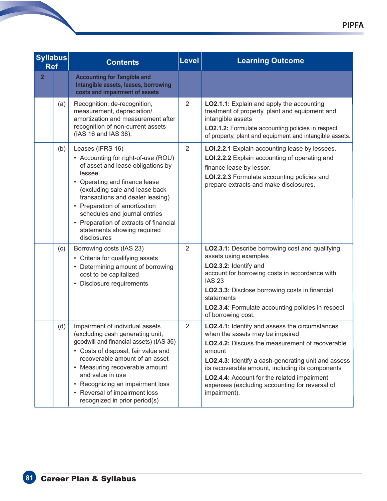| <b>Syllabus</b><br><b>Ref</b> |     | <b>Contents</b>                                                                                                                                                                                                                                                                                                                                                          | <b>Level</b>   | <b>Learning Outcome</b>                                                                                                                                                                                                                                                                                                                                                    |
|-------------------------------|-----|--------------------------------------------------------------------------------------------------------------------------------------------------------------------------------------------------------------------------------------------------------------------------------------------------------------------------------------------------------------------------|----------------|----------------------------------------------------------------------------------------------------------------------------------------------------------------------------------------------------------------------------------------------------------------------------------------------------------------------------------------------------------------------------|
| $\overline{2}$                |     | <b>Accounting for Tangible and</b><br>Intangible assets, leases, borrowing<br>costs and impairment of assets                                                                                                                                                                                                                                                             |                |                                                                                                                                                                                                                                                                                                                                                                            |
|                               | (a) | Recognition, de-recognition,<br>measurement, depreciation/<br>amortization and measurement after<br>recognition of non-current assets<br>(IAS 16 and IAS 38).                                                                                                                                                                                                            | $\overline{2}$ | LO2.1.1: Explain and apply the accounting<br>treatment of property, plant and equipment and<br>intangible assets<br>LO2.1.2: Formulate accounting policies in respect<br>of property, plant and equipment and intangible assets.                                                                                                                                           |
|                               | (b) | Leases (IFRS 16)<br>• Accounting for right-of-use (ROU)<br>of asset and lease obligations by<br>lessee.<br>• Operating and finance lease<br>(excluding sale and lease back<br>transactions and dealer leasing)<br>• Preparation of amortization<br>schedules and journal entries<br>• Preparation of extracts of financial<br>statements showing required<br>disclosures | $\overline{2}$ | LOI.2.2.1 Explain accounting lease by lessees.<br>LOI.2.2.2 Explain accounting of operating and<br>finance lease by lessor.<br>LOI.2.2.3 Formulate accounting policies and<br>prepare extracts and make disclosures.                                                                                                                                                       |
|                               | (c) | Borrowing costs (IAS 23)<br>• Criteria for qualifying assets<br>• Determining amount of borrowing<br>cost to be capitalized<br>• Disclosure requirements                                                                                                                                                                                                                 | $\overline{2}$ | LO2.3.1: Describe borrowing cost and qualifying<br>assets using examples<br>LO2.3.2: Identify and<br>account for borrowing costs in accordance with<br><b>IAS 23</b><br>LO2.3.3: Disclose borrowing costs in financial<br>statements<br>LO2.3.4: Formulate accounting policies in respect<br>of borrowing cost.                                                            |
|                               | (d) | Impairment of individual assets<br>(excluding cash generating unit,<br>goodwill and financial assets) (IAS 36)<br>• Costs of disposal, fair value and<br>recoverable amount of an asset<br>• Measuring recoverable amount<br>and value in use<br>• Recognizing an impairment loss<br>• Reversal of impairment loss<br>recognized in prior period(s)                      | $\overline{2}$ | LO2.4.1: Identify and assess the circumstances<br>when the assets may be impaired<br>LO2.4.2: Discuss the measurement of recoverable<br>amount<br>LO2.4.3: Identify a cash-generating unit and assess<br>its recoverable amount, including its components<br>LO2.4.4: Account for the related impairment<br>expenses (excluding accounting for reversal of<br>impairment). |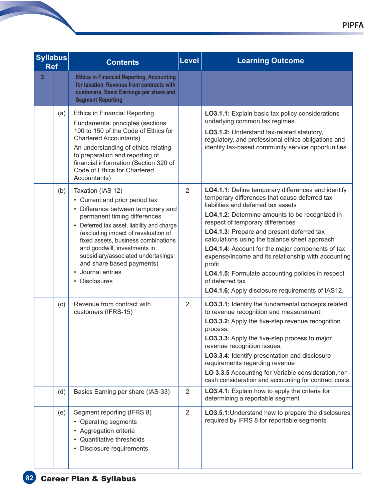| <b>Syllabus</b><br><b>Ref</b> |     | <b>Contents</b>                                                                                                                                                                                                                                                                                                                                                                                | <b>Level</b>   | <b>Learning Outcome</b>                                                                                                                                                                                                                                                                                                                                                                                                                                                                                                                                                         |
|-------------------------------|-----|------------------------------------------------------------------------------------------------------------------------------------------------------------------------------------------------------------------------------------------------------------------------------------------------------------------------------------------------------------------------------------------------|----------------|---------------------------------------------------------------------------------------------------------------------------------------------------------------------------------------------------------------------------------------------------------------------------------------------------------------------------------------------------------------------------------------------------------------------------------------------------------------------------------------------------------------------------------------------------------------------------------|
| $\overline{\mathbf{3}}$       |     | <b>Ethics in Financial Reporting, Accounting</b><br>for taxation, Revenue from contracts with<br>customers, Basic Earnings per share and<br><b>Segment Reporting</b>                                                                                                                                                                                                                           |                |                                                                                                                                                                                                                                                                                                                                                                                                                                                                                                                                                                                 |
|                               | (a) | <b>Ethics in Financial Reporting</b><br>Fundamental principles (sections<br>100 to 150 of the Code of Ethics for<br><b>Chartered Accountants)</b><br>An understanding of ethics relating<br>to preparation and reporting of<br>financial information (Section 320 of<br>Code of Ethics for Chartered<br>Accountants)                                                                           |                | LO3.1.1: Explain basic tax policy considerations<br>underlying common tax regimes.<br>LO3.1.2: Understand tax-related statutory,<br>regulatory, and professional ethics obligations and<br>identify tax-based community service opportunities                                                                                                                                                                                                                                                                                                                                   |
|                               | (b) | Taxation (IAS 12)<br>• Current and prior period tax<br>• Difference between temporary and<br>permanent timing differences<br>• Deferred tax asset, liability and charge<br>(excluding impact of revaluation of<br>fixed assets, business combinations<br>and goodwill, investments in<br>subsidiary/associated undertakings<br>and share based payments)<br>• Journal entries<br>• Disclosures | 2              | LO4.1.1: Define temporary differences and identify<br>temporary differences that cause deferred tax<br>liabilities and deferred tax assets<br>LO4.1.2: Determine amounts to be recognized in<br>respect of temporary differences<br>LO4.1.3: Prepare and present deferred tax<br>calculations using the balance sheet approach<br>LO4.1.4: Account for the major components of tax<br>expense/income and its relationship with accounting<br>profit<br>LO4.1.5: Formulate accounting policies in respect<br>of deferred tax<br>LO4.1.6: Apply disclosure requirements of IAS12. |
|                               | (c) | Revenue from contract with<br>customers (IFRS-15)                                                                                                                                                                                                                                                                                                                                              | 2              | LO3.3.1: Identify the fundamental concepts related<br>to revenue recognition and measurement.<br>LO3.3.2: Apply the five-step revenue recognition<br>process.<br>LO3.3.3: Apply the five-step process to major<br>revenue recognition issues.<br>LO3.3.4: Identify presentation and disclosure<br>requirements regarding revenue<br>LO 3.3.5 Accounting for Variable consideration, non-<br>cash consideration and accounting for contract costs.                                                                                                                               |
|                               | (d) | Basics Earning per share (IAS-33)                                                                                                                                                                                                                                                                                                                                                              | $\overline{2}$ | LO3.4.1: Explain how to apply the criteria for<br>determining a reportable segment                                                                                                                                                                                                                                                                                                                                                                                                                                                                                              |
|                               | (e) | Segment reporting (IFRS 8)<br>• Operating segments<br>• Aggregation criteria<br>Quantitative thresholds<br>Disclosure requirements                                                                                                                                                                                                                                                             | $\overline{2}$ | LO3.5.1: Understand how to prepare the disclosures<br>required by IFRS 8 for reportable segments                                                                                                                                                                                                                                                                                                                                                                                                                                                                                |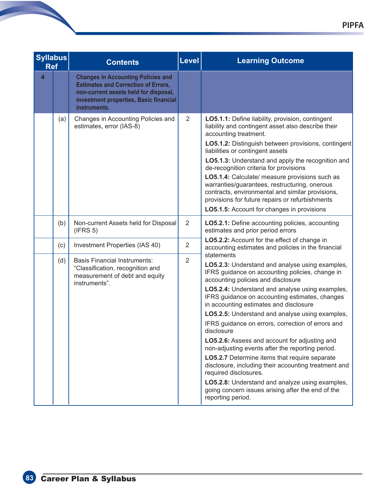| <b>Syllabus</b><br><b>Ref</b> |     | <b>Contents</b>                                                                                                                                                                            | <b>Level</b>   | <b>Learning Outcome</b>                                                                                                                                                                                                                                                                                                                                                                                                                                                                                                                                                                                                                                                                                                                                                                         |
|-------------------------------|-----|--------------------------------------------------------------------------------------------------------------------------------------------------------------------------------------------|----------------|-------------------------------------------------------------------------------------------------------------------------------------------------------------------------------------------------------------------------------------------------------------------------------------------------------------------------------------------------------------------------------------------------------------------------------------------------------------------------------------------------------------------------------------------------------------------------------------------------------------------------------------------------------------------------------------------------------------------------------------------------------------------------------------------------|
| $\overline{\mathbf{4}}$       |     | <b>Changes in Accounting Policies and</b><br><b>Estimates and Correction of Errors,</b><br>non-current assets held for disposal,<br>investment properties, Basic financial<br>instruments. |                |                                                                                                                                                                                                                                                                                                                                                                                                                                                                                                                                                                                                                                                                                                                                                                                                 |
|                               | (a) | Changes in Accounting Policies and<br>estimates, error (IAS-8)                                                                                                                             | 2              | LO5.1.1: Define liability, provision, contingent<br>liability and contingent asset also describe their<br>accounting treatment.<br>LO5.1.2: Distinguish between provisions, contingent<br>liabilities or contingent assets<br>LO5.1.3: Understand and apply the recognition and<br>de-recognition criteria for provisions<br>LO5.1.4: Calculate/ measure provisions such as<br>warranties/guarantees, restructuring, onerous<br>contracts, environmental and similar provisions,<br>provisions for future repairs or refurbishments<br>LO5.1.5: Account for changes in provisions                                                                                                                                                                                                               |
|                               | (b) | Non-current Assets held for Disposal<br>(IFRS 5)                                                                                                                                           | 2              | LO5.2.1: Define accounting policies, accounting<br>estimates and prior period errors                                                                                                                                                                                                                                                                                                                                                                                                                                                                                                                                                                                                                                                                                                            |
|                               | (c) | Investment Properties (IAS 40)                                                                                                                                                             | $\overline{2}$ | LO5.2.2: Account for the effect of change in<br>accounting estimates and policies in the financial                                                                                                                                                                                                                                                                                                                                                                                                                                                                                                                                                                                                                                                                                              |
|                               | (d) | <b>Basis Financial Instruments:</b><br>"Classification, recognition and<br>measurement of debt and equity<br>instruments".                                                                 | $\overline{2}$ | statements<br>LO5.2.3: Understand and analyse using examples,<br>IFRS guidance on accounting policies, change in<br>accounting policies and disclosure<br>LO5.2.4: Understand and analyse using examples,<br>IFRS guidance on accounting estimates, changes<br>in accounting estimates and disclosure<br>LO5.2.5: Understand and analyse using examples,<br>IFRS guidance on errors, correction of errors and<br>disclosure<br>LO5.2.6: Assess and account for adjusting and<br>non-adjusting events after the reporting period.<br>LO5.2.7 Determine items that require separate<br>disclosure, including their accounting treatment and<br>required disclosures.<br>LO5.2.8: Understand and analyze using examples,<br>going concern issues arising after the end of the<br>reporting period. |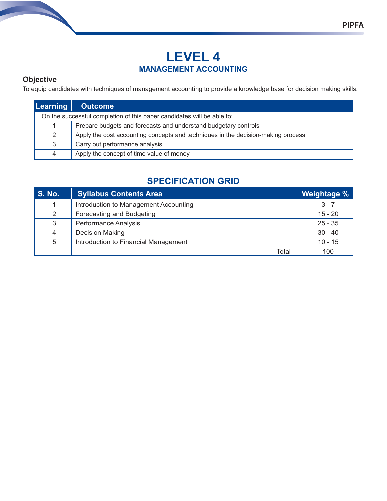# **LEVEL 4 MANAGEMENT ACCOUNTING**

### **Objective**

To equip candidates with techniques of management accounting to provide a knowledge base for decision making skills.

| <b>Learning</b> | <b>Outcome</b>                                                                   |
|-----------------|----------------------------------------------------------------------------------|
|                 | On the successful completion of this paper candidates will be able to:           |
|                 | Prepare budgets and forecasts and understand budgetary controls                  |
| 2               | Apply the cost accounting concepts and techniques in the decision-making process |
| 3               | Carry out performance analysis                                                   |
| 4               | Apply the concept of time value of money                                         |

### **SPECIFICATION GRID**

| <b>S. No.</b> | <b>Syllabus Contents Area</b>         | Weightage % |
|---------------|---------------------------------------|-------------|
|               | Introduction to Management Accounting | $3 - 7$     |
| 2             | Forecasting and Budgeting             | $15 - 20$   |
| 3             | Performance Analysis                  | $25 - 35$   |
| 4             | <b>Decision Making</b>                | $30 - 40$   |
| 5             | Introduction to Financial Management  | $10 - 15$   |
|               | Total                                 | 100         |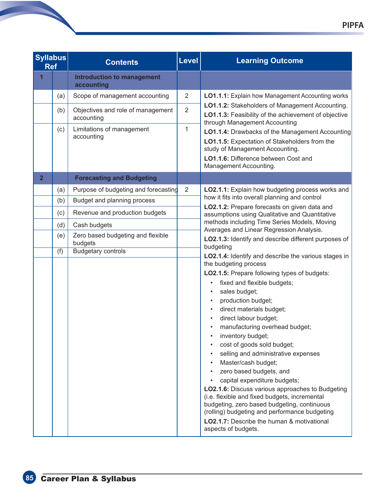| <b>Syllabus</b><br><b>Ref</b> |     | <b>Contents</b>                                 | Level          | <b>Learning Outcome</b>                                                                                                                                                                                                                                                                                                                                                                                                                                                                                                                                                                                                                                                                         |  |
|-------------------------------|-----|-------------------------------------------------|----------------|-------------------------------------------------------------------------------------------------------------------------------------------------------------------------------------------------------------------------------------------------------------------------------------------------------------------------------------------------------------------------------------------------------------------------------------------------------------------------------------------------------------------------------------------------------------------------------------------------------------------------------------------------------------------------------------------------|--|
| $\overline{1}$                |     | <b>Introduction to management</b><br>accounting |                |                                                                                                                                                                                                                                                                                                                                                                                                                                                                                                                                                                                                                                                                                                 |  |
|                               | (a) | Scope of management accounting                  | $\overline{2}$ | LO1.1.1: Explain how Management Accounting works                                                                                                                                                                                                                                                                                                                                                                                                                                                                                                                                                                                                                                                |  |
|                               | (b) | Objectives and role of management<br>accounting | $\overline{2}$ | LO1.1.2: Stakeholders of Management Accounting.<br>LO1.1.3: Feasibility of the achievement of objective<br>through Management Accounting                                                                                                                                                                                                                                                                                                                                                                                                                                                                                                                                                        |  |
|                               | (c) | Limitations of management<br>accounting         | 1              | LO1.1.4: Drawbacks of the Management Accounting<br>LO1.1.5: Expectation of Stakeholders from the<br>study of Management Accounting.<br>LO1.1.6: Difference between Cost and<br>Management Accounting.                                                                                                                                                                                                                                                                                                                                                                                                                                                                                           |  |
| $\overline{2}$                |     | <b>Forecasting and Budgeting</b>                |                |                                                                                                                                                                                                                                                                                                                                                                                                                                                                                                                                                                                                                                                                                                 |  |
|                               | (a) | Purpose of budgeting and forecasting            | $\overline{2}$ | LO2.1.1: Explain how budgeting process works and                                                                                                                                                                                                                                                                                                                                                                                                                                                                                                                                                                                                                                                |  |
|                               | (b) | Budget and planning process                     |                | how it fits into overall planning and control<br>LO2.1.2: Prepare forecasts on given data and                                                                                                                                                                                                                                                                                                                                                                                                                                                                                                                                                                                                   |  |
|                               | (c) | Revenue and production budgets                  |                | assumptions using Qualitative and Quantitative                                                                                                                                                                                                                                                                                                                                                                                                                                                                                                                                                                                                                                                  |  |
|                               | (d) | Cash budgets                                    |                | methods including Time Series Models, Moving<br>Averages and Linear Regression Analysis.                                                                                                                                                                                                                                                                                                                                                                                                                                                                                                                                                                                                        |  |
|                               | (e) | Zero based budgeting and flexible<br>budgets    |                | LO2.1.3: Identify and describe different purposes of<br>budgeting                                                                                                                                                                                                                                                                                                                                                                                                                                                                                                                                                                                                                               |  |
|                               | (f) | <b>Budgetary controls</b>                       |                | LO2.1.4: Identify and describe the various stages in                                                                                                                                                                                                                                                                                                                                                                                                                                                                                                                                                                                                                                            |  |
|                               |     |                                                 |                | the budgeting process<br>LO2.1.5: Prepare following types of budgets:<br>fixed and flexible budgets;<br>sales budget;<br>production budget;<br>direct materials budget;<br>direct labour budget;<br>manufacturing overhead budget;<br>inventory budget;<br>cost of goods sold budget;<br>selling and administrative expenses<br>Master/cash budget;<br>zero based budgets, and<br>capital expenditure budgets;<br><b>LO2.1.6:</b> Discuss various approaches to Budgeting<br>(i.e. flexible and fixed budgets, incremental<br>budgeting, zero based budgeting, continuous<br>(rolling) budgeting and performance budgeting<br>LO2.1.7: Describe the human & motivational<br>aspects of budgets. |  |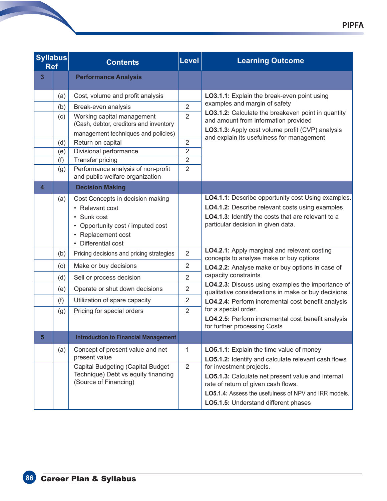| <b>Syllabus</b><br><b>Ref</b> |                          | <b>Contents</b>                                                                                                                                                                        | Level                                                                | <b>Learning Outcome</b>                                                                                                                                                                                                                                                                                                  |  |
|-------------------------------|--------------------------|----------------------------------------------------------------------------------------------------------------------------------------------------------------------------------------|----------------------------------------------------------------------|--------------------------------------------------------------------------------------------------------------------------------------------------------------------------------------------------------------------------------------------------------------------------------------------------------------------------|--|
| 3                             |                          | <b>Performance Analysis</b>                                                                                                                                                            |                                                                      |                                                                                                                                                                                                                                                                                                                          |  |
|                               | (a)<br>(b)<br>(c)        | Cost, volume and profit analysis<br>Break-even analysis<br>Working capital management<br>(Cash, debtor, creditors and inventory                                                        | $\overline{2}$<br>$\overline{2}$                                     | LO3.1.1: Explain the break-even point using<br>examples and margin of safety<br>LO3.1.2: Calculate the breakeven point in quantity<br>and amount from information provided                                                                                                                                               |  |
|                               | (d)<br>(e)<br>(f)<br>(g) | management techniques and policies)<br>Return on capital<br>Divisional performance<br><b>Transfer pricing</b><br>Performance analysis of non-profit<br>and public welfare organization | $\overline{2}$<br>$\overline{2}$<br>$\overline{2}$<br>$\overline{2}$ | LO3.1.3: Apply cost volume profit (CVP) analysis<br>and explain its usefulness for management                                                                                                                                                                                                                            |  |
| $\overline{\mathbf{4}}$       | (a)                      | <b>Decision Making</b><br>Cost Concepts in decision making                                                                                                                             |                                                                      | LO4.1.1: Describe opportunity cost Using examples.                                                                                                                                                                                                                                                                       |  |
|                               |                          | • Relevant cost<br>• Sunk cost<br>• Opportunity cost / imputed cost<br>• Replacement cost<br>• Differential cost                                                                       |                                                                      | LO4.1.2: Describe relevant costs using examples<br>LO4.1.3: Identify the costs that are relevant to a<br>particular decision in given data.                                                                                                                                                                              |  |
|                               | (b)                      | Pricing decisions and pricing strategies                                                                                                                                               | $\overline{2}$                                                       | LO4.2.1: Apply marginal and relevant costing<br>concepts to analyse make or buy options                                                                                                                                                                                                                                  |  |
|                               | (c)                      | Make or buy decisions                                                                                                                                                                  | $\overline{2}$                                                       | LO4.2.2: Analyse make or buy options in case of                                                                                                                                                                                                                                                                          |  |
|                               | (d)                      | Sell or process decision                                                                                                                                                               | $\overline{2}$                                                       | capacity constraints<br>LO4.2.3: Discuss using examples the importance of                                                                                                                                                                                                                                                |  |
|                               | (e)                      | Operate or shut down decisions                                                                                                                                                         | $\overline{2}$                                                       | qualitative considerations in make or buy decisions.                                                                                                                                                                                                                                                                     |  |
|                               | (f)<br>(g)               | Utilization of spare capacity<br>Pricing for special orders                                                                                                                            | $\overline{2}$<br>$\overline{2}$                                     | LO4.2.4: Perform incremental cost benefit analysis<br>for a special order.<br>LO4.2.5: Perform incremental cost benefit analysis<br>for further processing Costs                                                                                                                                                         |  |
| 5                             |                          | <b>Introduction to Financial Management</b>                                                                                                                                            |                                                                      |                                                                                                                                                                                                                                                                                                                          |  |
|                               | (a)                      | Concept of present value and net<br>present value<br>Capital Budgeting (Capital Budget<br>Technique) Debt vs equity financing<br>(Source of Financing)                                 | $\mathbf{1}$<br>$\overline{2}$                                       | LO5.1.1: Explain the time value of money<br>LO5.1.2: Identify and calculate relevant cash flows<br>for investment projects.<br>LO5.1.3: Calculate net present value and internal<br>rate of return of given cash flows.<br>LO5.1.4: Assess the usefulness of NPV and IRR models.<br>LO5.1.5: Understand different phases |  |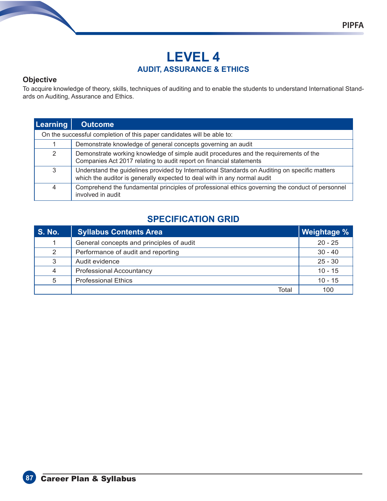#### **Objective**

To acquire knowledge of theory, skills, techniques of auditing and to enable the students to understand International Standards on Auditing, Assurance and Ethics.

| <b>Learning</b> | <b>Outcome</b>                                                                                                                                                            |
|-----------------|---------------------------------------------------------------------------------------------------------------------------------------------------------------------------|
|                 | On the successful completion of this paper candidates will be able to:                                                                                                    |
|                 | Demonstrate knowledge of general concepts governing an audit                                                                                                              |
| 2               | Demonstrate working knowledge of simple audit procedures and the requirements of the<br>Companies Act 2017 relating to audit report on financial statements               |
| 3               | Understand the guidelines provided by International Standards on Auditing on specific matters<br>which the auditor is generally expected to deal with in any normal audit |
| 4               | Comprehend the fundamental principles of professional ethics governing the conduct of personnel<br>involved in audit                                                      |

# **SPECIFICATION GRID**

| <b>S. No.</b>  | <b>Syllabus Contents Area</b>            | ∥ Weightage % ∣ |
|----------------|------------------------------------------|-----------------|
| 1              | General concepts and principles of audit | $20 - 25$       |
| 2              | Performance of audit and reporting       | $30 - 40$       |
| 3              | Audit evidence                           | $25 - 30$       |
| $\overline{4}$ | <b>Professional Accountancy</b>          | $10 - 15$       |
| 5              | <b>Professional Ethics</b>               | $10 - 15$       |
|                | Total                                    | 100             |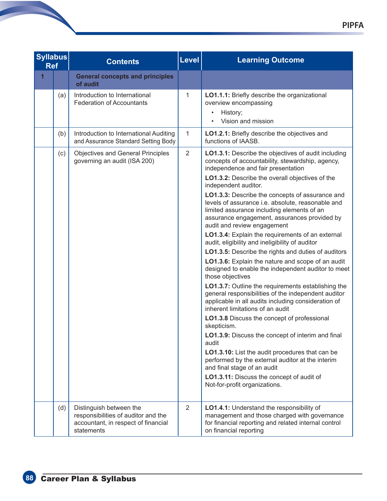| <b>Syllabus</b><br><b>Ref</b> |     | <b>Contents</b>                                                                                                     | Level          | <b>Learning Outcome</b>                                                                                                                                                                                                                                                                                                                                                                                                                                                                                                                                                                                                                                                                                                                                                                                                                                                                                                                                                                                                                                                                                                                                                                                                                                                                                                   |
|-------------------------------|-----|---------------------------------------------------------------------------------------------------------------------|----------------|---------------------------------------------------------------------------------------------------------------------------------------------------------------------------------------------------------------------------------------------------------------------------------------------------------------------------------------------------------------------------------------------------------------------------------------------------------------------------------------------------------------------------------------------------------------------------------------------------------------------------------------------------------------------------------------------------------------------------------------------------------------------------------------------------------------------------------------------------------------------------------------------------------------------------------------------------------------------------------------------------------------------------------------------------------------------------------------------------------------------------------------------------------------------------------------------------------------------------------------------------------------------------------------------------------------------------|
| 1                             |     | <b>General concepts and principles</b><br>of audit                                                                  |                |                                                                                                                                                                                                                                                                                                                                                                                                                                                                                                                                                                                                                                                                                                                                                                                                                                                                                                                                                                                                                                                                                                                                                                                                                                                                                                                           |
|                               | (a) | Introduction to International<br><b>Federation of Accountants</b>                                                   | 1              | LO1.1.1: Briefly describe the organizational<br>overview encompassing<br>History;<br>Vision and mission                                                                                                                                                                                                                                                                                                                                                                                                                                                                                                                                                                                                                                                                                                                                                                                                                                                                                                                                                                                                                                                                                                                                                                                                                   |
|                               | (b) | Introduction to International Auditing<br>and Assurance Standard Setting Body                                       | 1              | LO1.2.1: Briefly describe the objectives and<br>functions of IAASB.                                                                                                                                                                                                                                                                                                                                                                                                                                                                                                                                                                                                                                                                                                                                                                                                                                                                                                                                                                                                                                                                                                                                                                                                                                                       |
|                               | (c) | <b>Objectives and General Principles</b><br>governing an audit (ISA 200)                                            | $\overline{2}$ | LO1.3.1: Describe the objectives of audit including<br>concepts of accountability, stewardship, agency,<br>independence and fair presentation<br>LO1.3.2: Describe the overall objectives of the<br>independent auditor.<br>LO1.3.3: Describe the concepts of assurance and<br>levels of assurance i.e. absolute, reasonable and<br>limited assurance including elements of an<br>assurance engagement, assurances provided by<br>audit and review engagement<br>LO1.3.4: Explain the requirements of an external<br>audit, eligibility and ineligibility of auditor<br>LO1.3.5: Describe the rights and duties of auditors<br>LO1.3.6: Explain the nature and scope of an audit<br>designed to enable the independent auditor to meet<br>those objectives<br>LO1.3.7: Outline the requirements establishing the<br>general responsibilities of the independent auditor<br>applicable in all audits including consideration of<br>inherent limitations of an audit<br><b>LO1.3.8</b> Discuss the concept of professional<br>skepticism.<br>LO1.3.9: Discuss the concept of interim and final<br>audit<br>LO1.3.10: List the audit procedures that can be<br>performed by the external auditor at the interim<br>and final stage of an audit<br>LO1.3.11: Discuss the concept of audit of<br>Not-for-profit organizations. |
|                               | (d) | Distinguish between the<br>responsibilities of auditor and the<br>accountant, in respect of financial<br>statements | $\overline{2}$ | LO1.4.1: Understand the responsibility of<br>management and those charged with governance<br>for financial reporting and related internal control<br>on financial reporting                                                                                                                                                                                                                                                                                                                                                                                                                                                                                                                                                                                                                                                                                                                                                                                                                                                                                                                                                                                                                                                                                                                                               |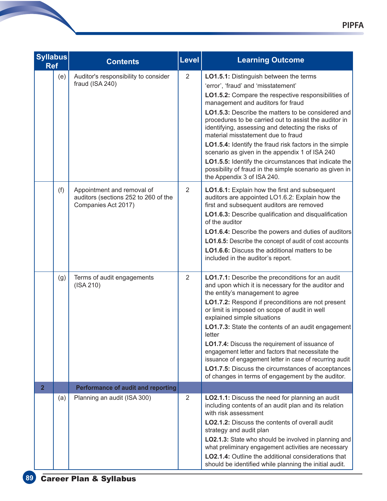| <b>Syllabus</b><br><b>Ref</b> |     | <b>Contents</b>                                                                           | <b>Level</b>   | <b>Learning Outcome</b>                                                                                                                                                                                                                                                                                                                                                                                                                                                                                                                                                                                                                           |
|-------------------------------|-----|-------------------------------------------------------------------------------------------|----------------|---------------------------------------------------------------------------------------------------------------------------------------------------------------------------------------------------------------------------------------------------------------------------------------------------------------------------------------------------------------------------------------------------------------------------------------------------------------------------------------------------------------------------------------------------------------------------------------------------------------------------------------------------|
|                               | (e) | Auditor's responsibility to consider<br>fraud (ISA 240)                                   | $\overline{2}$ | LO1.5.1: Distinguish between the terms<br>'error', 'fraud' and 'misstatement'<br>LO1.5.2: Compare the respective responsibilities of<br>management and auditors for fraud<br>LO1.5.3: Describe the matters to be considered and<br>procedures to be carried out to assist the auditor in<br>identifying, assessing and detecting the risks of<br>material misstatement due to fraud<br>LO1.5.4: Identify the fraud risk factors in the simple<br>scenario as given in the appendix 1 of ISA 240<br>LO1.5.5: Identify the circumstances that indicate the<br>possibility of fraud in the simple scenario as given in<br>the Appendix 3 of ISA 240. |
|                               | (f) | Appointment and removal of<br>auditors (sections 252 to 260 of the<br>Companies Act 2017) | $\overline{2}$ | LO1.6.1: Explain how the first and subsequent<br>auditors are appointed LO1.6.2: Explain how the<br>first and subsequent auditors are removed<br>LO1.6.3: Describe qualification and disqualification<br>of the auditor<br>LO1.6.4: Describe the powers and duties of auditors<br>LO1.6.5: Describe the concept of audit of cost accounts<br><b>LO1.6.6:</b> Discuss the additional matters to be<br>included in the auditor's report.                                                                                                                                                                                                            |
|                               | (g) | Terms of audit engagements<br>$($ ISA 210 $)$                                             | $\overline{2}$ | LO1.7.1: Describe the preconditions for an audit<br>and upon which it is necessary for the auditor and<br>the entity's management to agree<br>LO1.7.2: Respond if preconditions are not present<br>or limit is imposed on scope of audit in well<br>explained simple situations<br>LO1.7.3: State the contents of an audit engagement<br>letter<br>LO1.7.4: Discuss the requirement of issuance of<br>engagement letter and factors that necessitate the<br>issuance of engagement letter in case of recurring audit<br><b>LO1.7.5:</b> Discuss the circumstances of acceptances<br>of changes in terms of engagement by the auditor.             |
| $\overline{2}$                |     | <b>Performance of audit and reporting</b>                                                 |                |                                                                                                                                                                                                                                                                                                                                                                                                                                                                                                                                                                                                                                                   |
|                               | (a) | Planning an audit (ISA 300)                                                               | 2              | LO2.1.1: Discuss the need for planning an audit<br>including contents of an audit plan and its relation<br>with risk assessment<br>LO2.1.2: Discuss the contents of overall audit<br>strategy and audit plan<br>LO2.1.3: State who should be involved in planning and<br>what preliminary engagement activities are necessary<br><b>LO2.1.4:</b> Outline the additional considerations that<br>should be identified while planning the initial audit.                                                                                                                                                                                             |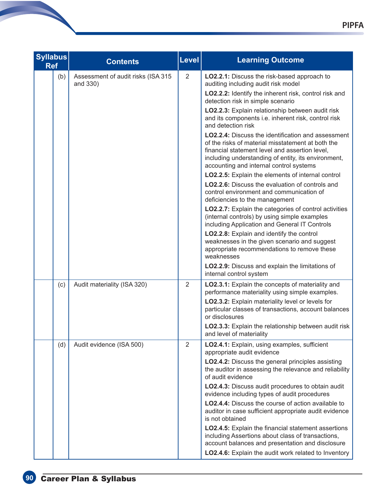| <b>Syllabus</b><br><b>Ref</b> | <b>Contents</b>                                | Level          | <b>Learning Outcome</b>                                                                                                                                                                                                                                            |
|-------------------------------|------------------------------------------------|----------------|--------------------------------------------------------------------------------------------------------------------------------------------------------------------------------------------------------------------------------------------------------------------|
| (b)                           | Assessment of audit risks (ISA 315<br>and 330) | $\overline{2}$ | LO2.2.1: Discuss the risk-based approach to<br>auditing including audit risk model                                                                                                                                                                                 |
|                               |                                                |                | LO2.2.2: Identify the inherent risk, control risk and<br>detection risk in simple scenario                                                                                                                                                                         |
|                               |                                                |                | LO2.2.3: Explain relationship between audit risk<br>and its components i.e. inherent risk, control risk<br>and detection risk                                                                                                                                      |
|                               |                                                |                | <b>LO2.2.4:</b> Discuss the identification and assessment<br>of the risks of material misstatement at both the<br>financial statement level and assertion level,<br>including understanding of entity, its environment,<br>accounting and internal control systems |
|                               |                                                |                | LO2.2.5: Explain the elements of internal control                                                                                                                                                                                                                  |
|                               |                                                |                | <b>LO2.2.6:</b> Discuss the evaluation of controls and<br>control environment and communication of<br>deficiencies to the management                                                                                                                               |
|                               |                                                |                | <b>LO2.2.7:</b> Explain the categories of control activities<br>(internal controls) by using simple examples<br>including Application and General IT Controls                                                                                                      |
|                               |                                                |                | LO2.2.8: Explain and identify the control<br>weaknesses in the given scenario and suggest<br>appropriate recommendations to remove these<br>weaknesses                                                                                                             |
|                               |                                                |                | LO2.2.9: Discuss and explain the limitations of<br>internal control system                                                                                                                                                                                         |
| (c)                           | Audit materiality (ISA 320)                    | 2              | LO2.3.1: Explain the concepts of materiality and<br>performance materiality using simple examples.                                                                                                                                                                 |
|                               |                                                |                | LO2.3.2: Explain materiality level or levels for<br>particular classes of transactions, account balances<br>or disclosures                                                                                                                                         |
|                               |                                                |                | LO2.3.3: Explain the relationship between audit risk<br>and level of materiality                                                                                                                                                                                   |
| (d)                           | Audit evidence (ISA 500)                       | 2              | LO2.4.1: Explain, using examples, sufficient<br>appropriate audit evidence                                                                                                                                                                                         |
|                               |                                                |                | <b>LO2.4.2:</b> Discuss the general principles assisting<br>the auditor in assessing the relevance and reliability<br>of audit evidence                                                                                                                            |
|                               |                                                |                | LO2.4.3: Discuss audit procedures to obtain audit<br>evidence including types of audit procedures                                                                                                                                                                  |
|                               |                                                |                | LO2.4.4: Discuss the course of action available to<br>auditor in case sufficient appropriate audit evidence<br>is not obtained                                                                                                                                     |
|                               |                                                |                | LO2.4.5: Explain the financial statement assertions<br>including Assertions about class of transactions,<br>account balances and presentation and disclosure                                                                                                       |
|                               |                                                |                | LO2.4.6: Explain the audit work related to Inventory                                                                                                                                                                                                               |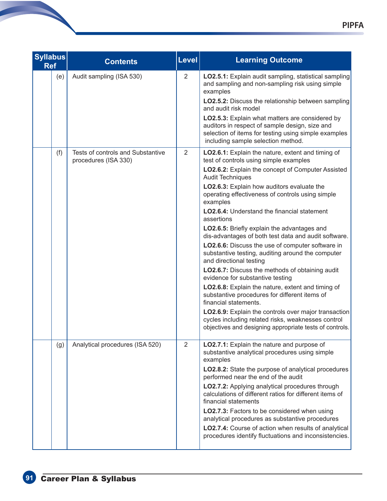| <b>Syllabus</b><br><b>Ref</b> | <b>Contents</b>                                                  | <b>Level</b>   | <b>Learning Outcome</b>                                                                                                                                                                                                                                                                                                                                                                                                                                                                                                                                                                                                                                                                                                                                                                                                                                                                                                                                                                                 |
|-------------------------------|------------------------------------------------------------------|----------------|---------------------------------------------------------------------------------------------------------------------------------------------------------------------------------------------------------------------------------------------------------------------------------------------------------------------------------------------------------------------------------------------------------------------------------------------------------------------------------------------------------------------------------------------------------------------------------------------------------------------------------------------------------------------------------------------------------------------------------------------------------------------------------------------------------------------------------------------------------------------------------------------------------------------------------------------------------------------------------------------------------|
| (e)                           | Audit sampling (ISA 530)                                         | $\overline{2}$ | LO2.5.1: Explain audit sampling, statistical sampling<br>and sampling and non-sampling risk using simple<br>examples<br><b>LO2.5.2:</b> Discuss the relationship between sampling<br>and audit risk model<br>LO2.5.3: Explain what matters are considered by<br>auditors in respect of sample design, size and<br>selection of items for testing using simple examples<br>including sample selection method.                                                                                                                                                                                                                                                                                                                                                                                                                                                                                                                                                                                            |
| (f)                           | <b>Tests of controls and Substantive</b><br>procedures (ISA 330) | $\overline{2}$ | LO2.6.1: Explain the nature, extent and timing of<br>test of controls using simple examples<br>LO2.6.2: Explain the concept of Computer Assisted<br><b>Audit Techniques</b><br>LO2.6.3: Explain how auditors evaluate the<br>operating effectiveness of controls using simple<br>examples<br><b>LO2.6.4:</b> Understand the financial statement<br>assertions<br>LO2.6.5: Briefly explain the advantages and<br>dis-advantages of both test data and audit software.<br>LO2.6.6: Discuss the use of computer software in<br>substantive testing, auditing around the computer<br>and directional testing<br>LO2.6.7: Discuss the methods of obtaining audit<br>evidence for substantive testing<br>LO2.6.8: Explain the nature, extent and timing of<br>substantive procedures for different items of<br>financial statements.<br>LO2.6.9: Explain the controls over major transaction<br>cycles including related risks, weaknesses control<br>objectives and designing appropriate tests of controls. |
| (g)                           | Analytical procedures (ISA 520)                                  | $\overline{2}$ | LO2.7.1: Explain the nature and purpose of<br>substantive analytical procedures using simple<br>examples<br>LO2.8.2: State the purpose of analytical procedures<br>performed near the end of the audit<br>LO2.7.2: Applying analytical procedures through<br>calculations of different ratios for different items of<br>financial statements<br>LO2.7.3: Factors to be considered when using<br>analytical procedures as substantive procedures<br>LO2.7.4: Course of action when results of analytical<br>procedures identify fluctuations and inconsistencies.                                                                                                                                                                                                                                                                                                                                                                                                                                        |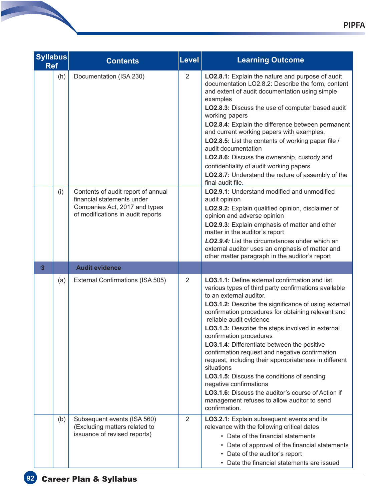|   | <b>Syllabus</b><br><b>Ref</b> | <b>Contents</b>                                                                                                                                                 | Level          | <b>Learning Outcome</b>                                                                                                                                                                                                                                                                                                                                                                                                                                                                                                                                                                                                                                                                                                                |
|---|-------------------------------|-----------------------------------------------------------------------------------------------------------------------------------------------------------------|----------------|----------------------------------------------------------------------------------------------------------------------------------------------------------------------------------------------------------------------------------------------------------------------------------------------------------------------------------------------------------------------------------------------------------------------------------------------------------------------------------------------------------------------------------------------------------------------------------------------------------------------------------------------------------------------------------------------------------------------------------------|
|   | (h)                           | Documentation (ISA 230)                                                                                                                                         | 2              | LO2.8.1: Explain the nature and purpose of audit<br>documentation LO2.8.2: Describe the form, content<br>and extent of audit documentation using simple<br>examples<br>LO2.8.3: Discuss the use of computer based audit<br>working papers<br>LO2.8.4: Explain the difference between permanent<br>and current working papers with examples.<br>LO2.8.5: List the contents of working paper file /<br>audit documentation<br>LO2.8.6: Discuss the ownership, custody and<br>confidentiality of audit working papers<br>LO2.8.7: Understand the nature of assembly of the<br>final audit file.                                                                                                                                           |
| 3 | (i)                           | Contents of audit report of annual<br>financial statements under<br>Companies Act, 2017 and types<br>of modifications in audit reports<br><b>Audit evidence</b> |                | LO2.9.1: Understand modified and unmodified<br>audit opinion<br>LO2.9.2: Explain qualified opinion, disclaimer of<br>opinion and adverse opinion<br>LO2.9.3: Explain emphasis of matter and other<br>matter in the auditor's report<br><b>LO2.9.4:</b> List the circumstances under which an<br>external auditor uses an emphasis of matter and<br>other matter paragraph in the auditor's report                                                                                                                                                                                                                                                                                                                                      |
|   |                               |                                                                                                                                                                 |                |                                                                                                                                                                                                                                                                                                                                                                                                                                                                                                                                                                                                                                                                                                                                        |
|   | (a)                           | External Confirmations (ISA 505)                                                                                                                                | $\overline{2}$ | LO3.1.1: Define external confirmation and list<br>various types of third party confirmations available<br>to an external auditor.<br>LO3.1.2: Describe the significance of using external<br>confirmation procedures for obtaining relevant and<br>reliable audit evidence<br><b>LO3.1.3:</b> Describe the steps involved in external<br>confirmation procedures<br>LO3.1.4: Differentiate between the positive<br>confirmation request and negative confirmation<br>request, including their appropriateness in different<br>situations<br>LO3.1.5: Discuss the conditions of sending<br>negative confirmations<br>LO3.1.6: Discuss the auditor's course of Action if<br>management refuses to allow auditor to send<br>confirmation. |
|   | (b)                           | Subsequent events (ISA 560)<br>(Excluding matters related to<br>issuance of revised reports)                                                                    | 2              | LO3.2.1: Explain subsequent events and its<br>relevance with the following critical dates<br>• Date of the financial statements<br>• Date of approval of the financial statements<br>• Date of the auditor's report<br>• Date the financial statements are issued                                                                                                                                                                                                                                                                                                                                                                                                                                                                      |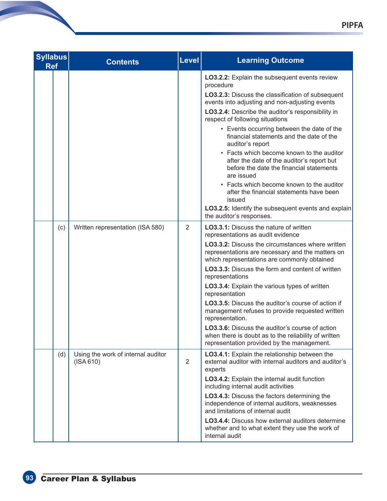| <b>Syllabus</b><br><b>Ref</b> |     | <b>Contents</b>                                       | Level          | <b>Learning Outcome</b>                                                                                                                                                                                                                                                                                                                                                                                                                                                                                                                                                                                                                                                                                            |
|-------------------------------|-----|-------------------------------------------------------|----------------|--------------------------------------------------------------------------------------------------------------------------------------------------------------------------------------------------------------------------------------------------------------------------------------------------------------------------------------------------------------------------------------------------------------------------------------------------------------------------------------------------------------------------------------------------------------------------------------------------------------------------------------------------------------------------------------------------------------------|
|                               |     |                                                       |                | LO3.2.2: Explain the subsequent events review<br>procedure<br>LO3.2.3: Discuss the classification of subsequent<br>events into adjusting and non-adjusting events<br>LO3.2.4: Describe the auditor's responsibility in<br>respect of following situations<br>• Events occurring between the date of the<br>financial statements and the date of the<br>auditor's report<br>• Facts which become known to the auditor<br>after the date of the auditor's report but<br>before the date the financial statements<br>are issued<br>• Facts which become known to the auditor<br>after the financial statements have been<br>issued<br>LO3.2.5: Identify the subsequent events and explain<br>the auditor's responses. |
|                               | (c) | Written representation (ISA 580)                      | 2              | LO3.3.1: Discuss the nature of written<br>representations as audit evidence<br><b>LO3.3.2:</b> Discuss the circumstances where written<br>representations are necessary and the matters on<br>which representations are commonly obtained<br>LO3.3.3: Discuss the form and content of written<br>representations<br>LO3.3.4: Explain the various types of written<br>representation<br>LO3.3.5: Discuss the auditor's course of action if<br>management refuses to provide requested written<br>representation.<br>LO3.3.6: Discuss the auditor's course of action<br>when there is doubt as to the reliability of written<br>representation provided by the management.                                           |
|                               | (d) | Using the work of internal auditor<br>$($ ISA 610 $)$ | $\overline{2}$ | LO3.4.1: Explain the relationship between the<br>external auditor with internal auditors and auditor's<br>experts<br>LO3.4.2: Explain the internal audit function<br>including internal audit activities<br>LO3.4.3: Discuss the factors determining the<br>independence of internal auditors, weaknesses<br>and limitations of internal audit<br><b>LO3.4.4:</b> Discuss how external auditors determine<br>whether and to what extent they use the work of<br>internal audit                                                                                                                                                                                                                                     |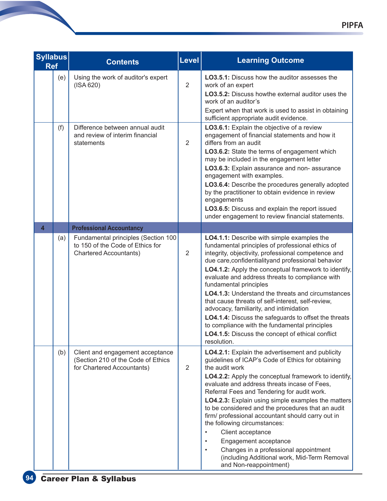| <b>Syllabus</b><br><b>Ref</b> |     | <b>Contents</b>                                                                                          | <b>Level</b>   | <b>Learning Outcome</b>                                                                                                                                                                                                                                                                                                                                                                                                                                                                                                                                                                                                                                                                    |
|-------------------------------|-----|----------------------------------------------------------------------------------------------------------|----------------|--------------------------------------------------------------------------------------------------------------------------------------------------------------------------------------------------------------------------------------------------------------------------------------------------------------------------------------------------------------------------------------------------------------------------------------------------------------------------------------------------------------------------------------------------------------------------------------------------------------------------------------------------------------------------------------------|
|                               | (e) | Using the work of auditor's expert<br>$($ ISA 620 $)$                                                    | $\overline{2}$ | <b>LO3.5.1:</b> Discuss how the auditor assesses the<br>work of an expert<br>LO3.5.2: Discuss howthe external auditor uses the<br>work of an auditor's<br>Expert when that work is used to assist in obtaining<br>sufficient appropriate audit evidence.                                                                                                                                                                                                                                                                                                                                                                                                                                   |
|                               | (f) | Difference between annual audit<br>and review of interim financial<br>statements                         | 2              | LO3.6.1: Explain the objective of a review<br>engagement of financial statements and how it<br>differs from an audit<br>LO3.6.2: State the terms of engagement which<br>may be included in the engagement letter<br>LO3.6.3: Explain assurance and non-assurance<br>engagement with examples.<br>LO3.6.4: Describe the procedures generally adopted<br>by the practitioner to obtain evidence in review<br>engagements<br>LO3.6.5: Discuss and explain the report issued<br>under engagement to review financial statements.                                                                                                                                                               |
| $\overline{\mathbf{4}}$       |     | <b>Professional Accountancy</b>                                                                          |                |                                                                                                                                                                                                                                                                                                                                                                                                                                                                                                                                                                                                                                                                                            |
|                               | (a) | Fundamental principles (Section 100<br>to 150 of the Code of Ethics for<br><b>Chartered Accountants)</b> | 2              | LO4.1.1: Describe with simple examples the<br>fundamental principles of professional ethics of<br>integrity, objectivity, professional competence and<br>due care, confidentiality and professional behavior<br>LO4.1.2: Apply the conceptual framework to identify,<br>evaluate and address threats to compliance with<br>fundamental principles<br><b>LO4.1.3:</b> Understand the threats and circumstances<br>that cause threats of self-interest, self-review,<br>advocacy, familiarity, and intimidation<br>LO4.1.4: Discuss the safeguards to offset the threats<br>to compliance with the fundamental principles<br>LO4.1.5: Discuss the concept of ethical conflict<br>resolution. |
|                               | (b) | Client and engagement acceptance<br>(Section 210 of the Code of Ethics<br>for Chartered Accountants)     | 2              | LO4.2.1: Explain the advertisement and publicity<br>guidelines of ICAP's Code of Ethics for obtaining<br>the audit work<br>LO4.2.2: Apply the conceptual framework to identify,<br>evaluate and address threats incase of Fees,<br>Referral Fees and Tendering for audit work.<br>LO4.2.3: Explain using simple examples the matters<br>to be considered and the procedures that an audit<br>firm/ professional accountant should carry out in<br>the following circumstances:<br>Client acceptance<br>Engagement acceptance<br>Changes in a professional appointment<br>$\bullet$<br>(including Additional work, Mid-Term Removal<br>and Non-reappointment)                               |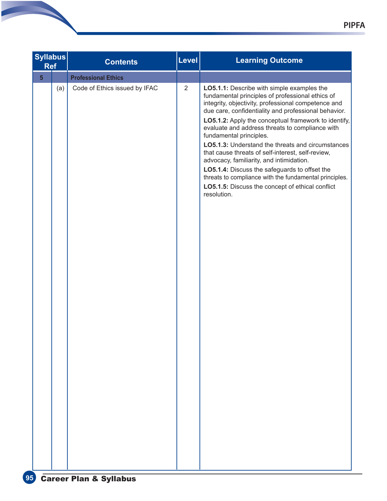|                | <b>Syllabus</b><br><b>Ref</b> | <b>Contents</b>               | Level          | <b>Learning Outcome</b>                                                                                                                                                                                                                                                                                                                                                                                                                                                                                                                                                                                                                                                                 |
|----------------|-------------------------------|-------------------------------|----------------|-----------------------------------------------------------------------------------------------------------------------------------------------------------------------------------------------------------------------------------------------------------------------------------------------------------------------------------------------------------------------------------------------------------------------------------------------------------------------------------------------------------------------------------------------------------------------------------------------------------------------------------------------------------------------------------------|
| 5 <sup>5</sup> |                               | <b>Professional Ethics</b>    |                |                                                                                                                                                                                                                                                                                                                                                                                                                                                                                                                                                                                                                                                                                         |
|                | (a)                           | Code of Ethics issued by IFAC | $\overline{2}$ | LO5.1.1: Describe with simple examples the<br>fundamental principles of professional ethics of<br>integrity, objectivity, professional competence and<br>due care, confidentiality and professional behavior.<br>LO5.1.2: Apply the conceptual framework to identify,<br>evaluate and address threats to compliance with<br>fundamental principles.<br>LO5.1.3: Understand the threats and circumstances<br>that cause threats of self-interest, self-review,<br>advocacy, familiarity, and intimidation.<br>LO5.1.4: Discuss the safeguards to offset the<br>threats to compliance with the fundamental principles.<br>LO5.1.5: Discuss the concept of ethical conflict<br>resolution. |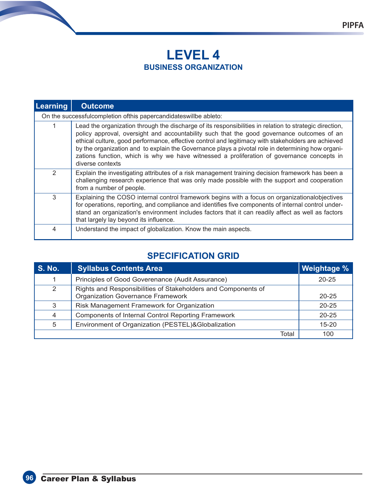# **LEVEL 4 BUSINESS ORGANIZATION**

| Learning | <b>Outcome</b>                                                                                                                                                                                                                                                                                                                                                                                                                                                                                                                     |
|----------|------------------------------------------------------------------------------------------------------------------------------------------------------------------------------------------------------------------------------------------------------------------------------------------------------------------------------------------------------------------------------------------------------------------------------------------------------------------------------------------------------------------------------------|
|          | On the successfulcompletion ofthis papercandidateswillbe ableto:                                                                                                                                                                                                                                                                                                                                                                                                                                                                   |
| 1        | Lead the organization through the discharge of its responsibilities in relation to strategic direction,<br>policy approval, oversight and accountability such that the good governance outcomes of an<br>ethical culture, good performance, effective control and legitimacy with stakeholders are achieved<br>by the organization and to explain the Governance plays a pivotal role in determining how organi-<br>zations function, which is why we have witnessed a proliferation of governance concepts in<br>diverse contexts |
| 2        | Explain the investigating attributes of a risk management training decision framework has been a<br>challenging research experience that was only made possible with the support and cooperation<br>from a number of people.                                                                                                                                                                                                                                                                                                       |
| 3        | Explaining the COSO internal control framework begins with a focus on organizationalobjectives<br>for operations, reporting, and compliance and identifies five components of internal control under-<br>stand an organization's environment includes factors that it can readily affect as well as factors<br>that largely lay beyond its influence.                                                                                                                                                                              |
| 4        | Understand the impact of globalization. Know the main aspects.                                                                                                                                                                                                                                                                                                                                                                                                                                                                     |

# **SPECIFICATION GRID**

| <b>S. No.</b> | <b>Syllabus Contents Area</b>                                                                             | <b>Weightage %</b> |
|---------------|-----------------------------------------------------------------------------------------------------------|--------------------|
| 1             | Principles of Good Goverenance (Audit Assurance)                                                          | $20 - 25$          |
| 2             | Rights and Responsibilities of Stakeholders and Components of<br><b>Organization Governance Framework</b> | $20 - 25$          |
| 3             | Risk Management Framework for Organization                                                                | $20 - 25$          |
| 4             | <b>Components of Internal Control Reporting Framework</b>                                                 | $20 - 25$          |
| 5             | Environment of Organization (PESTEL)&Globalization                                                        | $15 - 20$          |
|               | Total                                                                                                     | 100                |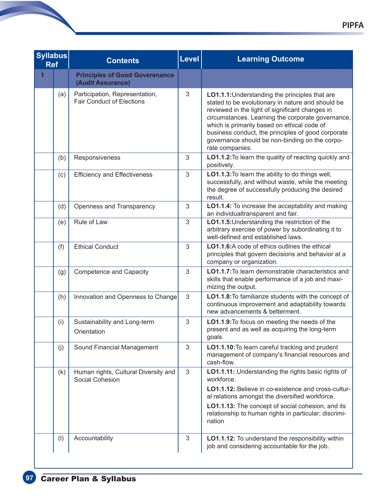| <b>Syllabus</b><br><b>Ref</b> |     | <b>Contents</b>                                                    | Level | <b>Learning Outcome</b>                                                                                                                                                                                                                                                                                                                                                               |
|-------------------------------|-----|--------------------------------------------------------------------|-------|---------------------------------------------------------------------------------------------------------------------------------------------------------------------------------------------------------------------------------------------------------------------------------------------------------------------------------------------------------------------------------------|
| $\overline{1}$                |     | <b>Principles of Good Goverenance</b><br>(Audit Assurance)         |       |                                                                                                                                                                                                                                                                                                                                                                                       |
|                               | (a) | Participation, Representation,<br><b>Fair Conduct of Elections</b> | 3     | LO1.1.1: Understanding the principles that are<br>stated to be evolutionary in nature and should be<br>reviewed in the light of significant changes in<br>circumstances. Learning the corporate governance,<br>which is primarily based on ethical code of<br>business conduct, the principles of good corporate<br>governance should be non-binding on the corpo-<br>rate companies. |
|                               | (b) | Responsiveness                                                     | 3     | LO1.1.2: To learn the quality of reacting quickly and<br>positively.                                                                                                                                                                                                                                                                                                                  |
|                               | (c) | <b>Efficiency and Effectiveness</b>                                | 3     | LO1.1.3: To learn the ability to do things well,<br>successfully, and without waste, while the meeting<br>the degree of successfully producing the desired<br>result.                                                                                                                                                                                                                 |
|                               | (d) | Openness and Transparency                                          | 3     | LO1.1.4: To increase the acceptability and making<br>an individualtransparent and fair.                                                                                                                                                                                                                                                                                               |
|                               | (e) | Rule of Law                                                        | 3     | LO1.1.5: Understanding the restriction of the<br>arbitrary exercise of power by subordinating it to<br>well-defined and established laws.                                                                                                                                                                                                                                             |
|                               | (f) | <b>Ethical Conduct</b>                                             | 3     | LO1.1.6: A code of ethics outlines the ethical<br>principles that govern decisions and behavior at a<br>company or organization.                                                                                                                                                                                                                                                      |
|                               | (g) | <b>Competence and Capacity</b>                                     | 3     | LO1.1.7: To learn demonstrable characteristics and<br>skills that enable performance of a job and maxi-<br>mizing the output.                                                                                                                                                                                                                                                         |
|                               | (h) | Innovation and Openness to Change                                  | 3     | LO1.1.8: To familiarize students with the concept of<br>continuous improvement and adaptability towards<br>new advancements & betterment.                                                                                                                                                                                                                                             |
|                               | (i) | Sustainability and Long-term<br>Orientation                        | 3     | LO1.1.9: To focus on meeting the needs of the<br>present and as well as acquiring the long-term<br>goals.                                                                                                                                                                                                                                                                             |
|                               | (j) | Sound Financial Management                                         | 3     | LO1.1.10: To learn careful tracking and prudent<br>management of company's financial resources and<br>cash-flow.                                                                                                                                                                                                                                                                      |
|                               | (k) | Human rights, Cultural Diversity and<br>Social Cohesion            | 3     | LO1.1.11: Understanding the rights basic rights of<br>workforce.                                                                                                                                                                                                                                                                                                                      |
|                               |     |                                                                    |       | LO1.1.12: Believe in co-existence and cross-cultur-<br>al relations amongst the diversified workforce.                                                                                                                                                                                                                                                                                |
|                               |     |                                                                    |       | LO1.1.13: The concept of social cohesion, and its<br>relationship to human rights in particular; discrimi-<br>nation                                                                                                                                                                                                                                                                  |
|                               | (1) | Accountability                                                     | 3     | LO1.1.12: To understand the responsibility within<br>job and considering accountable for the job.                                                                                                                                                                                                                                                                                     |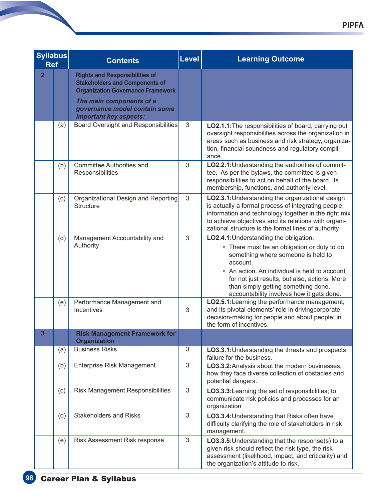| <b>Syllabus</b><br><b>Ref</b> |     | <b>Contents</b>                                                                                                                                                                         | Level          | <b>Learning Outcome</b>                                                                                                                                                                                                                                                                                                       |
|-------------------------------|-----|-----------------------------------------------------------------------------------------------------------------------------------------------------------------------------------------|----------------|-------------------------------------------------------------------------------------------------------------------------------------------------------------------------------------------------------------------------------------------------------------------------------------------------------------------------------|
| $\overline{2}$                |     | <b>Rights and Responsibilities of</b><br><b>Stakeholders and Components of</b><br><b>Organization Governance Framework</b><br>The main components of a<br>governance model contain some |                |                                                                                                                                                                                                                                                                                                                               |
|                               | (a) | important key aspects:<br>Board Oversight and Responsibilities                                                                                                                          | 3              | LO2.1.1: The responsibilities of board, carrying out<br>oversight responsibilities across the organization in<br>areas such as business and risk strategy, organiza-<br>tion, financial soundness and regulatory compli-<br>ance.                                                                                             |
|                               | (b) | <b>Committee Authorities and</b><br>Responsibilities                                                                                                                                    | 3              | LO2.2.1: Understanding the authorities of commit-<br>tee. As per the bylaws, the committee is given<br>responsibilities to act on behalf of the board, its<br>membership, functions, and authority level.                                                                                                                     |
|                               | (c) | Organizational Design and Reporting<br><b>Structure</b>                                                                                                                                 | 3              | LO2.3.1: Understanding the organizational design<br>is actually a formal process of integrating people,<br>information and technology together in the right mix<br>to achieve objectives and its relations with organi-<br>zational structure is the formal lines of authority                                                |
|                               | (d) | Management Accountability and<br>Authority                                                                                                                                              | 3              | LO2.4.1: Understanding the obligation.<br>• There must be an obligation or duty to do<br>something where someone is held to<br>account.<br>• An action. An individual is held to account<br>for not just results, but also, actions. More<br>than simply getting something done,<br>accountability involves how it gets done. |
|                               | (e) | Performance Management and<br>Incentives                                                                                                                                                | 3              | LO2.5.1: Learning the performance management,<br>and its pivotal elements' role in drivingcorporate<br>decision-making for people and about people; in<br>the form of incentives.                                                                                                                                             |
| $\overline{2}$                |     | <b>Risk Management Framework for</b><br><b>Organization</b>                                                                                                                             |                |                                                                                                                                                                                                                                                                                                                               |
|                               | (a) | <b>Business Risks</b>                                                                                                                                                                   | 3              | LO3.3.1: Understanding the threats and prospects<br>failure for the business.                                                                                                                                                                                                                                                 |
|                               | (b) | <b>Enterprise Risk Management</b>                                                                                                                                                       | $\overline{3}$ | LO3.3.2: Analysis about the modern businesses,<br>how they face diverse collection of obstacles and<br>potential dangers.                                                                                                                                                                                                     |
|                               | (c) | Risk Management Responsibilities                                                                                                                                                        | 3              | LO3.3.3: Learning the set of responsibilities; to<br>communicate risk policies and processes for an<br>organization                                                                                                                                                                                                           |
|                               | (d) | <b>Stakeholders and Risks</b>                                                                                                                                                           | 3              | LO3.3.4: Understanding that Risks often have<br>difficulty clarifying the role of stakeholders in risk<br>management.                                                                                                                                                                                                         |
|                               | (e) | Risk Assessment Risk response                                                                                                                                                           | 3              | LO3.3.5: Understanding that the response(s) to a<br>given risk should reflect the risk type, the risk<br>assessment (likelihood, impact, and criticality) and<br>the organization's attitude to risk.                                                                                                                         |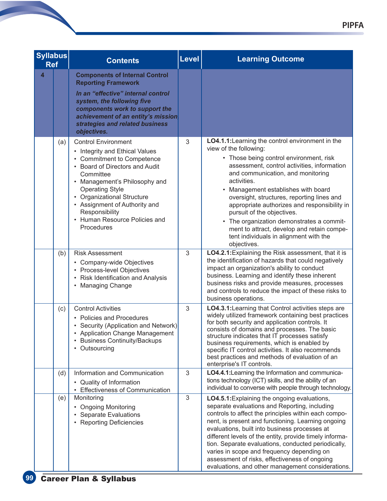| <b>Syllabus</b><br><b>Ref</b> |     | <b>Contents</b>                                                                                                                                                                                                                                                                                                                       | <b>Level</b>   | <b>Learning Outcome</b>                                                                                                                                                                                                                                                                                                                                                                                                                                                                                                                                    |
|-------------------------------|-----|---------------------------------------------------------------------------------------------------------------------------------------------------------------------------------------------------------------------------------------------------------------------------------------------------------------------------------------|----------------|------------------------------------------------------------------------------------------------------------------------------------------------------------------------------------------------------------------------------------------------------------------------------------------------------------------------------------------------------------------------------------------------------------------------------------------------------------------------------------------------------------------------------------------------------------|
| $\overline{\mathbf{4}}$       |     | <b>Components of Internal Control</b><br><b>Reporting Framework</b><br>In an "effective" internal control<br>system, the following five<br>components work to support the<br>achievement of an entity's mission<br>strategies and related business<br>objectives.                                                                     |                |                                                                                                                                                                                                                                                                                                                                                                                                                                                                                                                                                            |
|                               | (a) | <b>Control Environment</b><br>• Integrity and Ethical Values<br>• Commitment to Competence<br>• Board of Directors and Audit<br>Committee<br>Management's Philosophy and<br><b>Operating Style</b><br><b>Organizational Structure</b><br>• Assignment of Authority and<br>Responsibility<br>Human Resource Policies and<br>Procedures | 3              | LO4.1.1: Learning the control environment in the<br>view of the following:<br>• Those being control environment, risk<br>assessment, control activities, information<br>and communication, and monitoring<br>activities.<br>Management establishes with board<br>$\bullet$<br>oversight, structures, reporting lines and<br>appropriate authorizes and responsibility in<br>pursuit of the objectives.<br>• The organization demonstrates a commit-<br>ment to attract, develop and retain compe-<br>tent individuals in alignment with the<br>objectives. |
|                               | (b) | <b>Risk Assessment</b><br>• Company-wide Objectives<br>• Process-level Objectives<br>• Risk Identification and Analysis<br><b>Managing Change</b>                                                                                                                                                                                     | 3              | LO4.2.1: Explaining the Risk assessment, that it is<br>the identification of hazards that could negatively<br>impact an organization's ability to conduct<br>business. Learning and identify these inherent<br>business risks and provide measures, processes<br>and controls to reduce the impact of these risks to<br>business operations.                                                                                                                                                                                                               |
|                               | (c) | <b>Control Activities</b><br>• Policies and Procedures<br>• Security (Application and Network)<br><b>Application Change Management</b><br><b>Business Continuity/Backups</b><br>٠<br>Outsourcing<br>٠                                                                                                                                 | 3              | LO4.3.1: Learning that Control activities steps are<br>widely utilized framework containing best practices<br>for both security and application controls. It<br>consists of domains and processes. The basic<br>structure indicates that IT processes satisfy<br>business requirements, which is enabled by<br>specific IT control activities. It also recommends<br>best practices and methods of evaluation of an<br>enterprise's IT controls.                                                                                                           |
|                               | (d) | Information and Communication<br>• Quality of Information<br>• Effectiveness of Communication                                                                                                                                                                                                                                         | 3              | LO4.4.1: Learning the Information and communica-<br>tions technology (ICT) skills, and the ability of an<br>individual to converse with people through technology.                                                                                                                                                                                                                                                                                                                                                                                         |
|                               | (e) | Monitoring<br><b>Ongoing Monitoring</b><br><b>Separate Evaluations</b><br><b>Reporting Deficiencies</b>                                                                                                                                                                                                                               | $\mathfrak{S}$ | <b>LO4.5.1:</b> Explaining the ongoing evaluations,<br>separate evaluations and Reporting, including<br>controls to affect the principles within each compo-<br>nent, is present and functioning. Learning ongoing<br>evaluations, built into business processes at<br>different levels of the entity, provide timely informa-<br>tion. Separate evaluations, conducted periodically,<br>varies in scope and frequency depending on<br>assessment of risks, effectiveness of ongoing<br>evaluations, and other management considerations.                  |